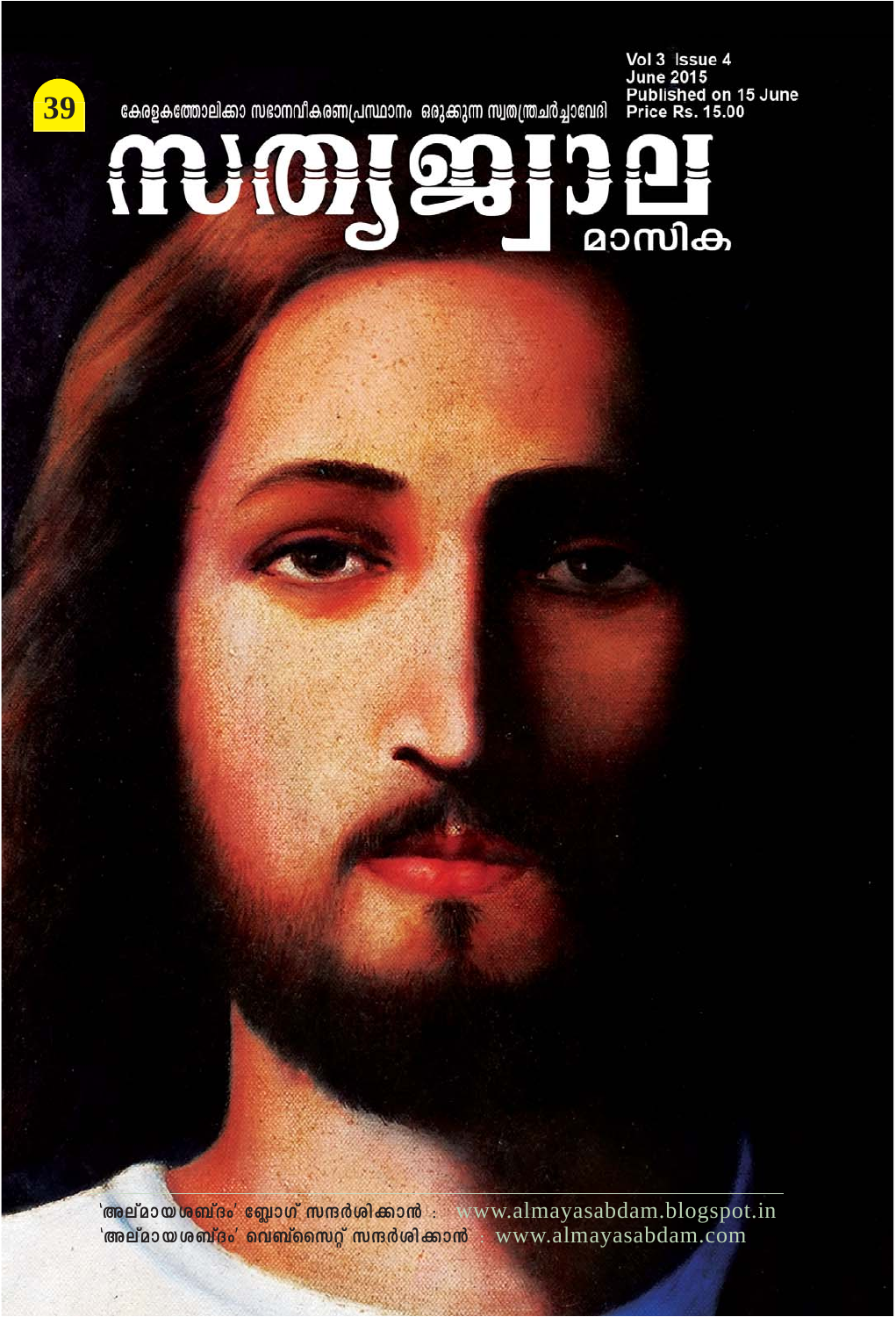

കേരളകത്തോലിക്കാ സഭാനവീകരണപ്രസ്ഥാനം ഒരുക്കുന്ന സ്വതന്ത്രചർച്ചാവേദി

**Vol 3 Issue 4<br>June 2015<br>Published on 15 June<br>Price Rs. 15.00** 



**"Aevam-b-i\_vZw' tªmKv kμ¿in-°m≥** : www.almayasabdam.blogspot.in **"Aevam-b-i\_vZw' sh\_vssk‰v kμ¿in-°m≥** : www.almayasabdam.com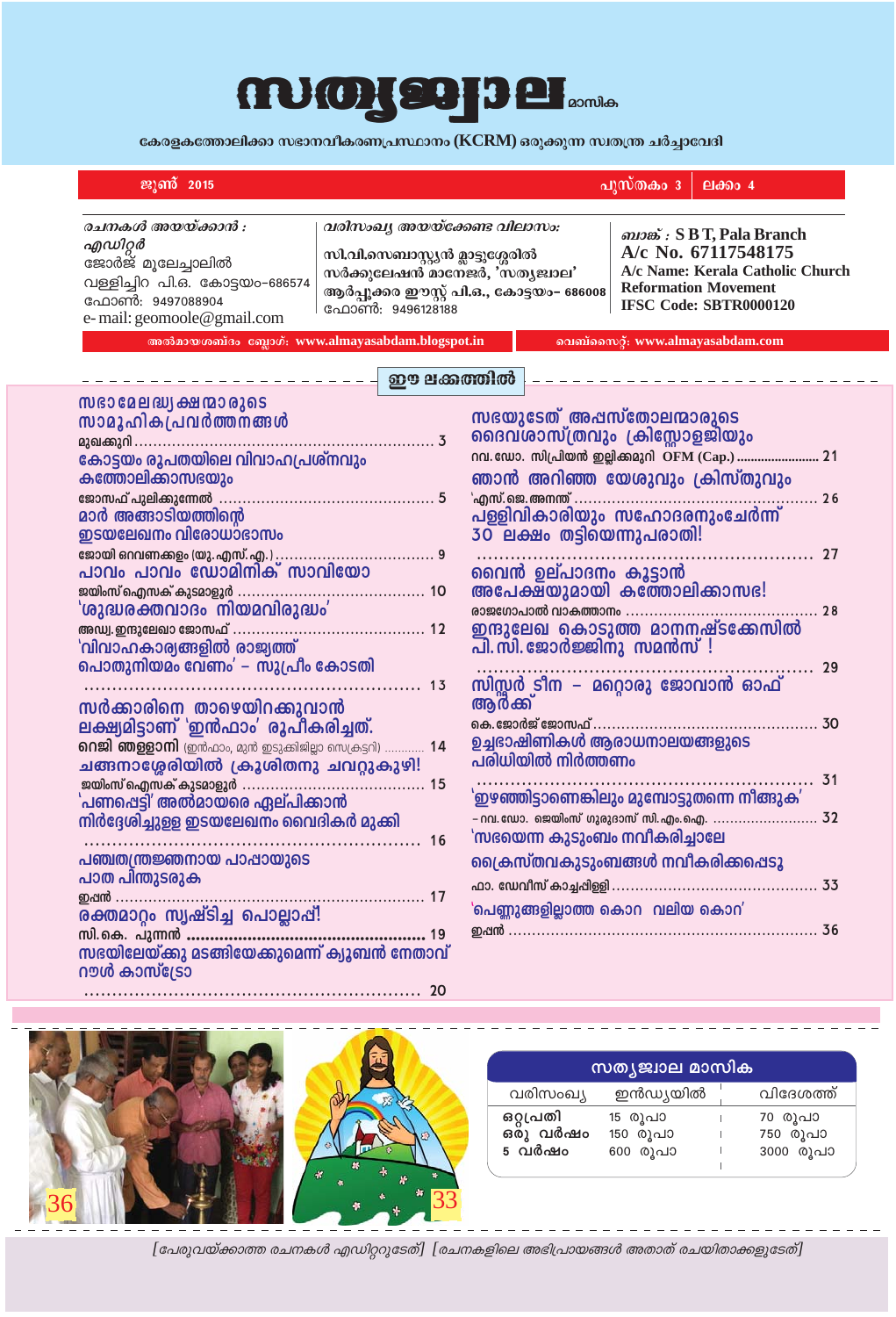## $\text{m}$ <sub>0</sub>  $\text{p}$   $\text{p}$   $\text{p}$   $\text{p}$   $\text{p}$

**കേരളകത്തോലിക്കാ സഭാനവീകരണപ്രസ്ഥാനം (KCRM) ഒരുക്കുന്ന സ്വതന്ത്ര ചർച്ചാവേദി** 

| ജൂൺ 2015                                                                                                                                                                                                                                                                                                                                                                                                                                                                                                                                                                                                                                                                                                                                                                                                                                                                                                                                                                                                                                                                                                                                                                                                                                                                                                                                                    | പുസ്തകം 3<br>ലക്കം $4$                                                                                                                                                                                                                                                                                                                                         |  |  |
|-------------------------------------------------------------------------------------------------------------------------------------------------------------------------------------------------------------------------------------------------------------------------------------------------------------------------------------------------------------------------------------------------------------------------------------------------------------------------------------------------------------------------------------------------------------------------------------------------------------------------------------------------------------------------------------------------------------------------------------------------------------------------------------------------------------------------------------------------------------------------------------------------------------------------------------------------------------------------------------------------------------------------------------------------------------------------------------------------------------------------------------------------------------------------------------------------------------------------------------------------------------------------------------------------------------------------------------------------------------|----------------------------------------------------------------------------------------------------------------------------------------------------------------------------------------------------------------------------------------------------------------------------------------------------------------------------------------------------------------|--|--|
| രചനകൾ അയയ്ക്കാൻ :<br>എഡിറ്റർ<br>ജോർജ് മൂലേച്ചാലിൽ<br>വള്ളിച്ചിറ പി.ഒ. കോട്ടയം-686574<br>ഫോൺ: 9497088904<br>e-mail: geomoole@gmail.com<br>അൽമായശബ്ദം ബ്ലോഗ്: www.almayasabdam.blogspot.in                                                                                                                                                                                                                                                                                                                                                                                                                                                                                                                                                                                                                                                                                                                                                                                                                                                                                                                                                                                                                                                                                                                                                                    | വരിസംഖ്യ അയയ്ക്കേണ്ട വിലാസം:<br>வல் : S B T, Pala Branch<br>A/c No. 67117548175<br>സി.വി.സെബാസ്റ്റ്യൻ മ്ലാട്ടുശ്ശേരിൽ<br>A/c Name: Kerala Catholic Church<br>സർക്കുലേഷൻ മാനേജർ, 'സതൃജ്വാല'<br><b>Reformation Movement</b><br>ആർപ്പൂക്കര ഈസ്റ്റ് പി.ഒ., കോട്ടയം- 686008<br><b>IFSC Code: SBTR0000120</b><br>ഫോൺ: 9496128188<br>വെബ്സൈറ്റ്: www.almayasabdam.com |  |  |
|                                                                                                                                                                                                                                                                                                                                                                                                                                                                                                                                                                                                                                                                                                                                                                                                                                                                                                                                                                                                                                                                                                                                                                                                                                                                                                                                                             | ഈ ലക്കത്തിൽ                                                                                                                                                                                                                                                                                                                                                    |  |  |
| സഭാ മേലദ്ധ്യ ക്ഷന്മാരുടെ<br>സഭയുടേത് അപ്പസ്തോലന്മാരുടെ<br>സാമൂഹികപ്രവർത്തനങ്ങൾ<br>ദൈവ്ശാസ്ത്രവും ക്രിസ്സോളജിയും<br>nn. ഡോ. സിപ്രിയൻ ഇല്ലിക്കമുറി OFM (Cap.)  21<br>കോട്ടയം രൂപതയിലെ വിവാഹപ്രശ്നവും<br>ഞാൻ അറിഞ്ഞ യേശുവും ക്രിസ്തുവും<br>കത്തോലിക്കാസഭയും<br>മാർ അങ്ങാടിയത്തിന്റെ<br>30 ലക്ഷം തട്ടിയെന്നുപരാതി!<br>ഇടയലേഖനം വിരോധാഭാസം<br>പാവം പാവം ഡോമിനിക് സാവിയോ<br>വൈൻ ഉല്പാദനം കൂട്ടാൻ<br>അപേക്ഷയുമായി കത്തോലിക്കാസഭ!<br>ജയിംസ് ഐസക് കുടമാളൂർ<br>10<br>'ശുദ്ധരക്തവാദം നിയമവിരുദ്ധം'<br>രാജഗോപാൽ വാകത്താനം<br>$\cdots$ 28<br>ഇന്ദുലേഖ കൊടുത്ത മാനനഷ്ടക്കേസിൽ<br>പി. സി. ജോർജ്ജിനു സമൻസ്!<br>പൊതുനിയമം വേണം' – സുപ്രീം കോടതി<br>. 13<br>ആർക്ക്<br>സർക്കാരിനെ താഴെയിറക്കുവാൻ<br>ലക്ഷ്യമിട്ടാണ് 'ഇൻഫാം' രൂപീകരിച്ചത്.<br>ഉച്ചഭാഷിണികൾ ആരാധനാലയങ്ങളുടെ<br><b>റെജി ഞള്ളാനി</b> (ഇൻഫാം, മുൻ ഇടുക്കിജില്ലാ സെക്രട്ടറി)  14<br>പരിധിയിൽ നിർത്തണം<br>ചങ്ങനാശ്ശേരിയിൽ ക്രൂശിതനു ചവറ്റുകുഴി!<br>'ഇഴഞ്ഞിട്ടാണെങ്കിലും മുമ്പോട്ടുതന്നെ നീങ്ങുക'<br>'പണപ്പെട്ടി' അൽമായരെ ഏല്പിക്കാൻ<br>- റവ.ഡോ. ജെയിംസ് ഗുരുദാസ് സി.എം.ഐ.  32<br>നിർദ്ദേശിച്ചുള്ള ഇടയലേഖനം വൈദികർ മുക്കി<br>'സഭയെന്ന കുടുംബം നവീകരിച്ചാലേ<br>പഞ്ചതന്ത്രജ്ഞനായ പാപ്പായുടെ<br>ക്രൈസ്തവകുടുംബങ്ങൾ നവീകരിക്കപ്പെടു<br>പാത പിന്തുടരുക<br>ഇപ്പൻ<br>'പെണ്ണുങ്ങളില്ലാത്ത കൊറ  വലിയ കൊറ'<br>രക്തമാറ്റം സ്വഷ്ടിച്ച പൊല്ലാപ്പ്!<br>സി.കെ. പുന്നൻ<br>സഭയിലേയ്ക്കു മടങ്ങിയേക്കുമെന്ന് ക്യൂബൻ നേതാവ്<br>ഗാർ കാസ്ട്രോ |                                                                                                                                                                                                                                                                                                                                                                |  |  |



**............................................................ 20**

| സത്യജ്വാല മാസിക                 |                                 |  |                                         |  |
|---------------------------------|---------------------------------|--|-----------------------------------------|--|
| വരിസംഖ്യ                        | ഇൻഡ്യയിൽ                        |  | വിദേശത്ത്                               |  |
| ഒറ്റപ്രതി<br>ഒരു വർഷം<br>5 വർഷം | 15 രുപാ<br>150 രൂപാ<br>600 രൂപാ |  | 70 രുപാ<br>750 രൂപാ<br><b>3000 രൂപാ</b> |  |

 $[$ പേരുവയ്ക്കാത്ത രചനകൾ എഡിറ്ററുടേത്]  $[$ രചനകളിലെ അഭിപ്രായങ്ങൾ അതാത് രചയിതാക്കളുടേത്]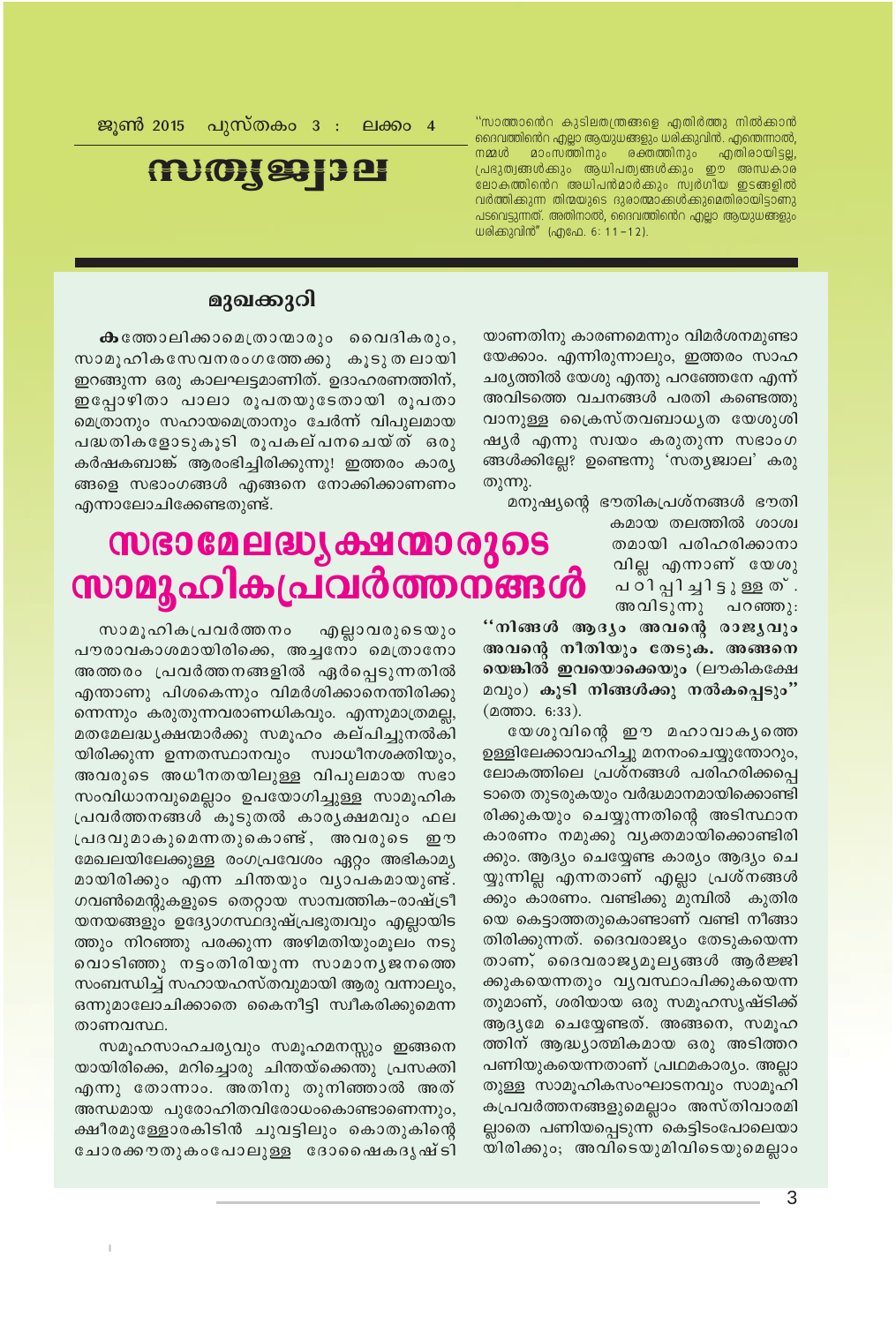''സാത്താൻെറ കുടിലതന്ത്രങ്ങളെ എതിർത്തു നിൽക്കാൻ ദൈവത്തിൻെറ എല്ലാ ആയുധങ്ങളും ധരിക്കുവിൻ. എന്തെന്നാൽ, നമ്മൾ മാംസത്തിനും രക്തത്തിനും എതിരായിട്ടല്ല, പ്രഭുത്വങ്ങൾക്കും ആധിപത്യങ്ങൾക്കും ഈ അന്ധകാര ലോകത്തിൻെറ അധിപൻമാർക്കും സ്വർഗീയ ഇടങ്ങളിൽ വർത്തിക്കുന്ന തിന്മയുടെ ദുരാത്മാക്കൾക്കുമെതിരായിട്ടാണു പടവെട്ടുന്നത്. അതിനാൽ, ദൈവത്തിൻെറ എല്ലാ ആയുധങ്ങളും ധരിക്കുവിൻ" (എഫേ. 6: 11-12).

ജൂൺ 2015 പുസ്തകം 3 : ലക്കം 4

## mmg 93 3 8

### മുഖക്കുറി

**ക**ത്തോലിക്കാമെത്രാന്മാരും വൈദികരും, സാമൂഹികസേവനരംഗത്തേക്കു കൂടുതലായി ഇറങ്ങുന്ന ഒരു കാലഘട്ടമാണിത്. ഉദാഹരണത്തിന്, ഇപ്പോഴിതാ പാലാ രൂപതയുടേതായി രൂപതാ മെത്രാനും സഹായമെത്രാനും ചേർന്ന് വിപുലമായ പദ്ധതികളോടുകൂടി രൂപകല്പനചെയ്ത് ഒരു കർഷകബാങ്ക് ആരംഭിച്ചിരിക്കുന്നു! ഇത്തരം കാര്യ ങ്ങളെ സഭാംഗങ്ങൾ എങ്ങനെ നോക്കിക്കാണണം എന്നാലോചിക്കേണ്ടതുണ്ട്.

## **സഭാമേലദ്ധ്യക്ഷന്മാരുടെ** സാമൂഹികപ്രവർത്തന്ങൻ

സാമൂഹികപ്രവർത്തനം എല്ലാവരുടെയും പൗരാവകാശമായിരിക്കെ, അച്ചനോ മെത്രാനോ അത്തരം പ്രവർത്തനങ്ങളിൽ ഏർപ്പെടുന്നതിൽ എന്താണു പിശകെന്നും വിമർശിക്കാനെന്തിരിക്കു ന്നെന്നും കരുതുന്നവരാണധികവും. എന്നുമാത്രമല്ല, മതമേലദ്ധ്യക്ഷന്മാർക്കു സമൂഹം കല്പിച്ചുനൽകി യിരിക്കുന്ന ഉന്നതസ്ഥാനവും സ്വാധീനശക്തിയും, അവരുടെ അധീനതയിലുള്ള വിപുലമായ സഭാ സംവിധാനവുമെല്ലാം ഉപയോഗിച്ചുള്ള സാമൂഹിക പ്രവർത്തനങ്ങൾ കൂടുതൽ കാരൃക്ഷമവും ഫല പ്രദവുമാകുമെന്നതുകൊണ്ട്, അവരുടെ ഈ മേഖലയിലേക്കുള്ള രംഗപ്രവേശം ഏറ്റം അഭികാമ്യ മായിരിക്കും എന്ന ചിന്തയും വൃാപകമായുണ്ട്. ഗവൺമെന്റുകളുടെ തെറ്റായ സാമ്പത്തിക-രാഷ്ട്രീ യനയങ്ങളും ഉദ്യോഗസ്ഥദുഷ്പ്രഭുത്വവും എല്ലായിട ത്തും നിറഞ്ഞു പരക്കുന്ന അഴിമതിയുംമൂലം നടു വൊടിഞ്ഞു നട്ടംതിരിയുന്ന സാമാനൃജനത്തെ സംബന്ധിച്ച് സഹായഹസ്തവുമായി ആരു വന്നാലും, ഒന്നുമാലോചിക്കാതെ കൈനീട്ടി സ്വീകരിക്കുമെന്ന താണവസ്ഥ.

സമൂഹസാഹചര്യവും സമൂഹമനസ്സും ഇങ്ങനെ യായിരിക്കെ, മറിച്ചൊരു ചിന്തയ്ക്കെന്തു പ്രസക്തി എന്നു തോന്നാം. അതിനു തുനിഞ്ഞാൽ അത് അന്ധമായ പുരോഹിതവിരോധംകൊണ്ടാണെന്നും, ക്ഷീരമുള്ളോരകിടിൻ ചുവട്ടിലും കൊതുകിന്റെ ചോരക്കൗതുകംപോലുള്ള ദോഷൈകദൃഷ്ടി യാണതിനു കാരണമെന്നും വിമർശനമുണ്ടാ യേക്കാം. എന്നിരുന്നാലും, ഇത്തരം സാഹ ചര്യത്തിൽ യേശു എന്തു പറഞ്ഞേനേ എന്ന് അവിടത്തെ വചനങ്ങൾ പരതി കണ്ടെത്തു വാനുള്ള ക്രൈസ്തവബാധൃത യേശുശി ഷൃർ എന്നു സ്വയം കരുതുന്ന സഭാംഗ ങ്ങൾക്കില്ലേ? ഉണ്ടെന്നു 'സത്യജ്വാല' കരു തുന്നു.

മനുഷ്യന്റെ ഭൗതികപ്രശ്നങ്ങൾ ഭൗതി

കമായ തലത്തിൽ ശാശ്വ തമായി പരിഹരിക്കാനാ വില്ല എന്നാണ് യേശു പഠിപ്പിച്ചിട്ടുള്ള ത് . അവിടുന്നു പറഞ്ഞു:

"നിങ്ങൾ ആദ്യം അവന്റെ രാജ്യവും അവന്റെ നീതിയും തേടുക. അങ്ങനെ യെങ്കിൽ ഇവയൊക്കെയും (ലൗകികക്ഷേ മവും) കൂടി നിങ്ങൾക്കു നൽകപ്പെടും" (മത്താ. 6:33).

യേശുവിന്റെ ഈ മഹാവാകൃത്തെ ഉള്ളിലേക്കാവാഹിച്ചു മനനംചെയ്യുന്തോറും, ലോകത്തിലെ പ്രശ്നങ്ങൾ പരിഹരിക്കപ്പെ ടാതെ തുടരുകയും വർദ്ധമാനമായിക്കൊണ്ടി രിക്കുകയും ചെയ്യുന്നതിന്റെ അടിസ്ഥാന കാരണം നമുക്കു വൃക്തമായിക്കൊണ്ടിരി ക്കും. ആദ്യം ചെയ്യേണ്ട കാര്യം ആദ്യം ചെ യ്യുന്നില്ല എന്നതാണ് എല്ലാ പ്രശ്നങ്ങൾ ക്കും കാരണം. വണ്ടിക്കു മുമ്പിൽ കുതിര യെ കെട്ടാത്തതുകൊണ്ടാണ് വണ്ടി നീങ്ങാ തിരിക്കുന്നത്. ദൈവരാജ്യം തേടുകയെന്ന താണ്, ദൈവരാജ്യമൂല്യങ്ങൾ ആർജ്ജി ക്കുകയെന്നതും വൃവസ്ഥാപിക്കുകയെന്ന തുമാണ്, ശരിയായ ഒരു സമൂഹസൃഷ്ടിക്ക് ആദൃമേ ചെയ്യേണ്ടത്. അങ്ങനെ, സമൂഹ ത്തിന് ആദ്ധ്യാത്മികമായ ഒരു അടിത്തറ പണിയുകയെന്നതാണ് പ്രഥമകാര്യം. അല്ലാ തുള്ള സാമൂഹികസംഘാടനവും സാമൂഹി കപ്രവർത്തനങ്ങളുമെല്ലാം അസ്തിവാരമി ല്ലാതെ പണിയപ്പെടുന്ന കെട്ടിടംപോലെയാ യിരിക്കും; അവിടെയുമിവിടെയുമെല്ലാം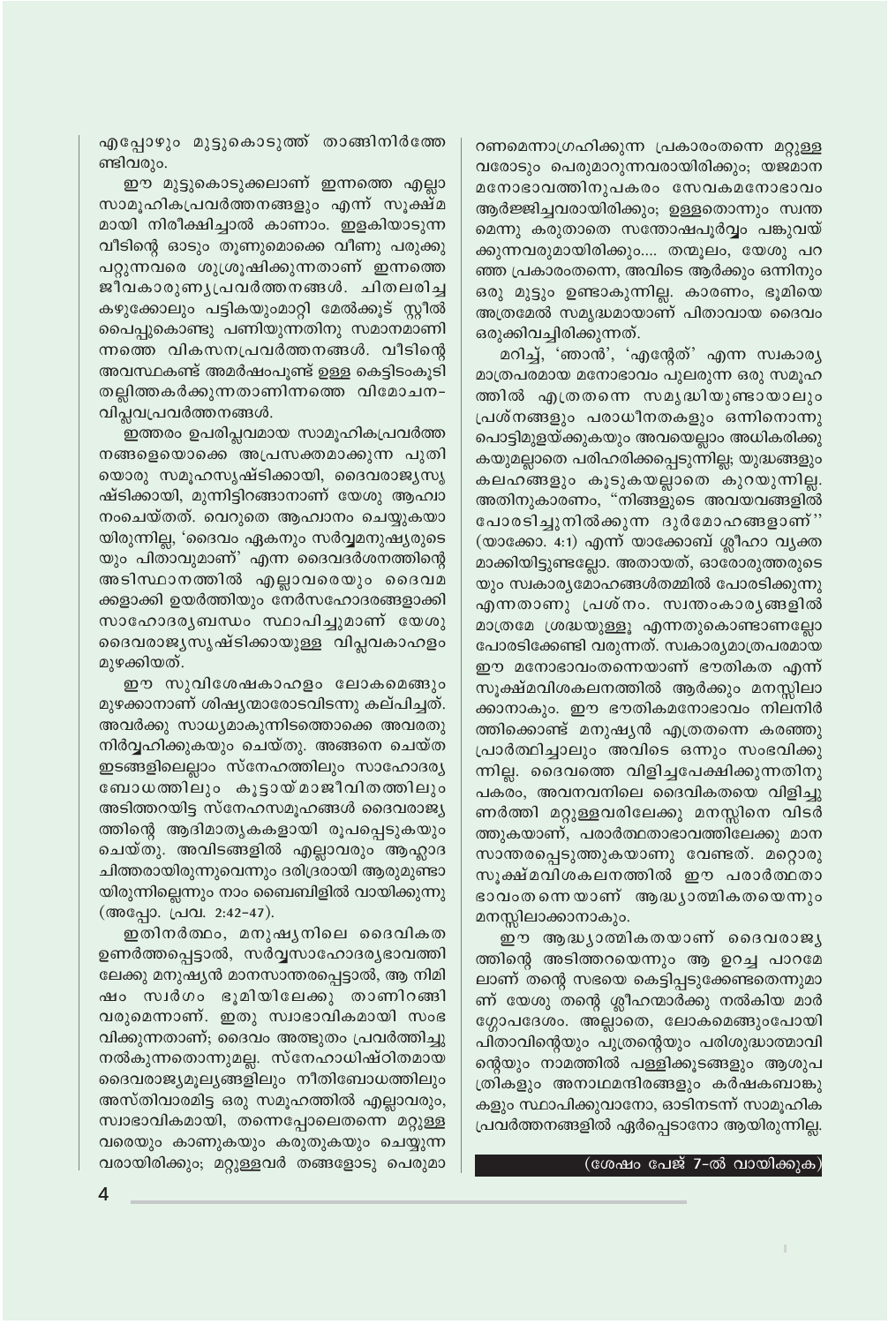എപ്പോഴും മുട്ടുകൊടുത്ത് താങ്ങിനിർത്തേ ണ്ടിവരും.

ഈ മുട്ടുകൊടുക്കലാണ് ഇന്നത്തെ എല്ലാ സാമൂഹികപ്രവർത്തനങ്ങളും എന്ന് സൂക്ഷ്മ മായി നിരീക്ഷിച്ചാൽ കാണാം. ഇളകിയാടുന്ന വീടിന്റെ ഓടും തൂണുമൊക്കെ വീണു പരുക്കു പറ്റുന്നവരെ ശുശ്രൂഷിക്കുന്നതാണ് ഇന്നത്തെ ജീവകാരുണൃപ്രവർത്തനങ്ങൾ. ചിതലരിച്ച കഴുക്കോലും പട്ടികയുംമാറ്റി മേൽക്കൂട് സ്റ്റീൽ പൈപ്പുകൊണ്ടു പണിയുന്നതിനു സമാനമാണി ന്നത്തെ വികസനപ്രവർത്തനങ്ങൾ. വീടിന്റെ അവസ്ഥകണ്ട് അമർഷംപൂണ്ട് ഉള്ള കെട്ടിടംകൂടി തല്ലിത്തകർക്കുന്നതാണിന്നത്തെ വിമോചന-വിപ്ലവപ്രവർത്തനങ്ങൾ.

ഇത്തരം ഉപരിപ്ലവമായ സാമൂഹികപ്രവർത്ത നങ്ങളെയൊക്കെ അപ്രസക്തമാക്കുന്ന പുതി യൊരു സമൂഹസൃഷ്ടിക്കായി, ദൈവരാജ്യസൃ ഷ്ടിക്കായി, മുന്നിട്ടിറങ്ങാനാണ് യേശു ആഹ്വാ നംചെയ്തത്. വെറുതെ ആഹ്വാനം ചെയ്യുകയാ യിരുന്നില്ല, 'ദൈവം ഏകനും സർവ്വമനുഷ്യരുടെ യും പിതാവുമാണ്' എന്ന ദൈവദർശനത്തിന്റെ അടിസ്ഥാനത്തിൽ എല്ലാവരെയും ദൈവമ ക്കളാക്കി ഉയർത്തിയും നേർസഹോദരങ്ങളാക്കി സാഹോദരൃബന്ധം സ്ഥാപിച്ചുമാണ് യേശു ദൈവരാജ്യസൃഷ്ടിക്കായുള്ള വിപ്ലവകാഹളം മുഴക്കിയത്.

ഈ സുവിശേഷകാഹളം ലോകമെങ്ങും മുഴക്കാനാണ് ശിഷ്യന്മാരോടവിടന്നു കല്പിച്ചത്. അവർക്കു സാധ്യമാകുന്നിടത്തൊക്കെ അവരതു നിർവ്വഹിക്കുകയും ചെയ്തു. അങ്ങനെ ചെയ്ത ഇടങ്ങളിലെല്ലാം സ്നേഹത്തിലും സാഹോദര്യ ബോധത്തിലും കൂട്ടായ്മാജീവിതത്തിലും അടിത്തറയിട്ട സ്നേഹസമൂഹങ്ങൾ ദൈവരാജ്യ ത്തിന്റെ ആദിമാതൃകകളായി രൂപപ്പെടുകയും ചെയ്തു. അവിടങ്ങളിൽ എല്ലാവരും ആഹ്ലാദ ചിത്തരായിരുന്നുവെന്നും ദരിദ്രരായി ആരുമുണ്ടാ യിരുന്നില്ലെന്നും നാം ബൈബിളിൽ വായിക്കുന്നു (അപ്പോ. പ്രവ. 2:42-47).

ഇതിനർത്ഥം, മനുഷൃനിലെ ദൈവികത ഉണർത്തപ്പെട്ടാൽ, സർവ്വസാഹോദര്യഭാവത്തി ലേക്കു മനുഷ്യൻ മാനസാന്തരപ്പെട്ടാൽ, ആ നിമി ഷം സ്വർഗം ഭൂമിയിലേക്കു താണിറങ്ങി വരുമെന്നാണ്. ഇതു സ്വാഭാവികമായി സംഭ വിക്കുന്നതാണ്; ദൈവം അത്ഭുതം പ്രവർത്തിച്ചു നൽകുന്നതൊന്നുമല്ല. സ്നേഹാധിഷ്ഠിതമായ ദൈവരാജ്യമൂല്യങ്ങളിലും നീതിബോധത്തിലും അസ്തിവാരമിട്ട ഒരു സമൂഹത്തിൽ എല്ലാവരും, സ്വാഭാവികമായി, തന്നെപ്പോലെതന്നെ മറ്റുള്ള വരെയും കാണുകയും കരുതുകയും ചെയ്യുന്ന വരായിരിക്കും; മറ്റുള്ളവർ തങ്ങളോടു പെരുമാ റണമെന്നാഗ്രഹിക്കുന്ന പ്രകാരംതന്നെ മറ്റുള്ള വരോടും പെരുമാറുന്നവരായിരിക്കും; യജമാന മനോഭാവത്തിനുപകരം സേവകമനോഭാവം ആർജ്ജിച്ചവരായിരിക്കും; ഉള്ളതൊന്നും സ്വന്ത മെന്നു കരുതാതെ സന്തോഷപൂർവ്വം പങ്കുവയ് ക്കുന്നവരുമായിരിക്കും.... തന്മൂലം, യേശു പറ ഞ്ഞ പ്രകാരംതന്നെ, അവിടെ ആർക്കും ഒന്നിനും ഒരു മുട്ടും ഉണ്ടാകുന്നില്ല. കാരണം, ഭൂമിയെ അത്രമേൽ സമൃദ്ധമായാണ് പിതാവായ ദൈവം ഒരുക്കിവച്ചിരിക്കുന്നത്.

മറിച്ച്, 'ഞാൻ', 'എന്റേത്' എന്ന സ്വകാര്യ മാത്രപരമായ മനോഭാവം പുലരുന്ന ഒരു സമൂഹ ത്തിൽ എത്രതന്നെ സമൃദ്ധിയുണ്ടായാലും പ്രശ്നങ്ങളും പരാധീനതകളും ഒന്നിനൊന്നു പൊട്ടിമുളയ്ക്കുകയും അവയെല്ലാം അധികരിക്കു കയുമല്ലാതെ പരിഹരിക്കപ്പെടുന്നില്ല; യുദ്ധങ്ങളും കലഹങ്ങളും കൂടുകയല്ലാതെ കുറയുന്നില്ല. അതിനുകാരണം, "നിങ്ങളുടെ അവയവങ്ങളിൽ പോരടിച്ചുനിൽക്കുന്ന ദുർമോഹങ്ങളാണ്" (യാക്കോ. 4:1) എന്ന് യാക്കോബ് ശ്ലീഹാ വ്യക്ത മാക്കിയിട്ടുണ്ടല്ലോ. അതായത്, ഓരോരുത്തരുടെ യും സ്വകാര്യമോഹങ്ങൾതമ്മിൽ പോരടിക്കുന്നു എന്നതാണു പ്രശ്നം. സ്വന്തംകാരൃങ്ങളിൽ മാത്രമേ ശ്രദ്ധയുള്ളൂ എന്നതുകൊണ്ടാണല്ലോ പോരടിക്കേണ്ടി വരുന്നത്. സ്വകാര്യമാത്രപരമായ ഈ മനോഭാവംതന്നെയാണ് ഭൗതികത എന്ന് സൂക്ഷ്മവിശകലനത്തിൽ ആർക്കും മനസ്സിലാ ക്കാനാകും. ഈ ഭൗതികമനോഭാവം നിലനിർ ത്തിക്കൊണ്ട് മനുഷ്യൻ എത്രതന്നെ കരഞ്ഞു പ്രാർത്ഥിച്ചാലും അവിടെ ഒന്നും സംഭവിക്കു ന്നില്ല. ദൈവത്തെ വിളിച്ചപേക്ഷിക്കുന്നതിനു പകരം, അവനവനിലെ ദൈവികതയെ വിളിച്ചു ണർത്തി മറ്റുള്ളവരിലേക്കു മനസ്സിനെ വിടർ ത്തുകയാണ്, പരാർത്ഥതാഭാവത്തിലേക്കു മാന സാന്തരപ്പെടുത്തുകയാണു വേണ്ടത്. മറ്റൊരു സുക്ഷ്മവിശകലനത്തിൽ ഈ പരാർത്ഥതാ ഭാവംതന്നെയാണ് ആദ്ധ്യാത്മികതയെന്നും മനസ്സിലാക്കാനാകും.

ഈ ആദ്ധ്യാത്മികതയാണ് ദൈവരാജ്യ ത്തിന്റെ അടിത്തറയെന്നും ആ ഉറച്ച പാറമേ ലാണ് തന്റെ സഭയെ കെട്ടിപ്പടുക്കേണ്ടതെന്നുമാ ണ് യേശു തന്റെ ശ്ലീഹന്മാർക്കു നൽകിയ മാർ ഗ്ഗോപദേശം. അല്ലാതെ, ലോകമെങ്ങുംപോയി പിതാവിന്റെയും പുത്രന്റെയും പരിശുദ്ധാത്മാവി ന്റെയും നാമത്തിൽ പള്ളിക്കുടങ്ങളും ആശുപ ത്രികളും അനാഥമന്ദിരങ്ങളും കർഷകബാങ്കു കളും സ്ഥാപിക്കുവാനോ, ഓടിനടന്ന് സാമൂഹിക പ്രവർത്തനങ്ങളിൽ ഏർപ്പെടാനോ ആയിരുന്നില്ല.

(ശേഷം പേജ് 7-ൽ വായിക്കുക)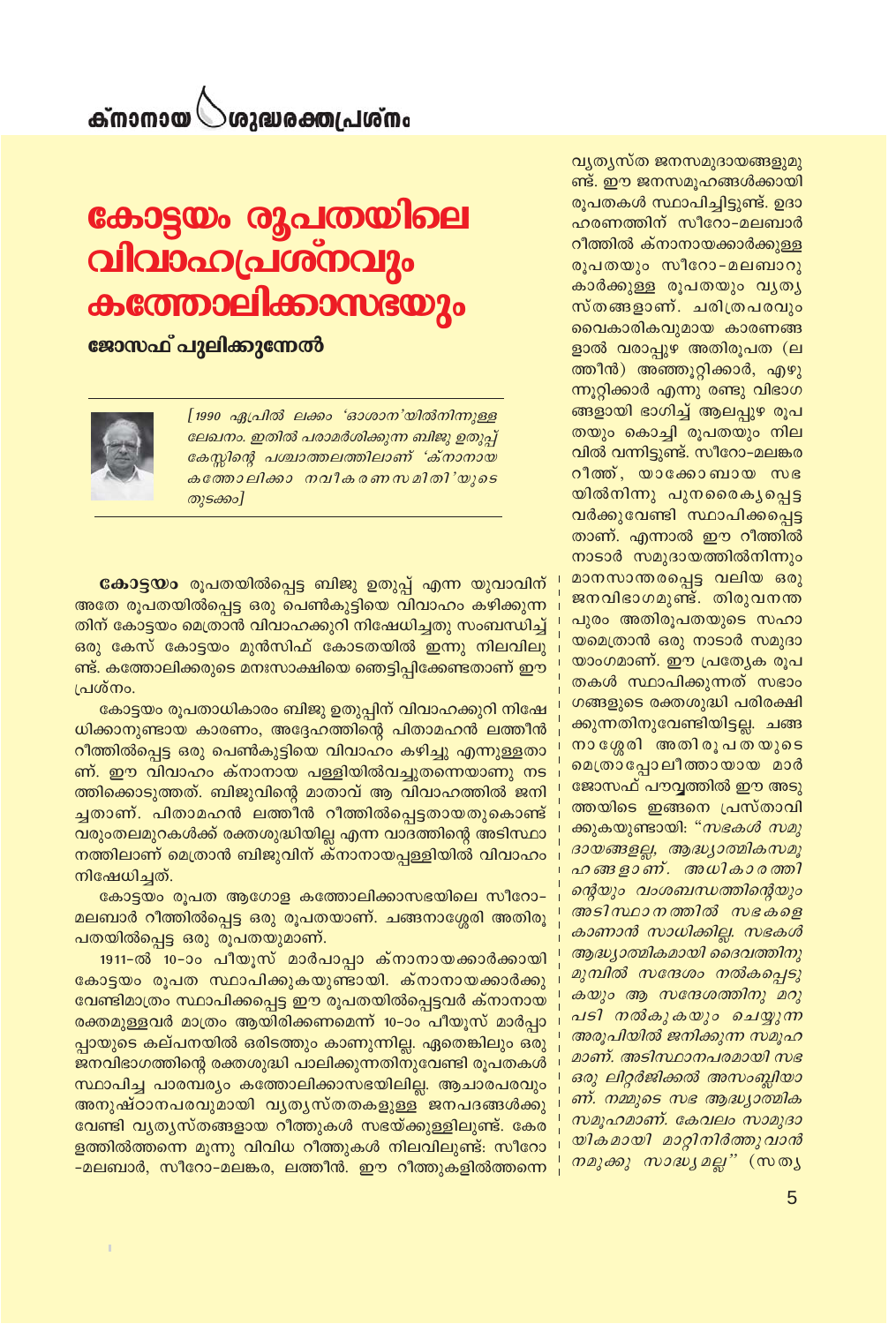### ം<br>സ്**ഖ**പ്രതക്കുവര് ക്നാനായ $\mathbb C$

## കോട്ടയം രൂപതയിലെ വിവാഹപ്രശ്നവും കത്തോലിക്കാസഭയും <mark>ജോസഫ് പുലിക്കുന്നേൽ</mark>

[1990 ഏപ്രിൽ ലക്കം 'ഓശാന'യിൽനിന്നുള്ള ലേഖനം. ഇതിൽ പരാമർശിക്കുന്ന ബിജു ഉതുപ്പ് കേസ്സിന്റെ പശ്ചാത്തലത്തിലാണ് 'ക്നാനായ കത്തോലിക്കാ നവീകരണസമിതി'യുടെ തുടക്കം]

**കോട്ടയം** രൂപതയിൽപ്പെട്ട ബിജു ഉതുപ്പ് എന്ന യുവാവിന് അതേ രൂപതയിൽപ്പെട്ട ഒരു പെൺകുട്ടിയെ വിവാഹം കഴിക്കുന്ന തിന് കോട്ടയം മെത്രാൻ വിവാഹക്കുറി നിഷേധിച്ചതു സംബന്ധിച്ച് ഒരു കേസ് കോട്ടയം മുൻസിഫ് കോടതയിൽ ഇന്നു നിലവിലു ണ്ട്. കത്തോലിക്കരുടെ മനഃസാക്ഷിയെ ഞെട്ടിപ്പിക്കേണ്ടതാണ് ഈ പ്രശ്നം.

കോട്ടയം രൂപതാധികാരം ബിജു ഉതുപ്പിന് വിവാഹക്കുറി നിഷേ ധിക്കാനുണ്ടായ കാരണം, അദ്ദേഹത്തിന്റെ പിതാമഹൻ ലത്തീൻ റീത്തിൽപ്പെട്ട ഒരു പെൺകുട്ടിയെ വിവാഹം കഴിച്ചു എന്നുള്ളതാ ണ്. ഈ വിവാഹം ക്നാനായ പള്ളിയിൽവച്ചുതന്നെയാണു നട ത്തിക്കൊടുത്തത്. ബിജുവിന്റെ മാതാവ് ആ വിവാഹത്തിൽ ജനി ച്ചതാണ്. പിതാമഹൻ ലത്തീൻ റീത്തിൽപ്പെട്ടതായതുകൊണ്ട് വരുംതലമുറകൾക്ക് രക്തശുദ്ധിയില്ല എന്ന വാദത്തിന്റെ അടിസ്ഥാ നത്തിലാണ് മെത്രാൻ ബിജുവിന് ക്നാനായപ്പള്ളിയിൽ വിവാഹം നിഷേധിച്ചത്.

കോട്ടയം രൂപത ആഗോള കത്തോലിക്കാസഭയിലെ സീറോ-മലബാർ റീത്തിൽപ്പെട്ട ഒരു രൂപതയാണ്. ചങ്ങനാശ്ശേരി അതിരൂ പതയിൽപ്പെട്ട ഒരു രൂപതയുമാണ്.

1911-ൽ 10−ാം പീയൂസ് മാർപാപ്പാ ക്നാനായക്കാർക്കായി കോട്ടയം രൂപത സ്ഥാപിക്കുകയുണ്ടായി. ക്നാനായക്കാർക്കു വേണ്ടിമാത്രം സ്ഥാപിക്കപ്പെട്ട ഈ രൂപതയിൽപ്പെട്ടവർ ക്നാനായ രക്തമുള്ളവർ മാത്രം ആയിരിക്കണമെന്ന് 10–ാം പീയൂസ് മാർപ്പാ പ്പായുടെ കല്പനയിൽ ഒരിടത്തും കാണുന്നില്ല. ഏതെങ്കിലും ഒരു ജനവിഭാഗത്തിന്റെ രക്തശുദ്ധി പാലിക്കുന്നതിനുവേണ്ടി രൂപതകൾ സ്ഥാപിച്ച പാരമ്പര്യം കത്തോലിക്കാസഭയിലില്ല. ആചാരപരവും അനുഷ്ഠാനപരവുമായി വൃതൃസ്തതകളുള്ള ജനപദങ്ങൾക്കു വേണ്ടി വൃതൃസ്തങ്ങളായ റീത്തുകൾ സഭയ്ക്കുള്ളിലുണ്ട്. കേര ളത്തിൽത്തന്നെ മൂന്നു വിവിധ റീത്തുകൾ നിലവിലുണ്ട്: സീറോ -മലബാർ, സീറോ-മലങ്കര, ലത്തീൻ. ഈ റീത്തുകളിൽത്തന്നെ

വ്യത്യസ്ത ജനസമുദായങ്ങളുമു ണ്ട്. ഈ ജനസമൂഹങ്ങൾക്കായി രൂപതകൾ സ്ഥാപിച്ചിട്ടുണ്ട്. ഉദാ ഹരണത്തിന് സീറോ-മലബാർ റീത്തിൽ ക്നാനായക്കാർക്കുള്ള രൂപതയും സീറോ-മലബാറു കാർക്കുള്ള രൂപതയും വൃതൃ സ്തങ്ങളാണ്. ചരിത്രപരവും വൈകാരികവുമായ കാരണങ്ങ ളാൽ വരാപ്പുഴ അതിരൂപത (ല ത്തീൻ) അഞ്ഞൂറ്റിക്കാർ, എഴു ന്നൂറ്റിക്കാർ എന്നു രണ്ടു വിഭാഗ ങ്ങളായി ഭാഗിച്ച് ആലപ്പുഴ രൂപ തയും കൊച്ചി രൂപതയും നില വിൽ വന്നിട്ടുണ്ട്. സീറോ–മലങ്കര റീതത്, യാക്കോബായ സഭ യിൽനിന്നു പുനരൈകൃപ്പെട്ട വർക്കുവേണ്ടി സ്ഥാപിക്കപ്പെട്ട താണ്. എന്നാൽ ഈ റീത്തിൽ നാടാർ സമുദായത്തിൽനിന്നും മാനസാന്തരപ്പെട്ട വലിയ ഒരു ജനവിഭാഗമുണ്ട്. തിരുവനന്ത പുരം അതിരൂപതയുടെ സഹാ യമെത്രാൻ ഒരു നാടാർ സമുദാ യാംഗമാണ്. ഈ പ്രത്യേക രൂപ തകൾ സ്ഥാപിക്കുന്നത് സഭാം ഗങ്ങളുടെ രക്തശുദ്ധി പരിരക്ഷി ക്കുന്നതിനുവേണ്ടിയിട്ടല്ല. ചങ്ങ നാശ്ശേരി അതിരൂപതയുടെ മെത്രാപ്പോലീത്തായായ മാർ ജോസഫ് പൗവ്വത്തിൽ ഈ അടു ത്തയിടെ ഇങ്ങനെ പ്രസ്താവി ക്കുകയുണ്ടായി: "*സഭകൾ സമു* ദായങ്ങളല്ല, ആദ്ധ്യാത്മികസമൂ ഹങ്ങളാണ്. അധികാരത്തി ന്റെയും വംശബന്ധത്തിന്റെയും അടിസ്ഥാനത്തിൽ സഭകളെ കാണാൻ സാധിക്കില്ല. സഭകൾ ആദ്ധ്യാത്മികമായി ദൈവത്തിനു മുമ്പിൽ സന്ദേശം നൽകപ്പെടു കയും ആ സന്ദേശത്തിനു മറു പടി നൽകുകയും ചെയ്യുന്ന അരൂപിയിൽ ജനിക്കുന്ന സമൂഹ മാണ്. അടിസ്ഥാനപരമായി സഭ ഒരു ലിറ്റർജിക്കൽ അസംബ്ലിയാ ണ്. നമ്മുടെ സഭ ആദ്ധ്യാത്മിക സമൂഹമാണ്. കേവലം സാമുദാ യികമായി മാറ്റിനിർത്തുവാൻ *നമുക്കു സാദ്ധ്യമല്ല"* (സത്യ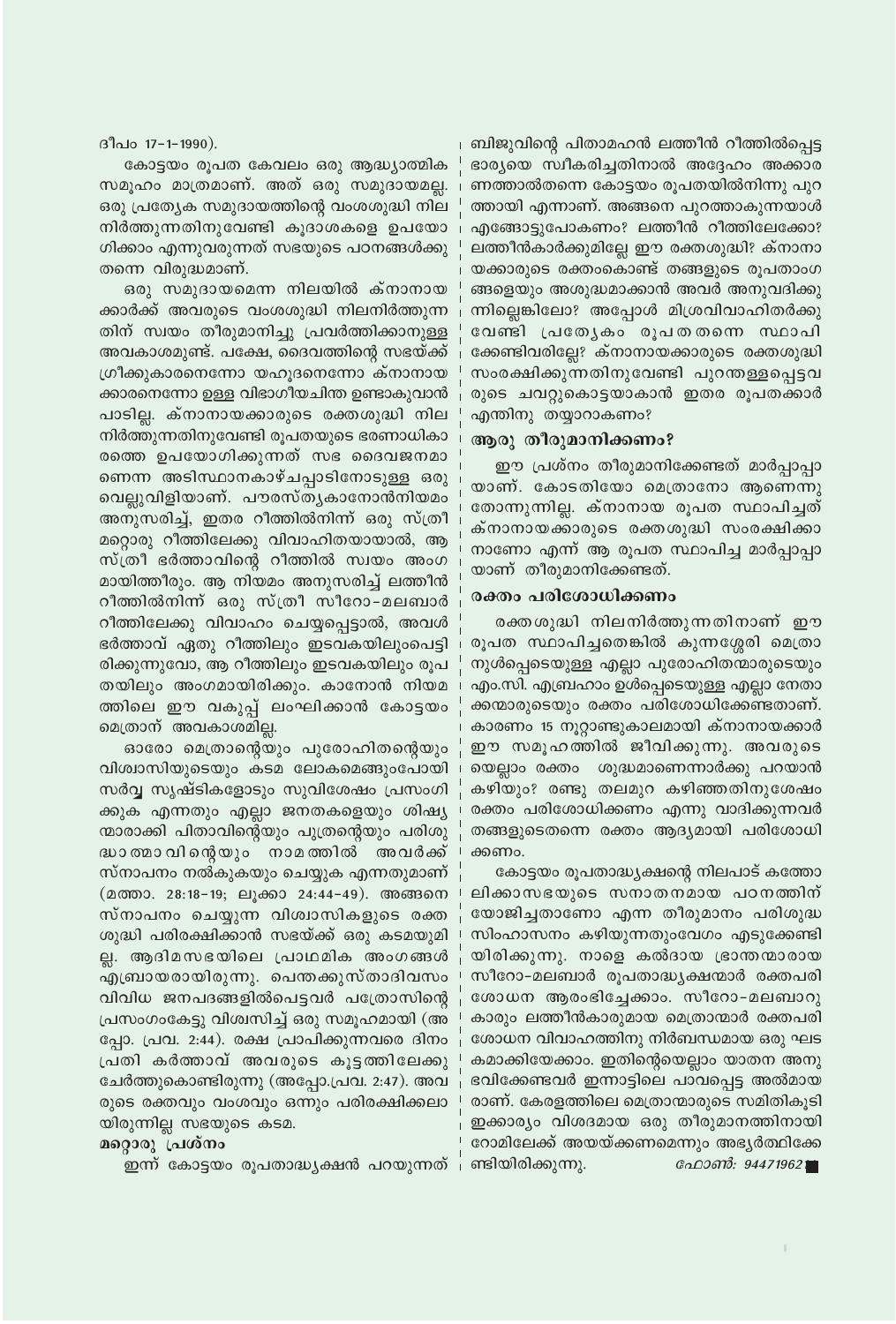ദീപ൦ 17-1-1990).

കോട്ടയം രൂപത കേവലം ഒരു ആദ്ധ്യാത്മിക സമുഹം മാത്രമാണ്. അത് ഒരു സമുദായമല്ല. ഒരു പ്രത്യേക സമുദായത്തിന്റെ വംശശുദ്ധി നില നിർത്തുന്നതിനുവേണ്ടി കുദാശകളെ ഉപയോ ഗിക്കാം എന്നുവരുന്നത് സഭയുടെ പഠനങ്ങൾക്കു തന്നെ വിരുദ്ധമാണ്.

ഒരു സമുദായമെന്ന നിലയിൽ ക്നാനായ ക്കാർക്ക് അവരുടെ വംശശുദ്ധി നിലനിർത്തുന്ന തിന് സ്വയം തീരുമാനിച്ചു പ്രവർത്തിക്കാനുള്ള അവകാശമുണ്ട്. പക്ഷേ, ദൈവത്തിന്റെ സഭയ്ക്ക് ഗ്രീക്കുകാരനെന്നോ യഹുദനെന്നോ ക്നാനായ ക്കാരനെന്നോ ഉള്ള വിഭാഗീയചിന്ത ഉണ്ടാകുവാൻ പാടില്ല. ക്നാനായക്കാരുടെ രക്തശുദ്ധി നില നിർത്തുന്നതിനുവേണ്ടി രൂപതയുടെ ഭരണാധികാ രത്തെ ഉപയോഗിക്കുന്നത് സഭ ദൈവജനമാ ണെന്ന അടിസ്ഥാനകാഴ്ചപ്പാടിനോടുള്ള ഒരു വെല്ലുവിളിയാണ്. പൗരസ്തൃകാനോൻനിയമം അനുസരിച്ച്, ഇതര റീത്തിൽനിന്ന് ഒരു സ്ത്രീ മറ്റൊരു റീത്തിലേക്കു വിവാഹിതയായാൽ, ആ സ്ത്രീ ഭർത്താവിന്റെ റീത്തിൽ സ്വയം അംഗ മായിത്തീരും. ആ നിയമം അനുസരിച്ച് ലത്തീൻ റീത്തിൽനിന്ന് ഒരു സ്ത്രീ സീറോ-മലബാർ റീത്തിലേക്കു വിവാഹം ചെയ്യപ്പെട്ടാൽ, അവൾ ഭർത്താവ് ഏതു റീത്തിലും ഇടവകയിലുംപെട്ടി രിക്കുന്നുവോ, ആ റീത്തിലും ഇടവകയിലും രൂപ തയിലും അംഗമായിരിക്കും. കാനോൻ നിയമ ത്തിലെ ഈ വകുപ്പ് ലംഘിക്കാൻ കോട്ടയം മെത്രാന് അവകാശമില്ല.

ഓരോ മെത്രാന്റെയും പുരോഹിതന്റെയും വിശ്വാസിയുടെയും കടമ ലോകമെങ്ങുംപോയി സർവ്വ സൃഷ്ടികളോടും സുവിശേഷം പ്രസംഗി ക്കുക എന്നതും എല്ലാ ജനതകളെയും ശിഷ്യ ന്മാരാക്കി പിതാവിന്റെയും പുത്രന്റെയും പരിശു ദ്ധാതമാവിന്റെയും നാമത്തിൽ അവർക്ക് സ്നാപനം നൽകുകയും ചെയ്യുക എന്നതുമാണ് (മത്താ. 28:18–19; ലൂക്കാ 24:44–49). അങ്ങനെ സ്നാപനം ചെയ്യുന്ന വിശ്വാസികളുടെ രക്ത ശുദ്ധി പരിരക്ഷിക്കാൻ സഭയ്ക്ക് ഒരു കടമയുമി ല്ല. ആദിമസഭയിലെ പ്രാഥമിക അംഗങ്ങൾ എബ്രായരായിരുന്നു. പെന്തക്കുസ്താദിവസം വിവിധ ജനപദങ്ങളിൽപെട്ടവർ പത്രോസിന്റെ പ്രസംഗംകേട്ടു വിശ്വസിച്ച് ഒരു സമൂഹമായി (അ പ്പോ. പ്രവ. 2:44). രക്ഷ പ്രാപിക്കുന്നവരെ ദിനം പ്രതി കർത്താവ് അവരുടെ കൂട്ടത്തിലേക്കു ചേർത്തുകൊണ്ടിരുന്നു (അപ്പോ.പ്രവ. 2:47). അവ രുടെ രക്തവും വംശവും ഒന്നും പരിരക്ഷിക്കലാ യിരുന്നില്ല സഭയുടെ കടമ.

#### മറ്റൊരു പ്രശ്നം

ഇന്ന് കോട്ടയം രൂപതാദ്ധ്യക്ഷൻ പറയുന്നത്

ബിജുവിന്റെ പിതാമഹൻ ലത്തീൻ റീത്തിൽപ്പെട്ട ഭാര്യയെ സ്വീകരിച്ചതിനാൽ അദ്ദേഹം അക്കാര ണത്താൽതന്നെ കോട്ടയം രൂപതയിൽനിന്നു പുറ ത്തായി എന്നാണ്. അങ്ങനെ പുറത്താകുന്നയാൾ എങ്ങോട്ടുപോകണം? ലത്തീൻ റീത്തിലേക്കോ? ലത്തീൻകാർക്കുമില്ലേ ഈ രക്തശുദ്ധി? ക്നാനാ യക്കാരുടെ രക്തംകൊണ്ട് തങ്ങളുടെ രുപതാംഗ ങ്ങളെയും അശുദ്ധമാക്കാൻ അവർ അനുവദിക്കു ന്നില്ലെങ്കിലോ? അപ്പോൾ മിശ്രവിവാഹിതർക്കു വേണ്ടി പ്രത്യേകം രൂപതതന്നെ സ്ഥാപി ക്കേണ്ടിവരില്ലേ? ക്നാനായക്കാരുടെ രക്തശുദ്ധി സംരക്ഷിക്കുന്നതിനുവേണ്ടി പുറന്തള്ളപ്പെട്ടവ രുടെ ചവറ്റുകൊട്ടയാകാൻ ഇതര രൂപതക്കാർ എന്തിനു തയ്യാറാകണം?

#### ആരു തീരുമാനിക്കണം?

ഈ പ്രശ്നം തീരുമാനിക്കേണ്ടത് മാർപ്പാപ്പാ യാണ്. കോടതിയോ മെത്രാനോ ആണെന്നു തോന്നുന്നില്ല. ക്നാനായ രൂപത സ്ഥാപിച്ചത് ക്നാനായക്കാരുടെ രക്തശുദ്ധി സംരക്ഷിക്കാ നാണോ എന്ന് ആ രൂപത സ്ഥാപിച്ച മാർപ്പാപ്പാ യാണ് തീരുമാനിക്കേണ്ടത്.

#### രക്തം പരിശോധിക്കണം

രക്തശുദ്ധി നിലനിർത്തുന്നതിനാണ് ഈ രൂപത സ്ഥാപിച്ചതെങ്കിൽ കുന്നശ്ശേരി മെത്രാ നുൾപ്പെടെയുള്ള എല്ലാ പുരോഹിതന്മാരുടെയും എം.സി. എബ്രഹാം ഉൾപ്പെടെയുള്ള എല്ലാ നേതാ ക്കന്മാരുടെയും രക്തം പരിശോധിക്കേണ്ടതാണ്. കാരണം 15 നൂറ്റാണ്ടുകാലമായി ക്നാനായക്കാർ ഈ സമൂഹത്തിൽ ജീവിക്കുന്നു. അവരുടെ യെല്ലാം രക്തം ശുദ്ധമാണെന്നാർക്കു പറയാൻ കഴിയും? രണ്ടു തലമുറ കഴിഞ്ഞതിനുശേഷം രക്തം പരിശോധിക്കണം എന്നു വാദിക്കുന്നവർ തങ്ങളുടെതന്നെ രക്തം ആദ്യമായി പരിശോധി ക്കണം.

കോട്ടയം രൂപതാദ്ധ്യക്ഷന്റെ നിലപാട് കത്തോ ലിക്കാസഭയുടെ സനാതനമായ പഠനത്തിന് യോജിച്ചതാണോ എന്ന തീരുമാനം പരിശുദ്ധ സിംഹാസനം കഴിയുന്നതുംവേഗം എടുക്കേണ്ടി യിരിക്കുന്നു. നാളെ കൽദായ ഭ്രാന്തന്മാരായ സീറോ-മലബാർ രൂപതാദ്ധ്യക്ഷന്മാർ രക്തപരി ശോധന ആരംഭിച്ചേക്കാം. സീറോ-മലബാറു കാരും ലത്തീൻകാരുമായ മെത്രാന്മാർ രക്തപരി ശോധന വിവാഹത്തിനു നിർബന്ധമായ ഒരു ഘട കമാക്കിയേക്കാം. ഇതിന്റെയെല്ലാം യാതന അനു ഭവിക്കേണ്ടവർ ഇന്നാട്ടിലെ പാവപ്പെട്ട അൽമായ രാണ്. കേരളത്തിലെ മെത്രാന്മാരുടെ സമിതികൂടി ഇക്കാര്യം വിശദമായ ഒരു തീരുമാനത്തിനായി റോമിലേക്ക് അയയ്ക്കണമെന്നും അഭ്യർത്ഥിക്കേ , ണ്ടിയിരിക്കുന്നു. ഫോൺ: 944719621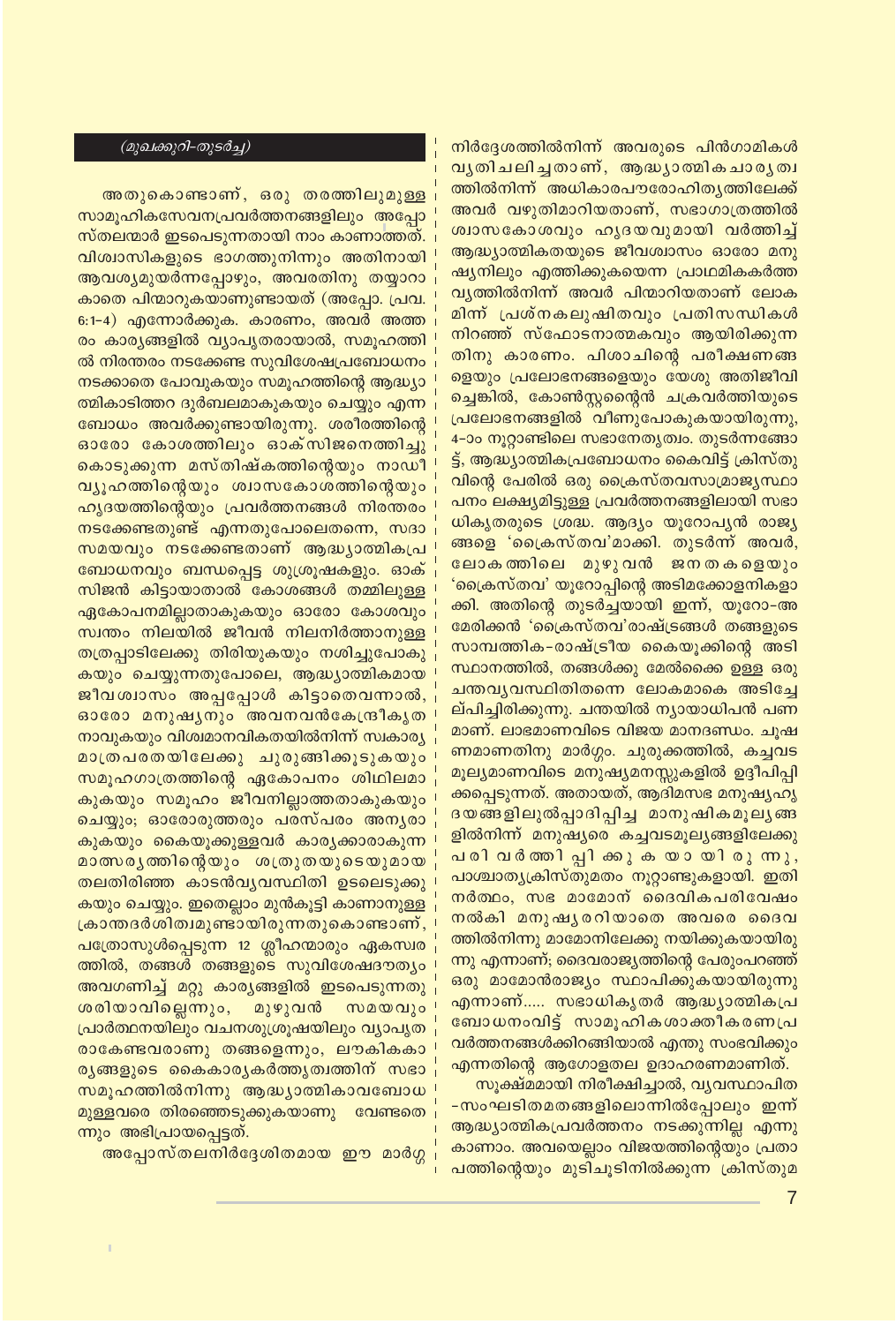നിർദ്ദേശത്തിൽനിന്ന് അവരുടെ പിൻഗാമികൾ വൃതിചലിച്ചതാണ്, ആദ്ധ്യാത്മികചാരൃത്വ <mark>ത്തി</mark>ൽനിന്ന് അധികാരപൗരോഹിതൃത്തിലേക്ക് അവർ വഴുതിമാറിയതാണ്, സഭാഗാത്രത്തിൽ ശ്വാസകോശവും ഹൃദയവുമായി വർത്തിച്ച് ആദ്ധ്യാത്മികതയുടെ ജീവശ്വാസം ഓരോ മനു ഷ്യനിലും എത്തിക്കുകയെന്ന പ്രാഥമികകർത്ത വ്യത്തിൽനിന്ന് അവർ പിന്മാറിയതാണ് ലോക മിന്ന് പ്രശ്നകലുഷിതവും പ്രതിസന്ധികൾ നിറഞ്ഞ് സ്ഫോടനാത്മകവും ആയിരിക്കുന്ന തിനു കാരണം. പിശാചിന്റെ പരീക്ഷണങ്ങ ളെയും പ്രലോഭനങ്ങളെയും യേശു അതിജീവി ച്ചെങ്കിൽ, കോൺസ്റ്റന്റൈൻ ചക്രവർത്തിയുടെ പ്രലോഭനങ്ങളിൽ വീണുപോകുകയായിരുന്നു, 4-ാം നൂറ്റാണ്ടിലെ സഭാനേതൃത്വം. തുടർന്നങ്ങോ ട്ട്, ആദ്ധ്യാത്മികപ്രബോധനം കൈവിട്ട് ക്രിസ്തു വിന്റെ പേരിൽ ഒരു ക്രൈസ്തവസാമ്രാജ്യസ്ഥാ പനം ലക്ഷ്യമിട്ടുള്ള പ്രവർത്തനങ്ങളിലായി സഭാ ധികൃതരുടെ ശ്രദ്ധ. ആദ്യം യൂറോപ്യൻ രാജ്യ ങ്ങളെ 'ക്രൈസ്തവ'മാക്കി. തുടർന്ന് അവർ, ലോകത്തിലെ മുഴുവൻ ജനതകളെയും 'ക്രൈസ്തവ' യൂറോപ്പിന്റെ അടിമക്കോളനികളാ ക്കി. അതിന്റെ തുടർച്ചയായി ഇന്ന്, യൂറോ–അ മേരിക്കൻ 'പ്രൈസ്തവ'രാഷ്ട്രങ്ങൾ തങ്ങളുടെ സാമ്പത്തിക-രാഷ്ട്രീയ കൈയൂക്കിന്റെ അടി സ്ഥാനത്തിൽ, തങ്ങൾക്കു മേൽക്കൈ ഉള്ള ഒരു ചന്തവ്യവസ്ഥിതിതന്നെ ലോകമാകെ അടിച്ചേ ല്പിച്ചിരിക്കുന്നു. ചന്തയിൽ ന്യായാധിപൻ പണ മാണ്. ലാഭമാണവിടെ വിജയ മാനദണ്ഡം. ചൂഷ ണമാണതിനു മാർഗ്ഗം. ചുരുക്കത്തിൽ, കച്ചവട മൂല്യമാണവിടെ മനുഷ്യമനസ്സുകളിൽ ഉദ്ദീപിപ്പി ക്കപ്പെടുന്നത്. അതായത്, ആദിമസഭ മനുഷ്യഹൃ ദയങ്ങളിലുൽപ്പാദിപ്പിച്ച മാനുഷികമൂല്യങ്ങ ളിൽനിന്ന് മനുഷ്യരെ കച്ചവടമൂല്യങ്ങളിലേക്കു പരിവർത്തിപ്പിക്കുകയായിരുന്നു, പാശ്ചാതൃക്രിസ്തുമതം നൂറ്റാണ്ടുകളായി. ഇതി നർത്ഥം, സഭ മാമോന് ദൈവികപരിവേഷം നൽകി മനുഷ്യരറിയാതെ അവരെ ദൈവ ത്തിൽനിന്നു മാമോനിലേക്കു നയിക്കുകയായിരു ന്നു എന്നാണ്; ദൈവരാജ്യത്തിന്റെ പേരുംപറഞ്ഞ് ഒരു മാമോൻരാജ്യം സ്ഥാപിക്കുകയായിരുന്നു എന്നാണ്..... സഭാധികൃതർ ആദ്ധ്യാത്മികപ്ര ബോധനംവിട്ട് സാമൂഹികശാക്തീകരണപ്ര വർത്തനങ്ങൾക്കിറങ്ങിയാൽ എന്തു സംഭവിക്കും

എന്നതിന്റെ ആഗോളതല ഉദാഹരണമാണിത്. സൂക്ഷ്മമായി നിരീക്ഷിച്ചാൽ, വ്യവസ്ഥാപിത -സംഘടിതമതങ്ങളിലൊന്നിൽപ്പോലും ഇന്ന് ആദ്ധ്യാത്മികപ്രവർത്തനം നടക്കുന്നില്ല എന്നു കാണാം. അവയെല്ലാം വിജയത്തിന്റെയും പ്രതാ പത്തിന്റെയും മുടിചൂടിനിൽക്കുന്ന ക്രിസ്തുമ

#### (മുഖക്കുറി-തുടർച്ച)

അതുകൊണ്ടാണ്, ഒരു തരത്തിലുമുള്ള സാമൂഹികസേവനപ്രവർത്തനങ്ങളിലും അപ്പോ സ്തലന്മാർ ഇടപെടുന്നതായി നാം കാണാത്തത്. വിശ്വാസികളുടെ ഭാഗത്തുനിന്നും അതിനായി ആവശ്യമുയർന്നപ്പോഴും, അവരതിനു തയ്യാറാ കാതെ പിന്മാറുകയാണുണ്ടായത് (അപ്പോ. പ്രവ. 6:1-4) എന്നോർക്കുക. കാരണം, അവർ അത്ത രം കാര്യങ്ങളിൽ വ്യാപൃതരായാൽ, സമൂഹത്തി ൽ നിരന്തരം നടക്കേണ്ട സുവിശേഷപ്രബോധനം നടക്കാതെ പോവുകയും സമൂഹത്തിന്റെ ആദ്ധ്യാ ത്മികാടിത്തറ ദുർബലമാകുകയും ചെയ്യും എന്ന ബോധം അവർക്കുണ്ടായിരുന്നു. ശരീരത്തിന്റെ ഓരോ കോശത്തിലും ഓക്സിജനെത്തിച്ചു കൊടുക്കുന്ന മസ്തിഷ്കത്തിന്റെയും നാഡീ വ്യൂഹത്തിന്റെയും ശ്വാസകോശത്തിന്റെയും ഹൃദയത്തിന്റെയും പ്രവർത്തനങ്ങൾ നിരന്തരം നടക്കേണ്ടതുണ്ട് എന്നതുപോലെതന്നെ, സദാ സമയവും നടക്കേണ്ടതാണ് ആദ്ധ്യാത്മികപ്ര ബോധനവും ബന്ധപ്പെട്ട ശുശ്രൂഷകളും. ഓക് സിജൻ കിട്ടായാതാൽ കോശങ്ങൾ തമ്മിലുള്ള ഏകോപനമില്ലാതാകുകയും ഓരോ കോശവും സ്വന്തം നിലയിൽ ജീവൻ നിലനിർത്താനുള്ള തത്രപ്പാടിലേക്കു തിരിയുകയും നശിച്ചുപോകു കയും ചെയ്യുന്നതുപോലെ, ആദ്ധ്യാത്മികമായ ജീവശ്വാസം അപ്പപ്പോൾ കിട്ടാതെവന്നാൽ, ഓരോ മനുഷൃനും അവനവൻകേന്ദ്രീകൃത നാവുകയും വിശ്വമാനവികതയിൽനിന്ന് സ്വകാര്യ മാത്രപരതയിലേക്കു ചുരുങ്ങിക്കൂടുകയും സമൂഹഗാത്രത്തിന്റെ ഏകോപനം ശിഥിലമാ കുകയും സമൂഹം ജീവനില്ലാത്തതാകുകയും ചെയ്യും; ഓരോരുത്തരും പരസ്പരം അനൃരാ കുകയും കൈയൂക്കുള്ളവർ കാര്യക്കാരാകുന്ന മാത്സരൃത്തിന്റെയും ശത്രുതയുടെയുമായ തലതിരിഞ്ഞ കാടൻവ്യവസ്ഥിതി ഉടലെടുക്കു കയും ചെയ്യും. ഇതെല്ലാം മുൻകൂട്ടി കാണാനുള്ള ക്രാന്തദർശിത്വമുണ്ടായിരുന്നതുകൊണ്ടാണ്, പത്രോസുൾപ്പെടുന്ന 12 ശ്ലീഹന്മാരും ഏകസ്വര ത്തിൽ, തങ്ങൾ തങ്ങളുടെ സുവിശേഷദൗത്യം അവഗണിച്ച് മറ്റു കാര്യങ്ങളിൽ ഇടപെടുന്നതു ശരിയാവില്ലെന്നും, മുഴുവൻ സമയവും പ്രാർത്ഥനയിലും വചനശുശ്രൂഷയിലും വ്യാപൃത രാകേണ്ടവരാണു തങ്ങളെന്നും, ലൗകികകാ രൃങ്ങളുടെ കൈകാരൃകർത്തൃത്വത്തിന് സഭാ സമൂഹത്തിൽനിന്നു ആദ്ധ്യാത്മികാവബോധ മുള്ളവരെ തിരഞ്ഞെടുക്കുകയാണു വേണ്ടതെ ന്നും അഭിപ്രായപ്പെട്ടത്.

അപ്പോസ്തലനിർദ്ദേശിതമായ ഈ മാർഗ്ഗ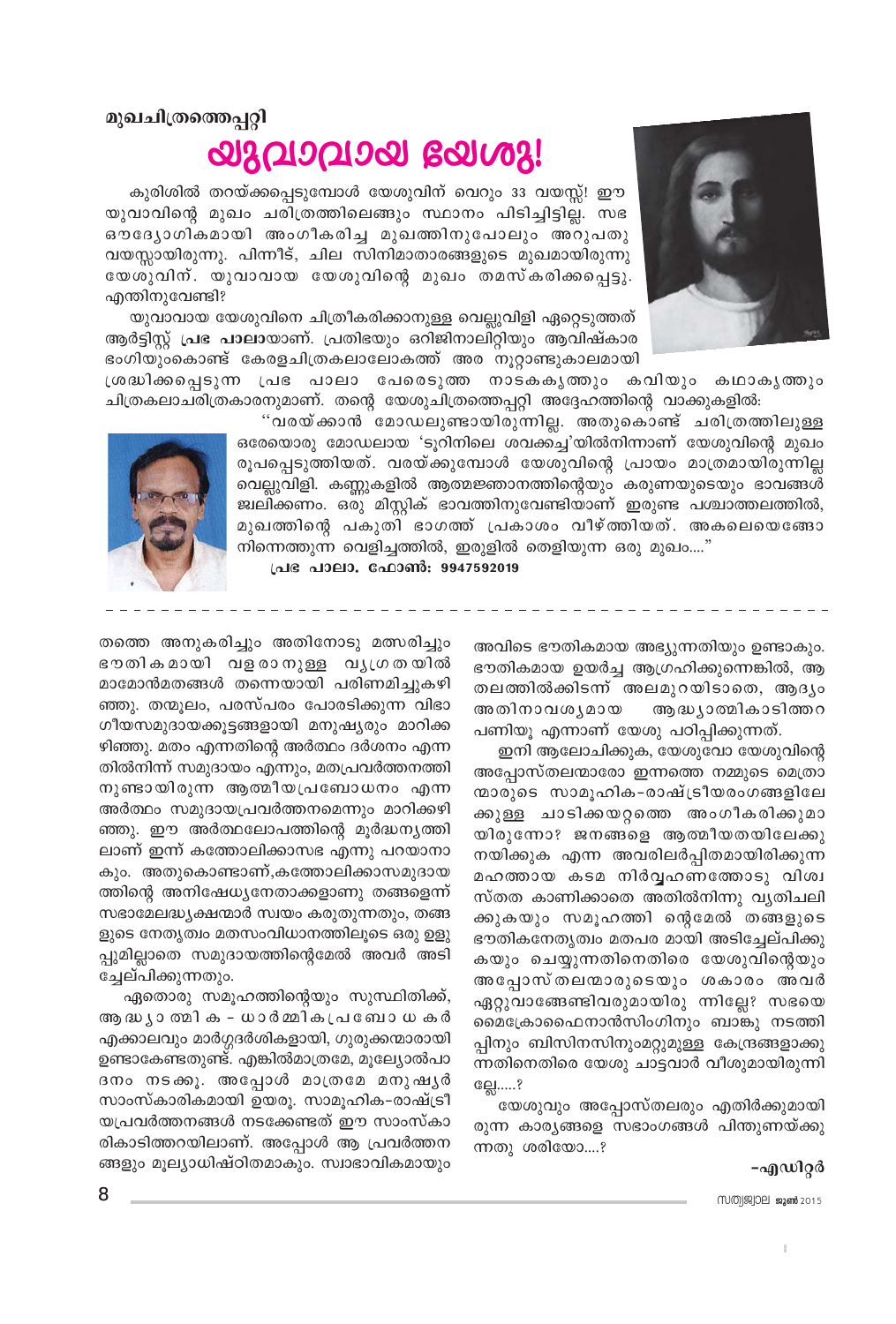

## മുഖചിത്രത്തെപ്പറ്റി **അവാവാ**യ ഭരിഢി:

കുരിശിൽ തറയ്ക്കപ്പെടുമ്പോൾ യേശുവിന് വെറും 33 വയസ്സ്! ഈ യുവാവിന്റെ മുഖം ചരിത്രത്തിലെങ്ങും സ്ഥാനം പിടിച്ചിട്ടില്ല. സഭ ഔദ്യോഗികമായി അംഗീകരിച്ച മുഖത്തിനുപോലും അറുപതു വയസ്സായിരുന്നു. പിന്നീട്, ചില സിനിമാതാരങ്ങളുടെ മുഖമായിരുന്നു യേശുവിന്. യുവാവായ യേശുവിന്റെ മുഖം തമസ്കരിക്കപ്പെട്ടു. എന്തിനുവേണ്ടി?

യുവാവായ യേശുവിനെ ചിത്രീകരിക്കാനുള്ള വെല്ലുവിളി ഏറ്റെടുത്തത് ആർട്ടിസ്റ്റ് പ്രഭ പാലായാണ്. പ്രതിഭയും ഒറിജിനാലിറ്റിയും ആവിഷ്കാര ഭംഗിയുംകൊണ്ട് കേരളചിത്രകലാലോകത്ത് അര നൂറ്റാണ്ടുകാലമായി

ശ്രദ്ധിക്കപ്പെടുന്ന പ്രഭ പാലാ പേരെടുത്ത നാടകകൃത്തും കവിയും കഥാകൃത്തും ചിത്രകലാചരിത്രകാരനുമാണ്. തന്റെ യേശുചിത്രത്തെപ്പറ്റി അദ്ദേഹത്തിന്റെ വാക്കുകളിൽ:

> "വരയ്ക്കാൻ മോഡലുണ്ടായിരുന്നില്ല. അതുകൊണ്ട് ചരിത്രത്തിലുള്ള ഒരേയൊരു മോഡലായ 'ടൂറിനിലെ ശവക്കച്ച'യിൽനിന്നാണ് യേശുവിന്റെ മുഖം രൂപപ്പെടുത്തിയത്. വരയ്ക്കുമ്പോൾ യേശുവിന്റെ പ്രായം മാത്രമായിരുന്നില്ല വെല്ലുവിളി. കണ്ണുകളിൽ ആത്മജ്ഞാനത്തിന്റെയും കരുണയുടെയും ഭാവങ്ങൾ ജ്വലിക്കണം. ഒരു മിസ്റ്റിക് ഭാവത്തിനുവേണ്ടിയാണ് ഇരുണ്ട പശ്ചാത്തലത്തിൽ, മുഖത്തിന്റെ പകുതി ഭാഗത്ത് പ്രകാശം വീഴ്ത്തിയത്. അകലെയെങ്ങോ നിന്നെത്തുന്ന വെളിച്ചത്തിൽ, ഇരുളിൽ തെളിയുന്ന ഒരു മുഖം...."



പ്രഭ പാലാ. ഫോൺ: 9947592019

അവിടെ ഭൗതികമായ അഭ്യുന്നതിയും ഉണ്ടാകും. ഭൗതികമായ ഉയർച്ച ആഗ്രഹിക്കുന്നെങ്കിൽ, ആ തലത്തിൽക്കിടന്ന് അലമുറയിടാതെ, ആദ്യം അതിനാവശ്യമായ ആദ്ധ്യാത്മികാടിത്തറ പണിയു എന്നാണ് യേശു പഠിപ്പിക്കുന്നത്.

ഇനി ആലോചിക്കുക, യേശുവോ യേശുവിന്റെ അപ്പോസ്തലന്മാരോ ഇന്നത്തെ നമ്മുടെ മെത്രാ ന്മാരുടെ സാമൂഹിക-രാഷ്ട്രീയരംഗങ്ങളിലേ ക്കുള്ള ചാടിക്കയറ്റത്തെ അംഗീകരിക്കുമാ യിരുന്നോ? ജനങ്ങളെ ആത്മീയതയിലേക്കു നയിക്കുക എന്ന അവരിലർപ്പിതമായിരിക്കുന്ന മഹത്തായ കടമ നിർവ്വഹണത്തോടു വിശ്വ സ്തത കാണിക്കാതെ അതിൽനിന്നു വ്യതിചലി ക്കുകയും സമൂഹത്തി ന്റെമേൽ തങ്ങളുടെ ഭൗതികനേതൃത്വം മതപര മായി അടിച്ചേല്പിക്കു കയും ചെയ്യുന്നതിനെതിരെ യേശുവിന്റെയും അപ്പോസ്തലന്മാരുടെയും ശകാരം അവർ ഏറ്റുവാങ്ങേണ്ടിവരുമായിരു ന്നില്ലേ? സഭയെ മൈക്രോഫൈനാൻസിംഗിനും ബാങ്കു നടത്തി പ്പിനും ബിസിനസിനുംമറ്റുമുള്ള കേന്ദ്രങ്ങളാക്കു ന്നതിനെതിരെ യേശു ചാട്ടവാർ വീശുമായിരുന്നി ല്ലേ.....?

യേശുവും അപ്പോസ്തലരും എതിർക്കുമായി രുന്ന കാര്യങ്ങളെ സഭാംഗങ്ങൾ പിന്തുണയ്ക്കു ന്നതു ശരിയോ....?

#### -എഡിറ്റർ

MMM99902 2015

തത്തെ അനുകരിച്ചും അതിനോടു മത്സരിച്ചും ഭൗതികമായി വളരാനുള്ള വൃഗ്രതയിൽ മാമോൻമതങ്ങൾ തന്നെയായി പരിണമിച്ചുകഴി ഞ്ഞു. തന്മുലം, പരസ്പരം പോരടിക്കുന്ന വിഭാ ഗീയസമുദായക്കുട്ടങ്ങളായി മനുഷ്യരും മാറിക്ക ഴിഞ്ഞു. മതം എന്നതിന്റെ അർത്ഥം ദർശനം എന്ന തിൽനിന്ന് സമുദായം എന്നും, മതപ്രവർത്തനത്തി നുണ്ടായിരുന്ന ആത്മീയപ്രബോധനം എന്ന അർത്ഥം സമുദായപ്രവർത്തനമെന്നും മാറിക്കഴി ഞ്ഞു. ഈ അർത്ഥലോപത്തിന്റെ മൂർദ്ധനൃത്തി ലാണ് ഇന്ന് കത്തോലിക്കാസഭ എന്നു പറയാനാ കും. അതുകൊണ്ടാണ്,കത്തോലിക്കാസമുദായ ത്തിന്റെ അനിഷേധ്യനേതാക്കളാണു തങ്ങളെന്ന് സഭാമേലദ്ധ്യക്ഷന്മാർ സ്വയം കരുതുന്നതും, തങ്ങ ളുടെ നേതൃത്വം മതസംവിധാനത്തിലുടെ ഒരു ഉളു പ്പുമില്ലാതെ സമുദായത്തിന്റെമേൽ അവർ അടി ച്ചേല്പിക്കുന്നതും.

ഏതൊരു സമൂഹത്തിന്റെയും സുസ്ഥിതിക്ക്, ആ ദ്ധ്യാ തമിക - ധാർമ്മികപ്രബോധകർ എക്കാലവും മാർഗ്ഗദർശികളായി, ഗുരുക്കന്മാരായി ഉണ്ടാകേണ്ടതുണ്ട്. എങ്കിൽമാത്രമേ, മുല്യോൽപാ ദനം നടക്കൂ. അപ്പോൾ മാത്രമേ മനുഷൃർ സാംസ്കാരികമായി ഉയരു. സാമുഹിക-രാഷ്ട്രീ യപ്രവർത്തനങ്ങൾ നടക്കേണ്ടത് ഈ സാംസ്കാ രികാടിത്തറയിലാണ്. അപ്പോൾ ആ പ്രവർത്തന ങ്ങളും മൂല്യാധിഷ്ഠിതമാകും. സ്വാഭാവികമായും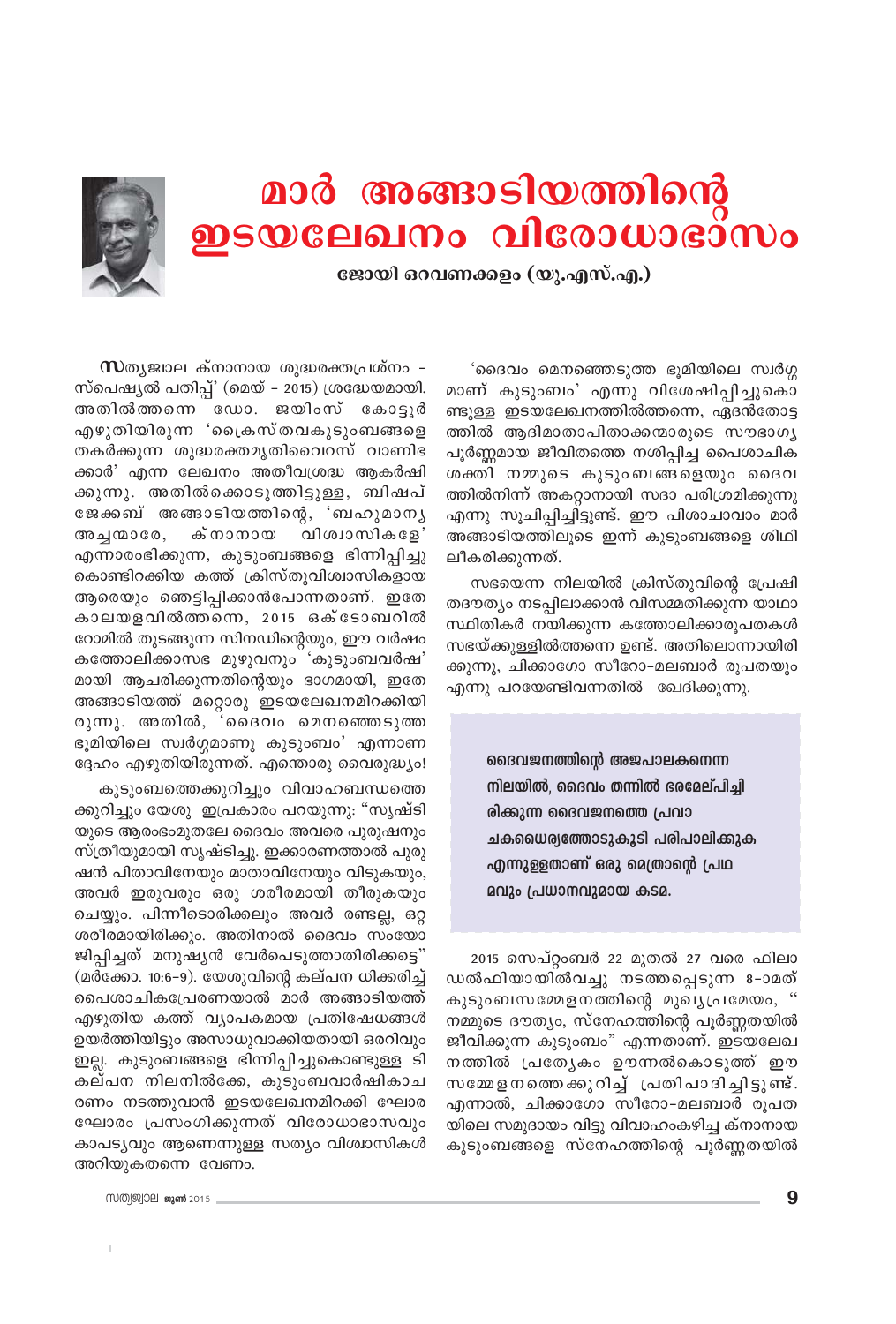# മാർ അങ്ങാടിയത്തിന്റെ<br>ഇടയലേഖനം വിരോധാഭാസം



ജോയി ഒറവണക്കളം (യു.എസ്.എ.)

'ദൈവം മെനഞ്ഞെടുത്ത ഭൂമിയിലെ സ്വർഗ്ഗ മാണ് കുടുംബം' എന്നു വിശേഷിപ്പിച്ചുകൊ ണ്ടുള്ള ഇടയലേഖനത്തിൽത്തന്നെ, ഏദൻതോട്ട ത്തിൽ ആദിമാതാപിതാക്കന്മാരുടെ സൗഭാഗൃ പൂർണ്ണമായ ജീവിതത്തെ നശിപ്പിച്ച പൈശാചിക ശക്തി നമ്മുടെ കുടുംബങ്ങളെയും ദൈവ ത്തിൽനിന്ന് അകറ്റാനായി സദാ പരിശ്രമിക്കുന്നു എന്നു സൂചിപ്പിച്ചിട്ടുണ്ട്. ഈ പിശാചാവാം മാർ അങ്ങാടിയത്തിലൂടെ ഇന്ന് കുടുംബങ്ങളെ ശിഥി ലീകരിക്കുന്നത്.

സഭയെന്ന നിലയിൽ ക്രിസ്തുവിന്റെ പ്രേഷി തദൗത്യം നടപ്പിലാക്കാൻ വിസമ്മതിക്കുന്ന യാഥാ സ്ഥിതികർ നയിക്കുന്ന കത്തോലിക്കാരൂപതകൾ സഭയ്ക്കുള്ളിൽത്തന്നെ ഉണ്ട്. അതിലൊന്നായിരി ക്കുന്നു, ചിക്കാഗോ സീറോ-മലബാർ രൂപതയും എന്നു പറയേണ്ടിവന്നതിൽ ഖേദിക്കുന്നു.

> ദൈവജനത്തിന്റെ അജപാലകനെന്ന നിലയിൽ, ദൈവം തന്നിൽ ഭരമേല്പിച്ചി രിക്കുന്ന ദൈവജനത്തെ പ്രവാ ചകധൈര്യത്തോടുകൂടി പരിപാലിക്കുക എന്നുള്ളതാണ് ഒരു മെത്രാന്റെ പ്രഥ മവും പ്രധാനവുമായ കടമ.

2015 സെപ്റ്റംബർ 22 മുതൽ 27 വരെ ഫിലാ ഡൽഫിയായിൽവച്ചു നടത്തപ്പെടുന്ന 8-ാമത് കുടുംബസമ്മേളനത്തിന്റെ മുഖ്യപ്രമേയം, " നമ്മുടെ ദൗത്യം, സ്നേഹത്തിന്റെ പൂർണ്ണതയിൽ ജീവിക്കുന്ന കുടുംബം" എന്നതാണ്. ഇടയലേഖ നത്തിൽ പ്രത്യേകം ഊന്നൽകൊടുത്ത് ഈ സമ്മേളനത്തെക്കുറിച്ച് പ്രതിപാദിച്ചിട്ടുണ്ട്. എന്നാൽ, ചിക്കാഗോ സീറോ-മലബാർ രൂപത യിലെ സമുദായം വിട്ടു വിവാഹംകഴിച്ച ക്നാനായ കുടുംബങ്ങളെ സ്നേഹത്തിന്റെ പൂർണ്ണതയിൽ

 $\infty$ തൃജ്വാല ക്നാനായ ശുദ്ധരക്തപ്രശ്നം – സ്പെഷ്യൽ പതിപ്പ്' (മെയ് – 2015) ശ്രദ്ധേയമായി. അതിൽത്തന്നെ ഡോ. ജയിംസ് കോട്ടുർ എഴുതിയിരുന്ന 'പ്രൈസ്തവകുടുംബങ്ങളെ തകർക്കുന്ന ശുദ്ധരക്തമൃതിവൈറസ് വാണിഭ ക്കാർ' എന്ന ലേഖനം അതീവശ്രദ്ധ ആകർഷി ക്കുന്നു. അതിൽക്കൊടുത്തിട്ടുള്ള, ബിഷപ് ജേക്കബ് അങ്ങാടിയത്തിന്റെ, 'ബഹുമാനൃ അച്ചന്മാരേ, ക്നാനായ വിശ്വാസികളേ' എന്നാരംഭിക്കുന്ന, കുടുംബങ്ങളെ ഭിന്നിപ്പിച്ചു കൊണ്ടിറക്കിയ കത്ത് ക്രിസ്തുവിശ്വാസികളായ ആരെയും ഞെട്ടിപ്പിക്കാൻപോന്നതാണ്. ഇതേ കാലയളവിൽത്തന്നെ, 2015 ഒക്ടോബറിൽ റോമിൽ തുടങ്ങുന്ന സിനഡിന്റെയും, ഈ വർഷം കത്തോലിക്കാസഭ മുഴുവനും 'കുടുംബവർഷ' മായി ആചരിക്കുന്നതിന്റെയും ഭാഗമായി, ഇതേ അങ്ങാടിയത്ത് മറ്റൊരു ഇടയലേഖനമിറക്കിയി രുന്നു. അതിൽ, 'ദൈവം മെനഞ്ഞെടുത്ത ഭൂമിയിലെ സ്വർഗ്ഗമാണു കുടുംബം' എന്നാണ ദ്ദേഹം എഴുതിയിരുന്നത്. എന്തൊരു വൈരുദ്ധ്യം!

കുടുംബത്തെക്കുറിച്ചും വിവാഹബന്ധത്തെ ക്കുറിച്ചും യേശു ഇപ്രകാരം പറയുന്നു: "സൃഷ്ടി യുടെ ആരംഭംമുതലേ ദൈവം അവരെ പുരുഷനും സ്ത്രീയുമായി സൃഷ്ടിച്ചു. ഇക്കാരണത്താൽ പുരു ഷൻ പിതാവിനേയും മാതാവിനേയും വിടുകയും, അവർ ഇരുവരും ഒരു ശരീരമായി തീരുകയും ചെയ്യും. പിന്നീടൊരിക്കലും അവർ രണ്ടല്ല, ഒറ്റ ശരീരമായിരിക്കും. അതിനാൽ ദൈവം സംയോ ജിപ്പിച്ചത് മനുഷ്യൻ വേർപെടുത്താതിരിക്കട്ടെ" (മർക്കോ. 10:6–9). യേശുവിന്റെ കല്പന ധിക്കരിച്ച് പൈശാചികപ്രേരണയാൽ മാർ അങ്ങാടിയത്ത് എഴുതിയ കത്ത് വ്യാപകമായ പ്രതിഷേധങ്ങൾ ഉയർത്തിയിട്ടും അസാധുവാക്കിയതായി ഒരറിവും ഇല്ല. കുടുംബങ്ങളെ ഭിന്നിപ്പിച്ചുകൊണ്ടുള്ള ടി കല്പന നിലനിൽക്കേ, കുടുംബവാർഷികാച രണം നടത്തുവാൻ ഇടയലേഖനമിറക്കി ഘോര ഘോരം പ്രസംഗിക്കുന്നത് വിരോധാഭാസവും കാപട്യവും ആണെന്നുള്ള സത്യം വിശ്വാസികൾ അറിയുകതന്നെ വേണം.

MMM9902 ജാൺ 2015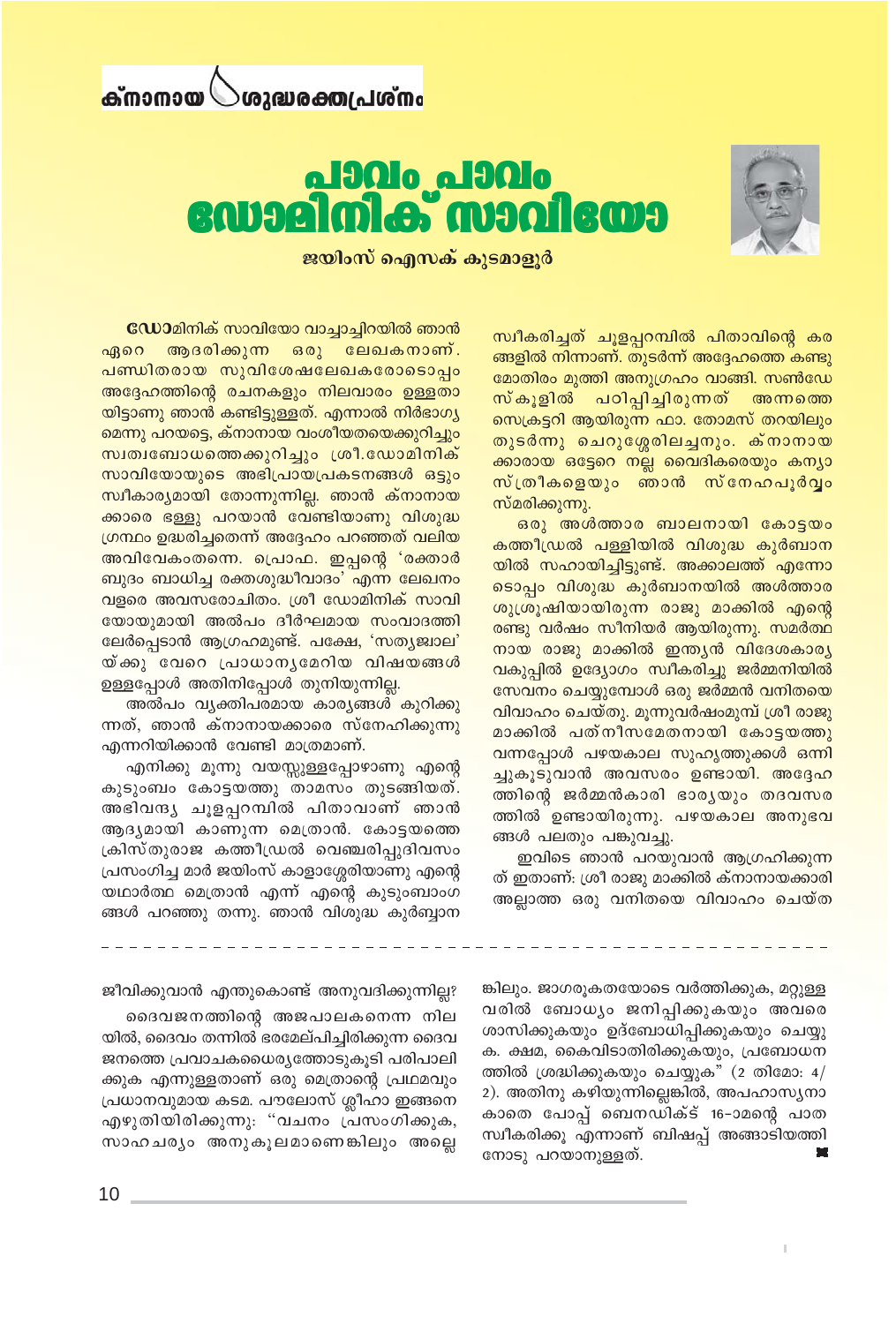#### ര്നാനായ ത്തിപ്രതക്തുവര്



#### **<u>alando</u>** alando ennan mani **A** 0

ജയിംസ് ഐസക് കുടമാളുർ

സ്വീകരിച്ചത് ചൂളപ്പറമ്പിൽ പിതാവിന്റെ കര ങ്ങളിൽ നിന്നാണ്. തുടർന്ന് അദ്ദേഹത്തെ കണ്ടു മോതിരം മുത്തി അനുഗ്രഹം വാങ്ങി. സൺഡേ സ്കൂളിൽ പഠിപ്പിച്ചിരുന്നത് അന്നത്തെ സെക്രട്ടറി ആയിരുന്ന ഫാ. തോമസ് തറയിലും തുടർന്നു ചെറുശ്ശേരിലച്ചനും. ക്നാനായ ക്കാരായ ഒട്ടേറെ നല്ല വൈദികരെയും കന്യാ സ്ത്രീകളെയും ഞാൻ സ്നേഹപൂർവ്വം സ്മരിക്കുന്നു.

ഒരു അൾത്താര ബാലനായി കോട്ടയം കത്തീഡ്രൽ പള്ളിയിൽ വിശുദ്ധ കുർബാന യിൽ സഹായിച്ചിട്ടുണ്ട്. അക്കാലത്ത് എന്നോ ടൊപ്പം വിശുദ്ധ കുർബാനയിൽ അൾത്താര ശുശ്രൂഷിയായിരുന്ന രാജു മാക്കിൽ എന്റെ രണ്ടു വർഷം സീനിയർ ആയിരുന്നു. സമർത്ഥ നായ രാജു മാക്കിൽ ഇന്ത്യൻ വിദേശകാര്യ വകുപ്പിൽ ഉദ്യോഗം സ്വീകരിച്ചു ജർമ്മനിയിൽ സേവനം ചെയ്യുമ്പോൾ ഒരു ജർമ്മൻ വനിതയെ വിവാഹം ചെയ്തു. മൂന്നുവർഷംമുമ്പ് ശ്രീ രാജു മാക്കിൽ പത്നീസമേതനായി കോട്ടയത്തു വന്നപ്പോൾ പഴയകാല സുഹൃത്തുക്കൾ ഒന്നി ച്ചുകൂടുവാൻ അവസരം ഉണ്ടായി. അദ്ദേഹ ത്തിന്റെ ജർമ്മൻകാരി ഭാര്യയും തദവസര ത്തിൽ ഉണ്ടായിരുന്നു. പഴയകാല അനുഭവ ങ്ങൾ പലതും പങ്കുവച്ചു.

ഇവിടെ ഞാൻ പറയുവാൻ ആഗ്രഹിക്കുന്ന ത് ഇതാണ്: ശ്രീ രാജു മാക്കിൽ ക്നാനായക്കാരി അല്ലാത്ത ഒരു വനിതയെ വിവാഹം ചെയ്ത

ഡോമിനിക് സാവിയോ വാച്ചാച്ചിറയിൽ ഞാൻ ആദരിക്കുന്ന ഒരു ലേഖകനാണ്. ഏറെ <mark>പണ്ഡിതരായ സുവിശേഷലേഖകരോടൊപ്പ</mark>ം അദ്ദേഹത്തിന്റെ രചനകളും നിലവാരം ഉള്ളതാ യിട്ടാണു ഞാൻ കണ്ടിട്ടുള്ളത്. എന്നാൽ നിർഭാഗൃ മെന്നു പറയട്ടെ, ക്നാനായ വംശീയതയെക്കുറിച്ചും സ്വത്വബോധത്തെക്കുറിച്ചും ശ്രീ.ഡോമിനിക് സാവിയോയുടെ അഭിപ്രായപ്രകടനങ്ങൾ ഒട്ടും സ്ഥീകാര്യമായി തോന്നുന്നില്ല. ഞാൻ ക്നാനായ ക്കാരെ ഭള്ളു പറയാൻ വേണ്ടിയാണു വിശുദ്ധ ഗ്രന്ഥം ഉദ്ധരിച്ചതെന്ന് അദ്ദേഹം പറഞ്ഞത് വലിയ അവിവേകംതന്നെ. പ്രൊഫ. ഇപ്പന്റെ 'രക്താർ ബുദം ബാധിച്ച രക്തശുദ്ധീവാദം' എന്ന ലേഖനം വളരെ അവസരോചിതം. ശ്രീ ഡോമിനിക് സാവി യോയുമായി അൽപം ദീർഘമായ സംവാദത്തി ലേർപ്പെടാൻ ആഗ്രഹമുണ്ട്. പക്ഷേ, 'സതൃജ്വാല' യ്ക്കു വേറെ പ്രാധാനൃമേറിയ വിഷയങ്ങൾ ഉള്ളപ്പോൾ അതിനിപ്പോൾ തുനിയുന്നില്ല.

അൽപം വ്യക്തിപരമായ കാര്യങ്ങൾ കുറിക്കു ന്നത്, ഞാൻ ക്നാനായക്കാരെ സ്നേഹിക്കുന്നു എന്നറിയിക്കാൻ വേണ്ടി മാത്രമാണ്.

എനിക്കു മൂന്നു വയസ്സുള്ളപ്പോഴാണു എന്റെ കുടുംബം കോട്ടയത്തു താമസം തുടങ്ങിയത്. അഭിവന്ദ്യ ചൂളപ്പറമ്പിൽ പിതാവാണ് ഞാൻ ആദ്യമായി കാണുന്ന മെത്രാൻ. കോട്ടയത്തെ ക്രിസ്തുരാജ കത്തീഡ്രൽ വെഞ്ചരിപ്പുദിവസം പ്രസംഗിച്ച മാർ ജയിംസ് കാളാശ്ശേരിയാണു എന്റെ യഥാർത്ഥ മെത്രാൻ എന്ന് എന്റെ കുടുംബാംഗ ങ്ങൾ പറഞ്ഞു തന്നു. ഞാൻ വിശുദ്ധ കുർബ്ബാന

> ങ്കിലും. ജാഗരൂകതയോടെ വർത്തിക്കുക, മറ്റുള്ള വരിൽ ബോധ്യം ജനിപ്പിക്കുകയും അവരെ ശാസിക്കുകയും ഉദ്ബോധിപ്പിക്കുകയും ചെയ്യു ക. ക്ഷമ, കൈവിടാതിരിക്കുകയും, പ്രബോധന ത്തിൽ ശ്രദ്ധിക്കുകയും ചെയ്യുക" (2 തിമോ:  $4/$ 2). അതിനു കഴിയുന്നില്ലെങ്കിൽ, അപഹാസ്യനാ കാതെ പോപ്പ് ബെനഡിക്ട് 16–ാമന്റെ പാത സ്വീകരിക്കൂ എന്നാണ് ബിഷപ്പ് അങ്ങാടിയത്തി നോടു പറയാനുള്ളത്.

ജീവിക്കുവാൻ എന്തുകൊണ്ട് അനുവദിക്കുന്നില്ല?

ദൈവജനത്തിന്റെ അജപാലകനെന്ന നില യിൽ, ദൈവം തന്നിൽ ഭരമേല്പിച്ചിരിക്കുന്ന ദൈവ ജനത്തെ പ്രവാചകധൈര്യത്തോടുകൂടി പരിപാലി ക്കുക എന്നുള്ളതാണ് ഒരു മെത്രാന്റെ പ്രഥമവും പ്രധാനവുമായ കടമ. പൗലോസ് ശ്ലീഹാ ഇങ്ങനെ എഴുതിയിരിക്കുന്നു: "വചനം പ്രസംഗിക്കുക, സാഹചര്യം അനുകൂലമാണെങ്കിലും അല്ലെ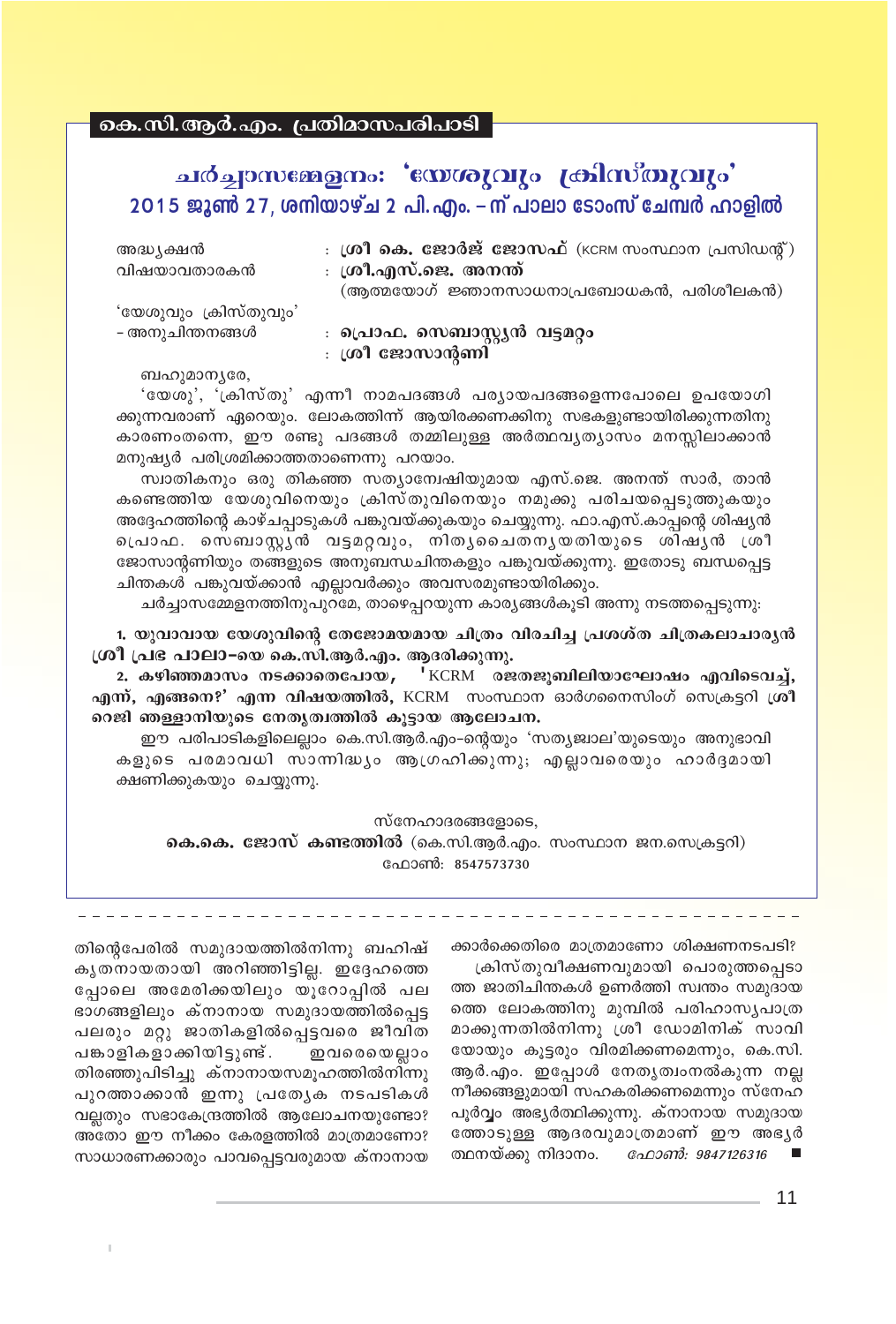കെ.സി.ആർ.എം. പ്രതിമാസപരിപാടി

## ചർച്ചാസജ്ജേനം: 'സേശുവും <sub>∤</sub>കിസ്തുവും' 2015 ജൂൺ 27, ശനിയാഴ്ച 2 പി. എം. – **ന് പാലാ ടോംസ് ചേമ്പർ ഹാളിൽ**

| അദ്ധ ൃക്ഷൻ<br>വിഷയാവതാരകൻ | : $\omega$ ി കെ. ജോർജ് ജോസഫ് (KCRM സംസ്ഥാന പ്രസിഡന്റ്)<br>: ശ്രീ.എസ്.ജെ. അനന്ത്<br>(ആത്മയോഗ് ജ്ഞാനസാധനാപ്രബോധകൻ, പരിശീലകൻ) |
|---------------------------|----------------------------------------------------------------------------------------------------------------------------|
| 'യേശുവും ക്രിസ്തുവും'     | <b>։ പ്രൊഫ. സെബാസ്റ്റ്യൻ വട്ടമ</b> റ്റം                                                                                    |
| - അനുചിന്തനങ്ങൾ           | : ശ്രീ ജോസാന്റണി                                                                                                           |

ബഹുമാനൃരേ,

'യേശു', 'ക്രിസ്തു' എന്നീ നാമപദങ്ങൾ പര്യായപദങ്ങളെന്നപോലെ ഉപയോഗി ക്കുന്നവരാണ് ഏറെയും. ലോകത്തിന്ന് ആയിരക്കണക്കിനു സഭകളുണ്ടായിരിക്കുന്നതിനു കാരണംതന്നെ, ഈ രണ്ടു പദങ്ങൾ തമ്മിലുള്ള അർത്ഥവൃത്യാസം മനസ്സിലാക്കാൻ മനുഷൃർ പരിശ്രമിക്കാത്തതാണെന്നു പറയാം.

സ്വാതികനും ഒരു തികഞ്ഞ സതൃാന്വേഷിയുമായ എസ്.ജെ. അനന്ത് സാർ, താൻ കണ്ടെത്തിയ യേശുവിനെയും ക്രിസ്തുവിനെയും നമുക്കു പരിചയപ്പെടുത്തുകയും അദ്ദേഹത്തിന്റെ കാഴ്ചപ്പാടുകൾ പങ്കുവയ്ക്കുകയും ചെയ്യുന്നു. ഫാ.എസ്.കാപ്പന്റെ ശിഷ്യൻ  $\,$ പൊഫ. സെബാസ്റ്റൻ വട്ടമറ്റവും, നിതൃചൈതനൃയതിയുടെ ശിഷൃൻ ശ്രീ ജോസാന്റണിയും തങ്ങളുടെ അനുബന്ധചിന്തകളും പങ്കുവയ്ക്കുന്നു. ഇതോടു ബന്ധപ്പെട്ട ചിന്തകൾ പങ്കുവയ്ക്കാൻ എല്ലാവർക്കും അവസരമുണ്ടായിരിക്കും.

ചർച്ചാസമ്മേളനത്തിനുപുറമേ, താഴെപ്പറയുന്ന കാര്യങ്ങൾകൂടി അന്നു നടത്തപ്പെടുന്നു.

1. യുവാവായ യേശുവിന്റെ തേജോമയമായ ചിത്രം വിരചിച്ച പ്രശശ്**ത ചിത്രകലാചാരൃ**ൻ **്രരീ പ്രഭ പാലാ−യെ കെ.സി.ആർ.എം. ആദരിക്കുന്നു.** 

2. കഴിഞ്ഞമാസം നടക്കാതെപോയ, 'KCRM രജതജൂബിലിയാഘോഷം എവിടെവച്ച്, **എന്, എങ്ങനെ?' എന്ന വിഷയത്തിൽ,** KCRM സംസ്ഥാന ഓർഗനൈസിംഗ് സെക്രട്ടറി ശ്രീ റെജി ഞള്ളാനിയുടെ നേതൃത്വത്തിൽ കൂട്ടായ ആലോചന.

ഈ പരിപാടികളിലെല്ലാം കെ.സി.ആർ.എം-ന്റെയും 'സത്യജ്വാല'യുടെയും അനുഭാവി കളുടെ പരമാവധി സാന്നിദ്ധൃം ആഗ്രഹിക്കുന്നു; എല്ലാവരെയും ഹാർദ്ദമായി ക്ഷണിക്കുകയും ചെയ്യുന്നു.

സ്നേഹാദരങ്ങളോടെ,

**കെ.കെ. ജോസ് കണ്ടത്തിൽ** (കെ.സി.ആർ.എം. സംസ്ഥാന ജന.സെക്രട്ടറി) പ്രോൺ: 8547573730

ക്കാർക്കെതിരെ മാത്രമാണോ ശിക്ഷണനടപടി?

<sub>്</sub>കിസ്തുവീക്ഷണവുമായി പൊരുത്തപ്പെടാ ത്ത ജാതിചിന്തകൾ ഉണർത്തി സ്വന്തം സമുദായ ത്തെ ലോകത്തിനു മുമ്പിൽ പരിഹാസൃപാത്ര മാക്കുന്നതിൽനിന്നു ശ്രീ ഡോമിനിക് സാവി യോയും കൂട്ടരും വിരമിക്കണമെന്നും, കെ.സി. ആർ.എം. ഇപ്പോൾ നേതൃത്വംനൽകുന്ന നല്ല നീക്കങ്ങളുമായി സഹകരിക്കണമെന്നും സ്നേഹ പൂർവ്വം അഭ്യർത്ഥിക്കുന്നു. ക്നാനായ സമുദായ തോടുള്ള ആദരവുമാത്രമാണ് ഈ അഭൃർ ത്ഥനയ്ക്കു നിദാനം. *ഫോൺ: 9847126316* 

തിന്റെപേരിൽ സമുദായത്തിൽനിന്നു ബഹിഷ് കൃതനായതായി അറിഞ്ഞിട്ടില്ല. ഇദ്ദേഹത്ത<u>െ</u> പോലെ അമേരിക്കയിലും യുറോപ്പിൽ പല ഭാഗങ്ങളിലും ക്നാനായ സമുദായത്തിൽപ്പെട്ട പലരും മറ്റു ജാതികളിൽപ്പെട്ടവരെ ജീവിത പങ്കാളികളാക്കിയിട്ടുണ്ട്. ഇവരെയെല്ലാം തിരഞ്ഞുപിടിച്ചു ക്നാനായസമൂഹത്തിൽനിന്നു പുറത്താക്കാൻ ഇന്നു പ്രത്യേക നടപടികൾ വല്ലതും സഭാകേന്ദ്രത്തിൽ ആലോചനയുണ്ടോ? അതോ ഈ നീക്കം കേരളത്തിൽ മാത്രമാണോ? സാധാരണക്കാരും പാവപ്പെട്ടവരുമായ ക്നാനായ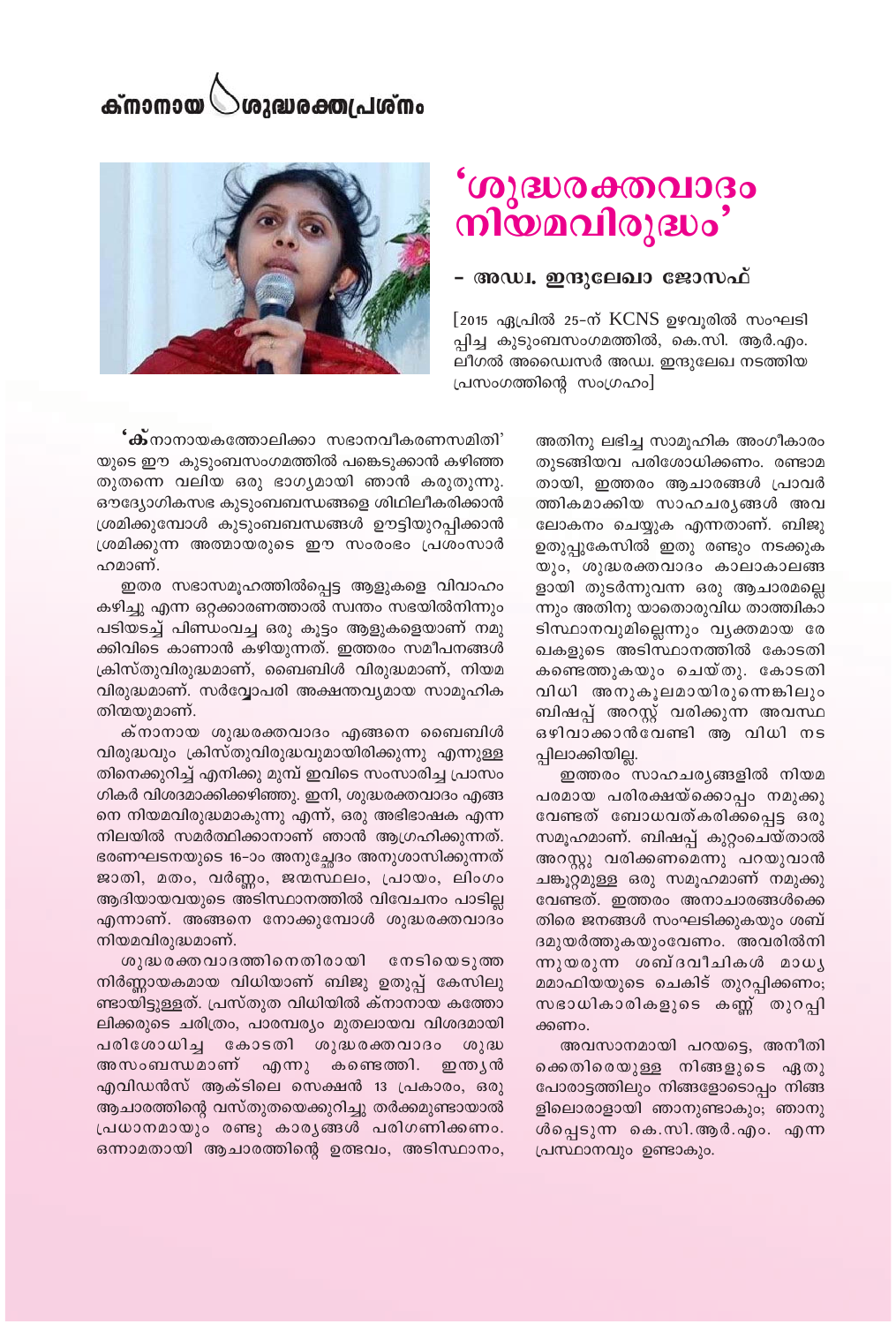# 'ശുദ്ധരക്തവാദം<br>നിയമവിരുദ്ധം'

#### - അഡ്വ. ഇന്ദുലേഖാ ജോസഫ്

[2015 ഏപ്രിൽ 25-ന് KCNS ഉഴവൂരിൽ സംഘടി പ്പിച്ച കുടുംബസംഗമത്തിൽ, കെ.സി. ആർ.എം. ലീഗൽ അഡ്വൈസർ അഡ്വ. ഇന്ദുലേഖ നടത്തിയ പ്രസംഗത്തിന്റെ സംഗ്രഹം]

**'ക്**നാനായകത്തോലിക്കാ സഭാനവീകരണസമിതി' യുടെ ഈ കുടുംബസംഗമത്തിൽ പങ്കെടുക്കാൻ കഴിഞ്ഞ തുതന്നെ വലിയ ഒരു ഭാഗ്യമായി ഞാൻ കരുതുന്നു. ഔദ്യോഗികസഭ കുടുംബബന്ധങ്ങളെ ശിഥിലീകരിക്കാൻ ശ്രമിക്കുമ്പോൾ കുടുംബബന്ധങ്ങൾ ഊട്ടിയുറപ്പിക്കാൻ ശ്രമിക്കുന്ന അത്മായരുടെ ഈ സംരംഭം പ്രശംസാർ ഹമാണ്.

ഇതര സഭാസമൂഹത്തിൽപ്പെട്ട ആളുകളെ വിവാഹം കഴിച്ചു എന്ന ഒറ്റക്കാരണത്താൽ സ്വന്തം സഭയിൽനിന്നും പടിയടച്ച് പിണ്ഡംവച്ച ഒരു കൂട്ടം ആളുകളെയാണ് നമു ക്കിവിടെ കാണാൻ കഴിയുന്നത്. ഇത്തരം സമീപനങ്ങൾ ക്രിസ്തുവിരുദ്ധമാണ്, ബൈബിൾ വിരുദ്ധമാണ്, നിയമ വിരുദ്ധമാണ്. സർവ്വോപരി അക്ഷന്തവ്യമായ സാമൂഹിക തിന്മയുമാണ്.

ക്നാനായ ശുദ്ധരക്തവാദം എങ്ങനെ ബൈബിൾ വിരുദ്ധവും ക്രിസ്തുവിരുദ്ധവുമായിരിക്കുന്നു എന്നുള്ള തിനെക്കുറിച്ച് എനിക്കു മുമ്പ് ഇവിടെ സംസാരിച്ച പ്രാസം ഗികർ വിശദമാക്കിക്കഴിഞ്ഞു. ഇനി, ശുദ്ധരക്തവാദം എങ്ങ നെ നിയമവിരുദ്ധമാകുന്നു എന്ന്, ഒരു അഭിഭാഷക എന്ന നിലയിൽ സമർത്ഥിക്കാനാണ് ഞാൻ ആഗ്രഹിക്കുന്നത്. ഭരണഘടനയുടെ 16-ാം അനുച്ഛേദം അനുശാസിക്കുന്നത് ജാതി, മതം, വർണ്ണം, ജന്മസ്ഥലം, പ്രായം, ലിംഗം ആദിയായവയുടെ അടിസ്ഥാനത്തിൽ വിവേചനം പാടില്ല എന്നാണ്. അങ്ങനെ നോക്കുമ്പോൾ ശുദ്ധരക്തവാദം നിയമവിരുദ്ധമാണ്.

ശുദ്ധരക്തവാദത്തിനെതിരായി നേടിയെടുത്ത നിർണ്ണായകമായ വിധിയാണ് ബിജു ഉതുപ്പ് കേസിലു ണ്ടായിട്ടുള്ളത്. പ്രസ്തുത വിധിയിൽ ക്നാനായ കത്തോ ലിക്കരുടെ ചരിത്രം, പാരമ്പര്യം മുതലായവ വിശദമായി പരിശോധിച്ച കോടതി ശുദ്ധരക്തവാദം ശുദ്ധ അസംബന്ധമാണ് എന്നു കണ്ടെത്തി. ഇന്ത്യൻ എവിഡൻസ് ആക്ടിലെ സെക്ഷൻ 13 പ്രകാരം, ഒരു ആചാരത്തിന്റെ വസ്തുതയെക്കുറിച്ചു തർക്കമുണ്ടായാൽ പ്രധാനമായും രണ്ടു കാര്യങ്ങൾ പരിഗണിക്കണം. ഒന്നാമതായി ആചാരത്തിന്റെ ഉത്ഭവം, അടിസ്ഥാനം,

അതിനു ലഭിച്ച സാമൂഹിക അംഗീകാരം തുടങ്ങിയവ പരിശോധിക്കണം. രണ്ടാമ തായി, ഇത്തരം ആചാരങ്ങൾ പ്രാവർ ത്തികമാക്കിയ സാഹചരൃങ്ങൾ അവ ലോകനം ചെയ്യുക എന്നതാണ്. ബിജു ഉതുപ്പുകേസിൽ ഇതു രണ്ടും നടക്കുക യും, ശുദ്ധരക്തവാദം കാലാകാലങ്ങ ളായി തുടർന്നുവന്ന ഒരു ആചാരമല്ലെ ന്നും അതിനു യാതൊരുവിധ താത്ത്വികാ ടിസ്ഥാനവുമില്ലെന്നും വ്യക്തമായ രേ ഖകളുടെ അടിസ്ഥാനത്തിൽ കോടതി കണ്ടെത്തുകയും ചെയ്തു. കോടതി വിധി അനുകൂലമായിരുന്നെങ്കിലും ബിഷപ്പ് അറസ്റ്റ് വരിക്കുന്ന അവസ്ഥ ഒഴിവാക്കാൻവേണ്ടി ആ വിധി നട പ്പിലാക്കിയില്ല.

ഇത്തരം സാഹചര്യങ്ങളിൽ നിയമ പരമായ പരിരക്ഷയ്ക്കൊപ്പം നമുക്കു വേണ്ടത് ബോധവത്കരിക്കപ്പെട്ട ഒരു സമൂഹമാണ്. ബിഷപ്പ് കുറ്റംചെയ്താൽ അറസ്റ്റു വരിക്കണമെന്നു പറയുവാൻ ചങ്കൂറ്റമുള്ള ഒരു സമൂഹമാണ് നമുക്കു വേണ്ടത്. ഇത്തരം അനാചാരങ്ങൾക്കെ തിരെ ജനങ്ങൾ സംഘടിക്കുകയും ശബ് ദമുയർത്തുകയുംവേണം. അവരിൽനി ന്നുയരുന്ന ശബ്ദവീചികൾ മാധ്യ മമാഫിയയുടെ ചെകിട് തുറപ്പിക്കണം; സഭാധികാരികളുടെ കണ്ണ് തുറപ്പി ക്കണം.

അവസാനമായി പറയട്ടെ, അനീതി ക്കെതിരെയുള്ള നിങ്ങളുടെ ഏതു പോരാട്ടത്തിലും നിങ്ങളോടൊപ്പം നിങ്ങ ളിലൊരാളായി ഞാനുണ്ടാകും; ഞാനു ൾപ്പെടുന്ന കെ.സി.ആർ.എം. എന്ന പ്രസ്ഥാനവും ഉണ്ടാകും.

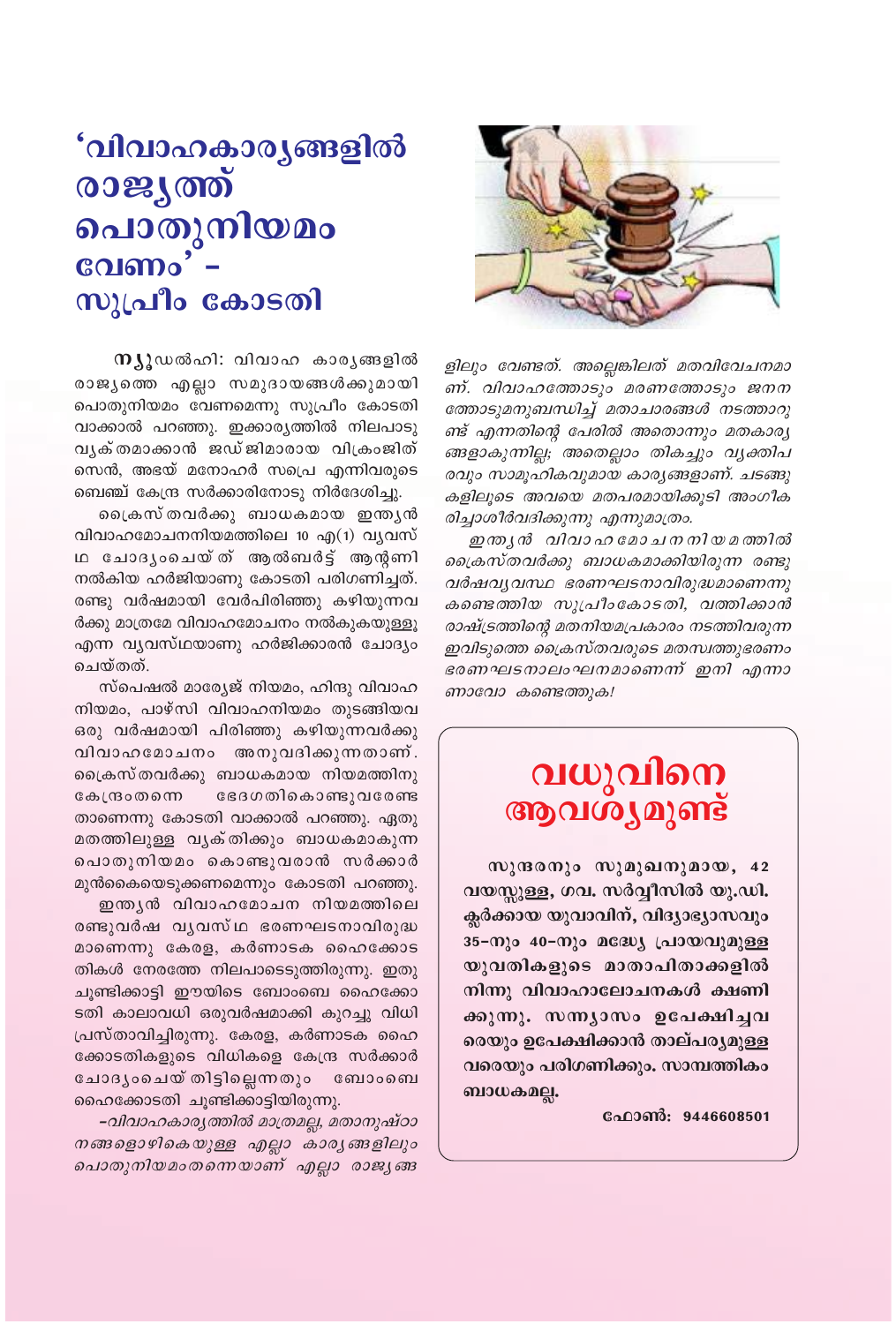## **'വിവാഹകാര്യങ്ങളിൽ** രാജ്യത്ത് ചൊതുനിയമം വേണം' സുപ്രീം കോടതി

നുൂഡൽഹി: വിവാഹ കാരൃങ്ങളിൽ രാജ്യത്തെ എല്ലാ സമുദായങ്ങൾക്കുമായി പൊതുനിയമം വേണമെന്നു സുപ്രീം കോടതി വാക്കാൽ പറഞ്ഞു. ഇക്കാരൃത്തിൽ നിലപാടു വൃക്തമാക്കാൻ ജഡ്ജിമാരായ വിക്രംജിത് സെൻ, അഭയ് മനോഹർ സപ്രെ എന്നിവരുടെ ബെഞ്ച് കേന്ദ്ര സർക്കാരിനോടു നിർദേശിച്ചു.

പ്രൈസ് തവർക്കു ബാധകമായ ഇന്തൃൻ വിവാഹമോചനനിയമത്തിലെ 10 എ(1) വ്യവസ് ഥ ചോദൃംചെയ്ത് ആൽബർട്ട് ആനുണി നൽകിയ ഹർജിയാണു കോടതി പരിഗണിച്ചത്. രണ്ടു വർഷമായി വേർപിരിഞ്ഞു കഴിയുന്നവ ർക്കു മാത്രമേ വിവാഹമോചനം നൽകുകയുള്ളൂ എന്ന വ്യവസ്ഥയാണു ഹർജിക്കാരൻ ചോദ്യം ചെയ്തത്.

സ്പെഷൽ മാര്യേജ് നിയമം, ഹിന്ദു വിവാഹ നിയമം, പാഴ്സി വിവാഹനിയമം തുടങ്ങിയവ ഒരു വർഷമായി പിരിഞ്ഞു കഴിയുന്നവർക്കു വിവാഹമോചനം അനുവദിക്കുന്നതാണ്. പ്രൈസ്തവർക്കു ബാധകമായ നിയമത്തിനു ഭേദഗതികൊണ്ടുവരേണ്ട കേന്ദ്രംതന്നെ താണെന്നു കോടതി വാക്കാൽ പറഞ്ഞു. ഏതു മതത്തിലുള്ള വൃക്തിക്കും ബാധകമാകുന്ന പൊതുനിയമം കൊണ്ടുവരാൻ സർക്കാർ മുൻകൈയെടുക്കണമെന്നും കോടതി പറഞ്ഞു.

ഇന്ത്യൻ വിവാഹമോചന നിയമത്തിലെ രണ്ടുവർഷ വൃവസ്ഥ ഭരണഘടനാവിരുദ്ധ മാണെന്നു കേരള, കർണാടക ഹൈക്കോട തികൾ നേരത്തേ നിലപാടെടുത്തിരുന്നു. ഇതു ചുണ്ടിക്കാട്ടി ഈയിടെ ബോംബെ ഹൈക്കോ ടതി കാലാവധി ഒരുവർഷമാക്കി കുറച്ചു വിധി പ്രസ്താവിച്ചിരുന്നു. കേരള, കർണാടക ഹൈ ക്കോടതികളുടെ വിധികളെ കേന്ദ്ര സർക്കാർ ചോദൃംചെയ് തിട്ടില്ലെന്നതും ബോംബെ ഹൈക്കോടതി ചൂണ്ടിക്കാട്ടിയിരുന്നു.

–വിവാഹകാര്യത്തിൽ മാത്രമല്ല, മതാനുഷ്ഠാ നങ്ങളൊഴികെയുള്ള എല്ലാ കാര്യങ്ങളിലും പൊതുനിയമംതന്നെയാണ് എല്ലാ രാജൃങ്ങ



ളിലും വേണ്ടത്. അല്ലെങ്കിലത് മതവിവേചനമാ ണ്. വിവാഹത്തോടും മരണത്തോടും ജനന ത്തോടുമനുബന്ധിച്ച് മതാചാരങ്ങൾ നടത്താറു ണ്ട് എന്നതിന്റെ പേരിൽ അതൊന്നും മതകാര്യ ങ്ങളാകുന്നില്ല; അതെല്ലാം തികച്ചും വ്യക്തിപ രവും സാമൂഹികവുമായ കാര്യങ്ങളാണ്. ചടങ്ങു കളിലൂടെ അവയെ മതപരമായിക്കൂടി അംഗീക രിച്ചാശീർവദിക്കുന്നു എന്നുമാത്രം.

ഇന്ത്യൻ വിവാഹമോചനനിയമത്തിൽ പ്രൈസ്തവർക്കു ബാധകമാക്കിയിരുന്ന രണ്ടു വർഷവ്യവസ്ഥ ഭരണഘടനാവിരുദ്ധമാണെന്നു കണ്ടെത്തിയ സുപ്രീംകോടതി, വത്തിക്കാൻ രാഷ്ട്രത്തിന്റെ മതനിയമപ്രകാരം നടത്തിവരുന്ന ഇവിടുത്തെ ക്രൈസ്തവരുടെ മതസ്വത്തുഭരണം ഭരണഘടനാലംഘനമാണെന്ന് ഇനി എന്നാ ണാവോ കണ്ടെത്തുക!

## വധുവിനെ ആവശ്യമുണ്ട്

സുന്ദരനും സുമുഖനുമായ, 42 വയസ്സുള്ള, ഗവ. സർവ്വീസിൽ യു.ഡി. ക്ലർക്കായ യുവാവിന്, വിദ്യാഭ്യാസവും 35-നും 40-നും മദ്ധ്യേ പ്രായവുമുള്ള യുവതികളുടെ മാതാപിതാക്കളിൽ നിന്നു വിവാഹാലോചനകൾ ക്ഷണി ക്കുന്നു. സന്ന്യാസം ഉപേക്ഷിച്ചവ രെയും ഉപേക്ഷിക്കാൻ താല്പര്യമുള്ള വരെയും പരിഗണിക്കും. സാമ്പത്തികം ബാധകമല്ല.

ഫോൺ: 9446608501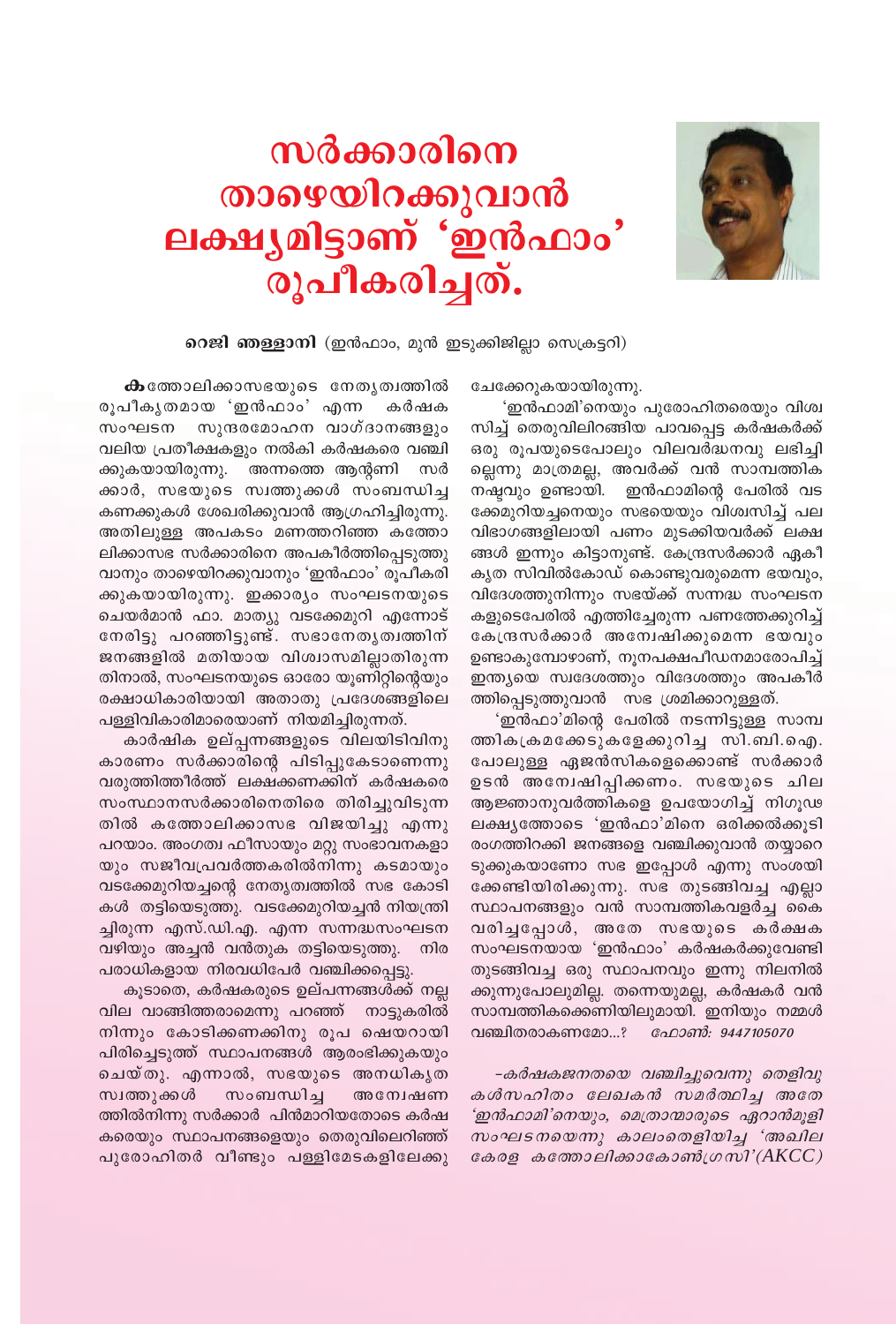

## സർക്കാരിനെ താഴെയിറക്കുവാൻ ലക്ഷ്യമിട്ടാണ് 'ഇൻഫാം' രൂപീകരിച്ചത്.

റെജി ഞള്ളാനി (ഇൻഫാം, മുൻ ഇടുക്കിജില്ലാ സെക്രട്ടറി)

ചേക്കേറുകയായിരുന്നു.

'ഇൻഫാമി'നെയും പുരോഹിതരെയും വിശ്വ സിച്ച് തെരുവിലിറങ്ങിയ പാവപ്പെട്ട കർഷകർക്ക് ഒരു രൂപയുടെപോലും വിലവർദ്ധനവു ലഭിച്ചി ല്ലെന്നു മാത്രമല്ല, അവർക്ക് വൻ സാമ്പത്തിക നഷ്ടവും ഉണ്ടായി. ഇൻഫാമിന്റെ പേരിൽ വട ക്കേമുറിയച്ചനെയും സഭയെയും വിശ്വസിച്ച് പല വിഭാഗങ്ങളിലായി പണം മുടക്കിയവർക്ക് ലക്ഷ ങ്ങൾ ഇന്നും കിട്ടാനുണ്ട്. കേന്ദ്രസർക്കാർ ഏകീ കൃത സിവിൽകോഡ് കൊണ്ടുവരുമെന്ന ഭയവും, വിദേശത്തുനിന്നും സഭയ്ക്ക് സന്നദ്ധ സംഘടന കളുടെപേരിൽ എത്തിച്ചേരുന്ന പണത്തേക്കുറിച്ച് കേന്ദ്രസർക്കാർ അന്വേഷിക്കുമെന്ന ഭയവും ഉണ്ടാകുമ്പോഴാണ്, നൂനപക്ഷപീഡനമാരോപിച്ച് ഇന്ത്യയെ സ്വദേശത്തും വിദേശത്തും അപകീർ ത്തിപ്പെടുത്തുവാൻ സഭ ശ്രമിക്കാറുള്ളത്.

'ഇൻഫാ'മിന്റെ പേരിൽ നടന്നിട്ടുള്ള സാമ്പ ത്തികക്രമക്കേടുകളേക്കുറിച്ച സി.ബി.ഐ. പോലുള്ള ഏജൻസികളെക്കൊണ്ട് സർക്കാർ ഉടൻ അന<mark>്വേഷിപ്പിക്കണം. സഭയുടെ ചില</mark> ആജ്ഞാനുവർത്തികളെ ഉപയോഗിച്ച് നിഗൂഢ ലക്ഷ്യത്തോടെ 'ഇൻഫാ'മിനെ ഒരിക്കൽക്കൂടി രംഗത്തിറക്കി ജനങ്ങളെ വഞ്ചിക്കുവാൻ തയ്യാറെ ടുക്കുകയാണോ സഭ ഇപ്പോൾ എന്നു സംശയി ക്കേണ്ടിയിരിക്കുന്നു. സഭ തുടങ്ങിവച്ച എല്ലാ സ്ഥാപനങ്ങളും വൻ സാമ്പത്തികവളർച്ച കൈ വരിച്ചപ്പോൾ, അതേ സഭയുടെ കർക്ഷക സംഘടനയായ 'ഇൻഫാം' കർഷകർക്കുവേണ്ടി തുടങ്ങിവച്ച ഒരു സ്ഥാപനവും ഇന്നു നിലനിൽ ക്കുന്നുപോലുമില്ല. തന്നെയുമല്ല, കർഷകർ വൻ സാമ്പത്തികക്കെണിയിലുമായി. ഇനിയും നമ്മൾ വഞ്ചിതരാകണമോ...? ഫോൺ: 9447105070

-കർഷകജനതയെ വഞ്ചിച്ചുവെന്നു തെളിവു കൾസഹിതം ലേഖകൻ സമർത്ഥിച്ച അതേ 'ഇൻഫാമി'നെയും, മെത്രാന്മാരുടെ ഏറാൻമൂളി സംഘടനയെന്നു കാലംതെളിയിച്ച 'അഖില കേരള കത്തോലിക്കാകോൺഗ്രസി' $(AKCC)$ 

**ക**ത്തോലിക്കാസഭയുടെ നേതൃത്വത്തിൽ രൂപീകൃതമായ 'ഇൻഫാം' എന്ന കർഷക സംഘടന സുന്ദരമോഹന വാഗ്ദാനങ്ങളും വലിയ പ്രതീക്ഷകളും നൽകി കർഷകരെ വഞ്ചി ക്കുകയായിരുന്നു. അന്നത്തെ ആന്റണി സർ ക്കാർ, സഭയുടെ സ്വത്തുക്കൾ സംബന്ധിച്ച കണക്കുകൾ ശേഖരിക്കുവാൻ ആഗ്രഹിച്ചിരുന്നു. അതിലുള്ള അപകടം മണത്തറിഞ്ഞ കത്തോ ലിക്കാസഭ സർക്കാരിനെ അപകീർത്തിപ്പെടുത്തു വാനും താഴെയിറക്കുവാനും 'ഇൻഫാം' രൂപീകരി ക്കുകയായിരുന്നു. ഇക്കാര്യം സംഘടനയുടെ ചെയർമാൻ ഫാ. മാത്യു വടക്കേമുറി എന്നോട് നേരിട്ടു പറഞ്ഞിട്ടുണ്ട്. സഭാനേതൃത്വത്തിന് ജനങ്ങളിൽ മതിയായ വിശ്വാസമില്ലാതിരുന്ന തിനാൽ, സംഘടനയുടെ ഓരോ യൂണിറ്റിന്റെയും രക്ഷാധികാരിയായി അതാതു പ്രദേശങ്ങളിലെ പള്ളിവികാരിമാരെയാണ് നിയമിച്ചിരുന്നത്.

കാർഷിക ഉല്പ്പന്നങ്ങളുടെ വിലയിടിവിനു കാരണം സർക്കാരിന്റെ പിടിപ്പുകേടാണെന്നു വരുത്തിത്തീർത്ത് ലക്ഷക്കണക്കിന് കർഷകരെ സംസ്ഥാനസർക്കാരിനെതിരെ തിരിച്ചുവിടുന്ന തിൽ കത്തോലിക്കാസഭ വിജയിച്ചു എന്നു പറയാം. അംഗത്വ ഫീസായും മറ്റു സംഭാവനകളാ യും സജീവപ്രവർത്തകരിൽനിന്നു കടമായും വടക്കേമുറിയച്ചന്റെ നേതൃത്വത്തിൽ സഭ കോടി കൾ തട്ടിയെടുത്തു. വടക്കേമുറിയച്ചൻ നിയന്ത്രി ച്ചിരുന്ന എസ്.ഡി.എ. എന്ന സന്നദ്ധസംഘടന വഴിയും അച്ചൻ വൻതുക തട്ടിയെടുത്തു. നിര പരാധികളായ നിരവധിപേർ വഞ്ചിക്കപ്പെട്ടു.

കൂടാതെ, കർഷകരുടെ ഉല്പന്നങ്ങൾക്ക് നല്ല വില വാങ്ങിത്തരാമെന്നു പറഞ്ഞ് നാട്ടുകരിൽ നിന്നും കോടിക്കണക്കിനു രൂപ ഷെയറായി പിരിച്ചെടുത്ത് സ്ഥാപനങ്ങൾ ആരംഭിക്കുകയും ചെയ്തു. എന്നാൽ, സഭയുടെ അനധികൃത സ്വത്തുക്കൾ സംബന്ധിച്ച അന്വേഷണ ത്തിൽനിന്നു സർക്കാർ പിൻമാറിയതോടെ കർഷ കരെയും സ്ഥാപനങ്ങളെയും തെരുവിലെറിഞ്ഞ് പുരോഹിതർ വീണ്ടും പള്ളിമേടകളിലേക്കു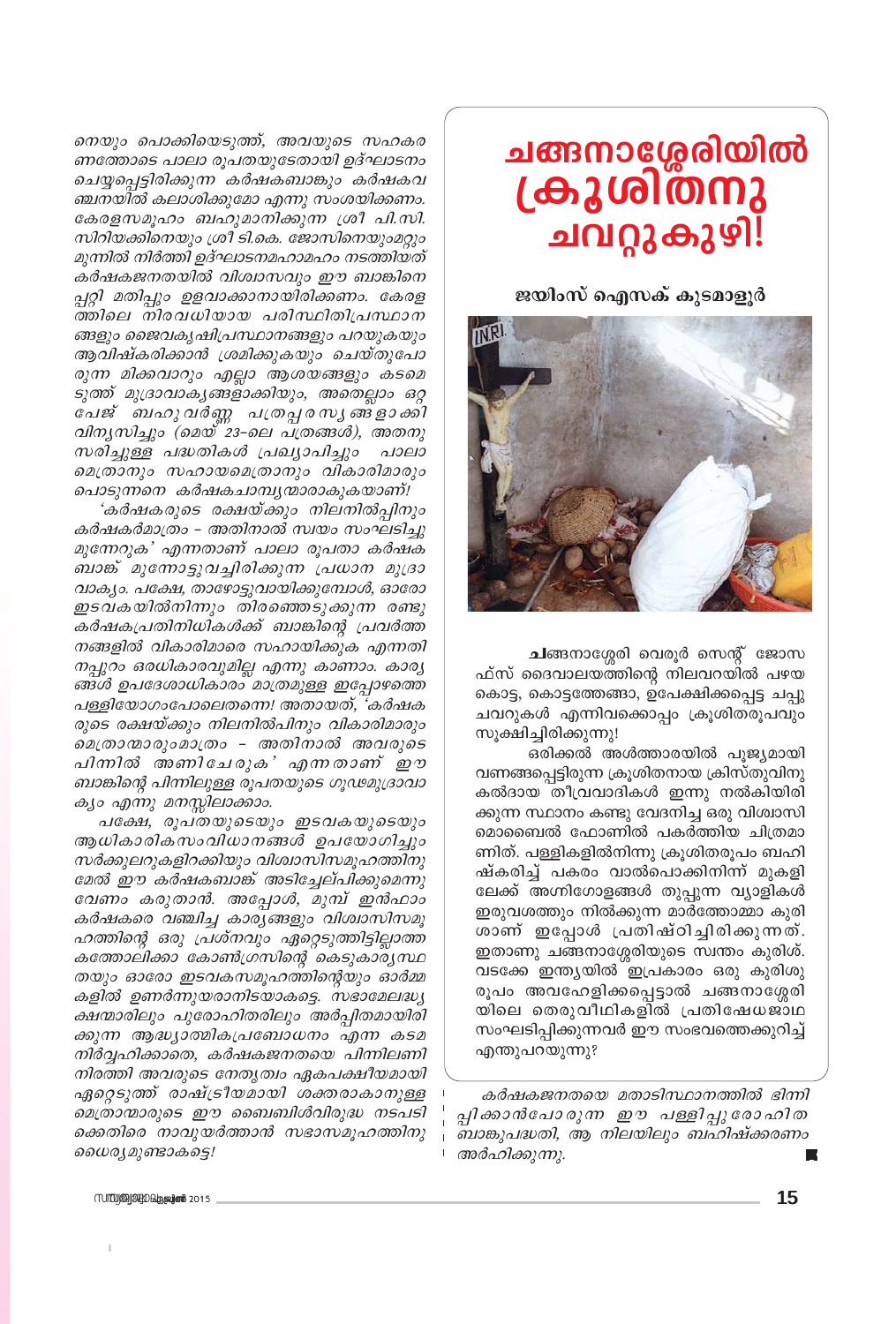## ചങ്ങനാശ്ശേരിയിൽ ക്രൂശി്തനു ചവറ്റുകുഴി

ജയിംസ് ഐസക് കുടമാളൂർ



ചങ്ങനാശ്ശേരി വെരൂർ സെന്റ് ജോസ ഫ്സ് ദൈവാലയത്തിന്റെ നിലവറയിൽ പഴയ കൊട്ട, കൊട്ടത്തേങ്ങാ, ഉപേക്ഷിക്കപ്പെട്ട ചപ്പു ചവറുകൾ എന്നിവക്കൊപ്പം ക്രൂശിതരൂപവും സൂക്ഷിച്ചിരിക്കുന്നു!

ഒരിക്കൽ അൾത്താരയിൽ പുജ്യമായി വണങ്ങപ്പെട്ടിരുന്ന ക്രൂശിതനായ ക്രിസ്തുവിനു കൽദായ തീവ്രവാദികൾ ഇന്നു നൽകിയിരി ക്കുന്ന സ്ഥാനം കണ്ടു വേദനിച്ച ഒരു വിശ്വാസി മൊബൈൽ ഫോണിൽ പകർത്തിയ ചിത്രമാ ണിത്. പള്ളികളിൽനിന്നു ക്രൂശിതരൂപം ബഹി ഷ്കരിച്ച് പകരം വാൽപൊക്കിനിന്ന് മുകളി ലേക്ക് അഗ്നിഗോളങ്ങൾ തുപ്പുന്ന വ്യാളികൾ ഇരുവശത്തും നിൽക്കുന്ന മാർത്തോമ്മാ കുരി ശാണ് ഇപ്പോൾ പ്രതിഷ്ഠിച്ചിരിക്കുന്നത്. ഇതാണു ചങ്ങനാശ്ശേരിയുടെ സ്വന്തം കുരിശ്. വടക്കേ ഇന്ത്യയിൽ ഇപ്രകാരം ഒരു കുരിശു രൂപം അവഹേളിക്കപ്പെട്ടാൽ ചങ്ങനാശ്ശേരി യിലെ തെരുവീഥികളിൽ പ്രതിഷേധജാഥ സംഘടിപ്പിക്കുന്നവർ ഈ സംഭവത്തെക്കുറിച്ച് എന്തുപറയുന്നു?

കർഷകജനതയെ മതാടിസ്ഥാനത്തിൽ ഭിന്നി പ്പിക്കാൻപോരുന്ന ഈ പള്ളിപ്പുരോഹിത ബാങ്കുപദ്ധതി, ആ നിലയിലും ബഹിഷ്ക്കരണം അർഹിക്കുന്നു.

നെയും പൊക്കിയെടുത്ത്, അവയുടെ സഹകര ണത്തോടെ പാലാ രൂപതയുടേതായി ഉദ്ഘാടനം ചെയ്യപ്പെട്ടിരിക്കുന്ന കർഷകബാങ്കും കർഷകവ ഞ്ചനയിൽ കലാശിക്കുമോ എന്നു സംശയിക്കണം. കേരളസമൂഹം ബഹുമാനിക്കുന്ന ശ്രീ പി.സി. സിറിയക്കിനെയും ശ്രീ ടി.കെ. ജോസിനെയുംമറ്റും മുന്നിൽ നിർത്തി ഉദ്ഘാടനമഹാമഹം നടത്തിയത് കർഷകജനതയിൽ വിശ്വാസവും ഈ ബാങ്കിനെ പ്പറ്റി മതിപ്പും ഉളവാക്കാനായിരിക്കണം. കേരള ത്തിലെ നിരവധിയായ പരിസ്ഥിതിപ്രസ്ഥാന ങ്ങളും ജൈവകൃഷിപ്രസ്ഥാനങ്ങളും പറയുകയും ആവിഷ്കരിക്കാൻ ശ്രമിക്കുകയും ചെയ്തുപോ രുന്ന മിക്കവാറും എല്ലാ ആശയങ്ങളും കടമെ ടുത്ത് മുദ്രാവാകൃങ്ങളാക്കിയും, അതെല്ലാം ഒറ്റ പേജ് ബഹുവർണ്ണ പത്രപ്പരസ്യങ്ങളാക്കി വിനൃസിച്ചും (മെയ് 23-ലെ പത്രങ്ങൾ), അതനു സരിച്ചുള്ള പദ്ധതികൾ പ്രഖ്യാപിച്ചും പാലാ മെത്രാനും സഹായമെത്രാനും വികാരിമാരും പൊടുന്നനെ കർഷകചാമ്പൃന്മാരാകുകയാണ്!

'കർഷകരുടെ രക്ഷയ്ക്കും നിലനിൽപ്പിനും കർഷകർമാത്രം – അതിനാൽ സ്വയം സംഘടിച്ചു മുന്നേറുക' എന്നതാണ് പാലാ രൂപതാ കർഷക ബാങ്ക് മുന്നോട്ടുവച്ചിരിക്കുന്ന പ്രധാന മുദ്രാ വാക്യം. പക്ഷേ, താഴോട്ടുവായിക്കുമ്പോൾ, ഓരോ ഇടവകയിൽനിന്നും തിരഞ്ഞെടുക്കുന്ന രണ്ടു കർഷകപ്രതിനിധികൾക്ക് ബാങ്കിന്റെ പ്രവർത്ത നങ്ങളിൽ വികാരിമാരെ സഹായിക്കുക എന്നതി നപ്പുറം ഒരധികാരവുമില്ല എന്നു കാണാം. കാര്യ ങ്ങൾ ഉപദേശാധികാരം മാത്രമുള്ള ഇപ്പോഴത്തെ പള്ളിയോഗംപോലെതന്നെ! അതായത്, 'കർഷക രുടെ രക്ഷയ്ക്കും നിലനിൽപിനും വികാരിമാരും മെത്രാന്മാരുംമാത്രം - അതിനാൽ അവരുടെ പിന്നിൽ അണിചേരുക' എന്നതാണ് ഈ ബാങ്കിന്റെ പിന്നിലുള്ള രൂപതയുടെ ഗൂഢമുദ്രാവാ കൃം എന്നു മനസ്സിലാക്കാം.

പക്ഷേ, രൂപതയുടെയും ഇടവകയുടെയും ആധികാരികസംവിധാനങ്ങൾ ഉപയോഗിച്ചും സർക്കുലറുകളിറക്കിയും വിശ്വാസിസമൂഹത്തിനു മേൽ ഈ കർഷകബാങ്ക് അടിച്ചേല്പിക്കുമെന്നു വേണം കരുതാൻ. അപ്പോൾ, മുമ്പ് ഇൻഫാം കർഷകരെ വഞ്ചിച്ച കാര്യങ്ങളും വിശ്വാസിസമൂ ഹത്തിന്റെ ഒരു പ്രശ്നവും ഏറ്റെടുത്തിട്ടില്ലാത്ത കത്തോലിക്കാ കോൺഗ്രസിന്റെ കെടുകാര്യസ്ഥ തയും ഓരോ ഇടവകസമൂഹത്തിന്റെയും ഓർമ്മ കളിൽ ഉണർന്നുയരാനിടയാകട്ടെ. സഭാമേലദ്ധ്യ ക്ഷന്മാരിലും പുരോഹിതരിലും അർപ്പിതമായിരി ക്കുന്ന ആദ്ധ്യാത്മികപ്രബോധനം എന്ന കടമ നിർവ്വഹിക്കാതെ, കർഷകജനതയെ പിന്നിലണി നിരത്തി അവരുടെ നേതൃത്വം ഏകപക്ഷീയമായി ഏറ്റെടുത്ത് രാഷ്ട്രീയമായി ശക്തരാകാനുള്ള മെത്രാന്മാരുടെ ഈ ബൈബിൾവിരുദ്ധ നടപടി ക്കെതിരെ നാവുയർത്താൻ സഭാസമൂഹത്തിനു ധൈര്യമുണ്ടാകട്ടെ!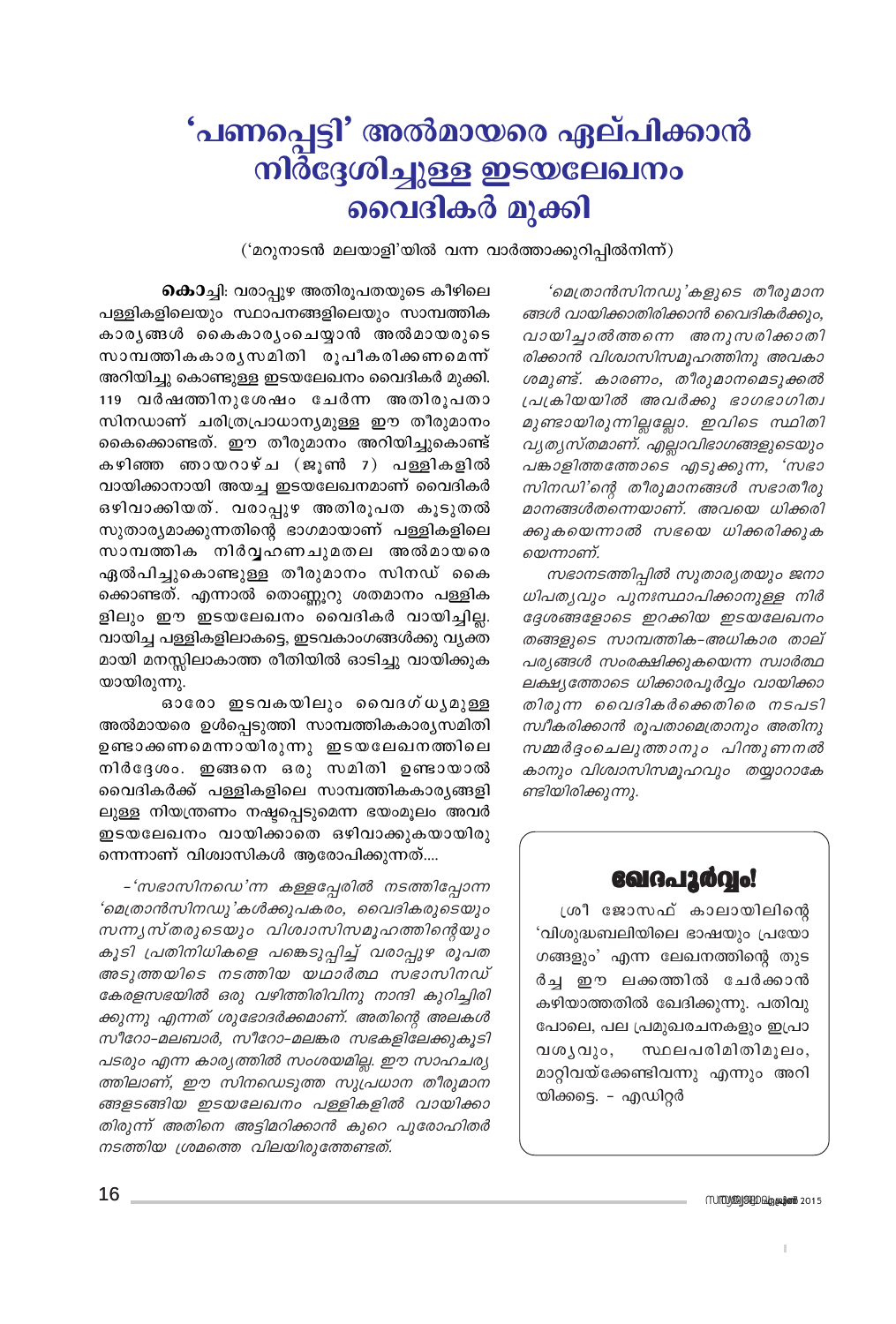## 'പണപ്പെട്ടി' അൽമായരെ ഏല്പിക്കാൻ നിർ്ദ്ദേശിച്ചുള്ള ഇടയലേഖനം വൈദികർ മുക്കി

('മറുനാടൻ മലയാളി'യിൽ വന്ന വാർത്താക്കുറിപ്പിൽനിന്ന്)

'മെത്രാൻസിനഡു'കളുടെ തീരുമാന ങ്ങൾ വായിക്കാതിരിക്കാൻ വൈദികർക്കും, വായിച്ചാൽത്തന്നെ അനുസരിക്കാതി രിക്കാൻ വിശ്വാസിസമൂഹത്തിനു അവകാ ശമുണ്ട്. കാരണം, തീരുമാനമെടുക്കൽ പ്രക്രിയയിൽ അവർക്കു ഭാഗഭാഗിത്വ മുണ്ടായിരുന്നില്ലല്ലോ. ഇവിടെ സ്ഥിതി വ്യത്യസ്തമാണ്. എല്ലാവിഭാഗങ്ങളുടെയും പങ്കാളിത്തത്തോടെ എടുക്കുന്ന, 'സഭാ സിനഡി'ന്റെ തീരുമാനങ്ങൾ സഭാതീരു മാനങ്ങൾതന്നെയാണ്. അവയെ ധിക്കരി ക്കുകയെന്നാൽ സഭയെ ധിക്കരിക്കുക യെന്നാണ്.

സഭാനടത്തിപ്പിൽ സുതാര്യതയും ജനാ ധിപത്യവും പുനഃസ്ഥാപിക്കാനുള്ള നിർ ദ്ദേശങ്ങളോടെ ഇറക്കിയ ഇടയലേഖനം തങ്ങളുടെ സാമ്പത്തിക–അധികാര താല് പര്യങ്ങൾ സംരക്ഷിക്കുകയെന്ന സ്വാർത്ഥ ലക്ഷ്യത്തോടെ ധിക്കാരപൂർവ്വം വായിക്കാ തിരുന്ന വൈദികർക്കെതിരെ നടപടി സ്വീകരിക്കാൻ രൂപതാമെത്രാനും അതിനു സമ്മർദ്ദംചെലുത്താനും പിന്തുണനൽ കാനും വിശ്വാസിസമുഹവും തയ്യാറാകേ ണ്ടിയിരിക്കുന്നു.

### കൊച്ചി: വരാപ്പുഴ അതിരൂപതയുടെ കീഴിലെ

പള്ളികളിലെയും സ്ഥാപനങ്ങളിലെയും സാമ്പത്തിക കാരൃങ്ങൾ കൈകാരൃംചെയ്യാൻ അൽമായരുടെ സാമ്പത്തികകാരൃസമിതി രൂപീകരിക്കണമെന്ന് അറിയിച്ചു കൊണ്ടുള്ള ഇടയലേഖനം വൈദികർ മുക്കി. 119 വർഷത്തിനുശേഷം ചേർന്ന അതിരൂപതാ സിനഡാണ് ചരിത്രപ്രാധാന്യമുള്ള ഈ തീരുമാനം കൈക്കൊണ്ടത്. ഈ തീരുമാനം അറിയിച്ചുകൊണ്ട് കഴിഞ്ഞ ഞായറാഴ്ച (ജൂൺ 7) പള്ളികളിൽ വായിക്കാനായി അയച്ച ഇടയലേഖനമാണ് വൈദികർ ഒഴിവാക്കിയത്. വരാപ്പുഴ അതിരൂപത കൂടുതൽ സുതാര്യമാക്കുന്നതിന്റെ ഭാഗമായാണ് പള്ളികളിലെ സാമ്പത്തിക നിർവ്വഹണചുമതല അൽമായരെ ഏൽപിച്ചുകൊണ്ടുള്ള തീരുമാനം സിനഡ് കൈ ക്കൊണ്ടത്. എന്നാൽ തൊണ്ണൂറു ശതമാനം പള്ളിക ളിലും ഈ ഇടയലേഖനം വൈദികർ വായിച്ചില്ല. വായിച്ച പള്ളികളിലാകട്ടെ, ഇടവകാംഗങ്ങൾക്കു വൃക്ത മായി മനസ്സിലാകാത്ത രീതിയിൽ ഓടിച്ചു വായിക്കുക യായിരുന്നു.

ഓരോ ഇടവകയിലും വൈദഗ്ധൃമുള്ള അൽമായരെ ഉൾപ്പെടുത്തി സാമ്പത്തികകാര്യസമിതി ഉണ്ടാക്കണമെന്നായിരുന്നു ഇടയലേഖനത്തിലെ നിർദ്ദേശം. ഇങ്ങനെ ഒരു സമിതി ഉണ്ടായാൽ വൈദികർക്ക് പള്ളികളിലെ സാമ്പത്തികകാരൃങ്ങളി ലുള്ള നിയന്ത്രണം നഷ്ടപ്പെടുമെന്ന ഭയംമൂലം അവർ ഇടയലേഖനം വായിക്കാതെ ഒഴിവാക്കുകയായിരു ന്നെന്നാണ് വിശ്വാസികൾ ആരോപിക്കുന്നത്....

-'സഭാസിനഡെ'ന്ന കള്ളപ്പേരിൽ നടത്തിപ്പോന്ന 'മെത്രാൻസിനഡു'കൾക്കുപകരം, വൈദികരുടെയും സന്ന്യസ്തരുടെയും വിശ്വാസിസമൂഹത്തിന്റെയും കൂടി പ്രതിനിധികളെ പങ്കെടുപ്പിച്ച് വരാപ്പുഴ രൂപത അടുത്തയിടെ നടത്തിയ യഥാർത്ഥ സഭാസിനഡ് കേരളസഭയിൽ ഒരു വഴിത്തിരിവിനു നാന്ദി കുറിച്ചിരി ക്കുന്നു എന്നത് ശുഭോദർക്കമാണ്. അതിന്റെ അലകൾ സീറോ-മലബാർ, സീറോ-മലങ്കര സഭകളിലേക്കുകൂടി പടരും എന്ന കാര്യത്തിൽ സംശയമില്ല. ഈ സാഹചര്യ ത്തിലാണ്, ഈ സിനഡെടുത്ത സുപ്രധാന തീരുമാന ങ്ങളടങ്ങിയ ഇടയലേഖനം പള്ളികളിൽ വായിക്കാ തിരുന്ന് അതിനെ അട്ടിമറിക്കാൻ കുറെ പുരോഹിതർ നടത്തിയ ശ്രമത്തെ വിലയിരുത്തേണ്ടത്.

**COIGAI20010!** 

ശ്രീ ജോസഫ് കാലായിലിന്റെ 'വിശുദ്ധബലിയിലെ ഭാഷയും പ്രയോ ഗങ്ങളും' എന്ന ലേഖനത്തിന്റെ തുട ർച്ച ഈ ലക്കത്തിൽ ചേർക്കാൻ കഴിയാത്തതിൽ ഖേദിക്കുന്നു. പതിവു പോലെ, പല പ്രമുഖരചനകളും ഇപ്രാ വശൃവും, സ്ഥലപരിമിതിമുലം, മാറ്റിവയ്ക്കേണ്ടിവന്നു എന്നും അറി യിക്കട്ടെ. - എഡിറ്റർ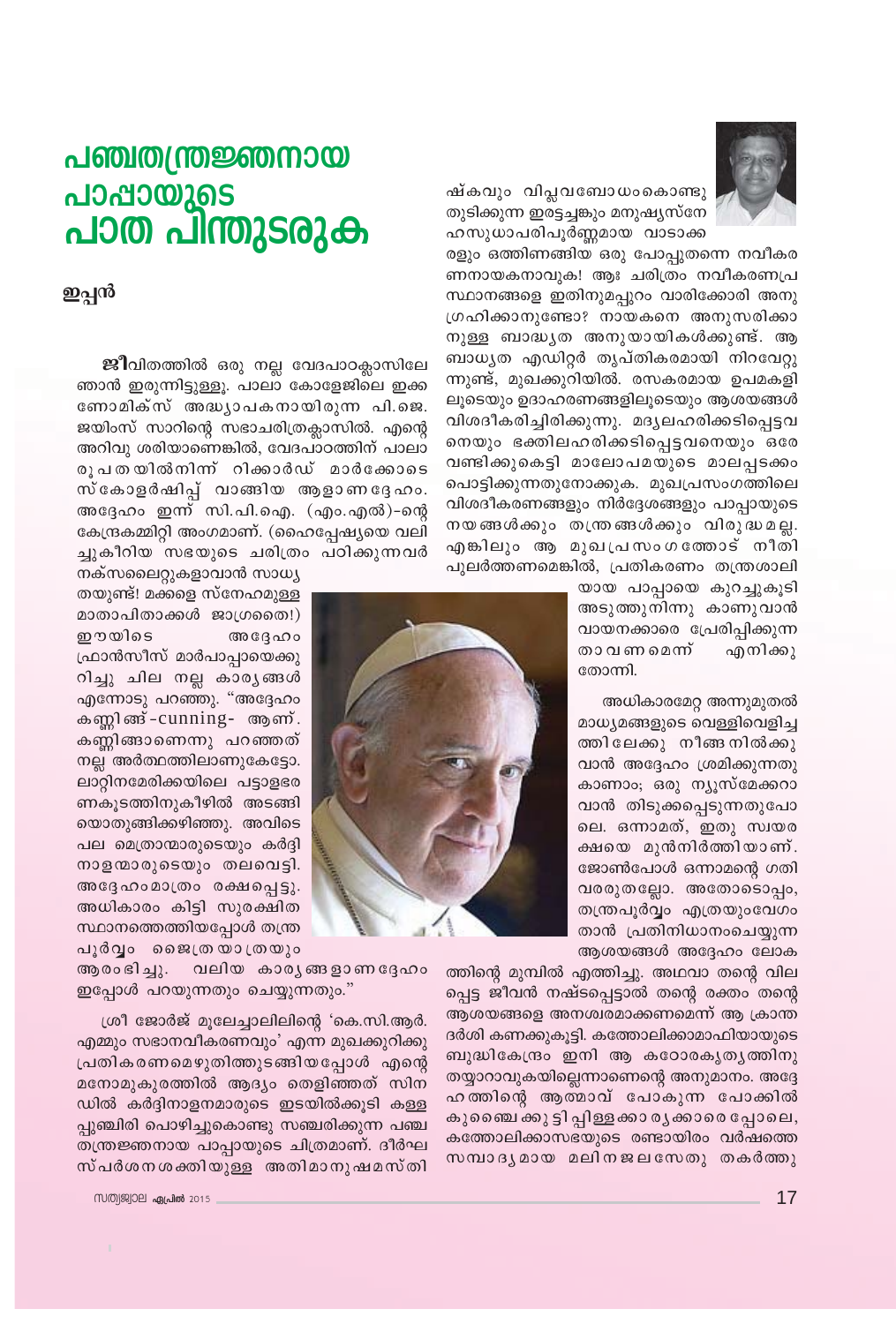

ഷ്കവും വിപ്ലവബോധംകൊണ്ടു തുടിക്കുന്ന ഇരട്ടച്ചങ്കും മനുഷ്യസ്നേ ഹസുധാപരിപൂർണ്ണമായ വാടാക്ക

രളും ഒത്തിണങ്ങിയ ഒരു പോപ്പുതന്നെ നവീകര ണനായകനാവുക! ആഃ ചരിത്രം നവീകരണപ്ര സ്ഥാനങ്ങളെ ഇതിനുമപ്പുറം വാരിക്കോരി അനു ഗ്രഹിക്കാനുണ്ടോ? നായകനെ അനുസരിക്കാ നുള്ള ബാദ്ധൃത അനുയായികൾക്കുണ്ട്. ആ ബാധൃത എഡിറ്റർ തൃപ്തികരമായി നിറവേറ്റു ന്നുണ്ട്, മുഖക്കുറിയിൽ. രസകരമായ ഉപമകളി ലൂടെയും ഉദാഹരണങ്ങളിലൂടെയും ആശയങ്ങൾ വിശദീകരിച്ചിരിക്കുന്നു. മദൃലഹരിക്കടിപ്പെട്ടവ നെയും ഭക്തിലഹരിക്കടിപ്പെട്ടവനെയും ഒരേ വണ്ടിക്കുകെട്ടി മാലോപമയുടെ മാലപ്പടക്കം പൊട്ടിക്കുന്നതുനോക്കുക. മുഖപ്രസംഗത്തിലെ വിശദീകരണങ്ങളും നിർദ്ദേശങ്ങളും പാപ്പായുടെ നയങ്ങൾക്കും തന്ത്രങ്ങൾക്കും വിരുദ്ധമല്ല. എങ്കിലും ആ മുഖപ്രസംഗത്തോട് നീതി പുലർത്തണമെങ്കിൽ, പ്രതികരണം തന്ത്രശാലി

> യായ പാപ്പായെ കുറച്ചുകൂടി അടുത്തുനിന്നു കാണുവാൻ വായനക്കാരെ പ്രേരിപ്പിക്കുന്ന താ വണ മെന്ന് എനിക്കു തോന്നി.

> അധികാരമേറ്റ അന്നുമുതൽ മാധ്യമങ്ങളുടെ വെള്ളിവെളിച്ച ത്തിലേക്കു നീങ്ങനിൽക്കു വാൻ അദ്ദേഹം ശ്രമിക്കുന്നതു കാണാം, ഒരു ന്യൂസ്മേക്കറാ വാൻ തിടുക്കപ്പെടുന്നതുപോ ലെ. ഒന്നാമത്, ഇതു സ്വയര ക്ഷയെ മുൻനിർത്തിയാണ്. ജോൺപോൾ ഒന്നാമന്റെ ഗതി വരരുതല്ലോ. അതോടൊപ്പം, തന്ത്രപൂർവ്വം എത്രയുംവേഗം താൻ പ്രതിനിധാനംചെയ്യുന്ന ആശയങ്ങൾ അദ്ദേഹം ലോക

ത്തിന്റെ മുമ്പിൽ എത്തിച്ചു. അഥവാ തന്റെ വില പ്പെട്ട ജീവൻ നഷ്ടപ്പെട്ടാൽ തന്റെ രക്തം തന്റെ ആശയങ്ങളെ അനശ്വരമാക്കണമെന്ന് ആ ക്രാന്ത ദർശി കണക്കുകൂട്ടി. കത്തോലിക്കാമാഫിയായുടെ ബുദ്ധികേന്ദ്രം ഇനി ആ കഠോരകൃതൃത്തിനു തയ്യാറാവുകയില്ലെന്നാണെന്റെ അനുമാനം. അദ്ദേ ഹത്തിന്റെ ആത്മാവ് പോകുന്ന പോക്കിൽ കുബൈ ക്കു ട്ടി പ്പിള്ളക്കാ ര്യക്കാരെ പ്പോലെ, കത്തോലിക്കാസഭയുടെ രണ്ടായിരം വർഷത്തെ സമ്പാദൃമായ മലിനജലസേതു തകർത്തു

## <u>പഞ്ചതന്ത്രജ്ഞനായ</u> പാപ്പായുടെ പാത പിന്തുടരുക

ഇപ്പൻ

**ജീ**വിതത്തിൽ ഒരു നല്ല വേദപാഠക്ലാസിലേ ഞാൻ ഇരുന്നിട്ടുള്ളൂ. പാലാ കോളേജിലെ ഇക്ക ണോമിക്സ് അദ്ധ്യാപകനായിരുന്ന പി.ജെ. ജയിംസ് സാറിന്റെ സഭാചരിത്രക്ലാസിൽ. എന്റെ അറിവു ശരിയാണെങ്കിൽ, വേദപാഠത്തിന് പാലാ രുപതയിൽനിന് റിക്കാർഡ് മാർക്കോടെ സ്കോളർഷിപ്പ് വാങ്ങിയ ആളാണദ്ദേഹം. അദ്ദേഹം ഇന്ന് സി.പി.ഐ. (എം.എൽ)-ന്റെ കേന്ദ്രകമ്മിറ്റി അംഗമാണ്. (ഹൈപ്പേഷ്യയെ വലി ച്ചുകീറിയ സഭയുടെ ചരിത്രം പഠിക്കുന്നവർ



നക്സലൈറ്റുകളാവാൻ സാധ്യ തയുണ്ട്! മക്കളെ സ്നേഹമുള്ള മാതാപിതാക്കൾ ജാഗ്രതൈ!) ഈയിടെ അദ്ദേഹം ഫ്രാൻസീസ് മാർപാപ്പായെക്കു റിച്ചു ചില നല്ല കാരൃങ്ങൾ എന്നോടു പറഞ്ഞു. "അദ്ദേഹം കണ്ണിങ്ങ് -cunning- ആണ്. കണ്ണിങ്ങാണെന്നു പറഞ്ഞത് നല്ല അർത്ഥത്തിലാണുകേട്ടോ. ലാറ്റിനമേരിക്കയിലെ പട്ടാളഭര ണകുടത്തിനുകീഴിൽ അടങ്ങി യൊതുങ്ങിക്കഴിഞ്ഞു. അവിടെ പല മെത്രാന്മാരുടെയും കർദ്ദി നാളന്മാരുടെയും തലവെട്ടി. അദ്ദേഹംമാത്രം രക്ഷപ്പെട്ടു. അധികാരം കിട്ടി സുരക്ഷിത സ്ഥാനത്തെത്തിയപ്പോൾ തന്ത്ര പൂർവ്വം ജൈത്രയാത്രയും

വലിയ കാര്യങ്ങളാണദ്ദേഹം ആരംഭിച്ചു. ഇപ്പോൾ പറയുന്നതും ചെയ്യുന്നതും."

ശ്രീ ജോർജ് മൂലേച്ചാലിലിന്റെ 'കെ.സി.ആർ. എമ്മും സഭാനവീകരണവും' എന്ന മുഖക്കുറിക്കു പ്രതികരണമെഴുതിത്തുടങ്ങിയപ്പോൾ എന്റെ മനോമുകുരത്തിൽ ആദ്യം തെളിഞ്ഞത് സിന ഡിൽ കർദ്ദിനാളനമാരുടെ ഇടയിൽക്കൂടി കള്ള പ്പുഞ്ചിരി പൊഴിച്ചുകൊണ്ടു സഞ്ചരിക്കുന്ന പഞ്ച തന്ത്രജ്ഞനായ പാപ്പായുടെ ചിത്രമാണ്. ദീർഘ സ്പർശനശക്തിയുള്ള അതിമാനുഷമസ്തി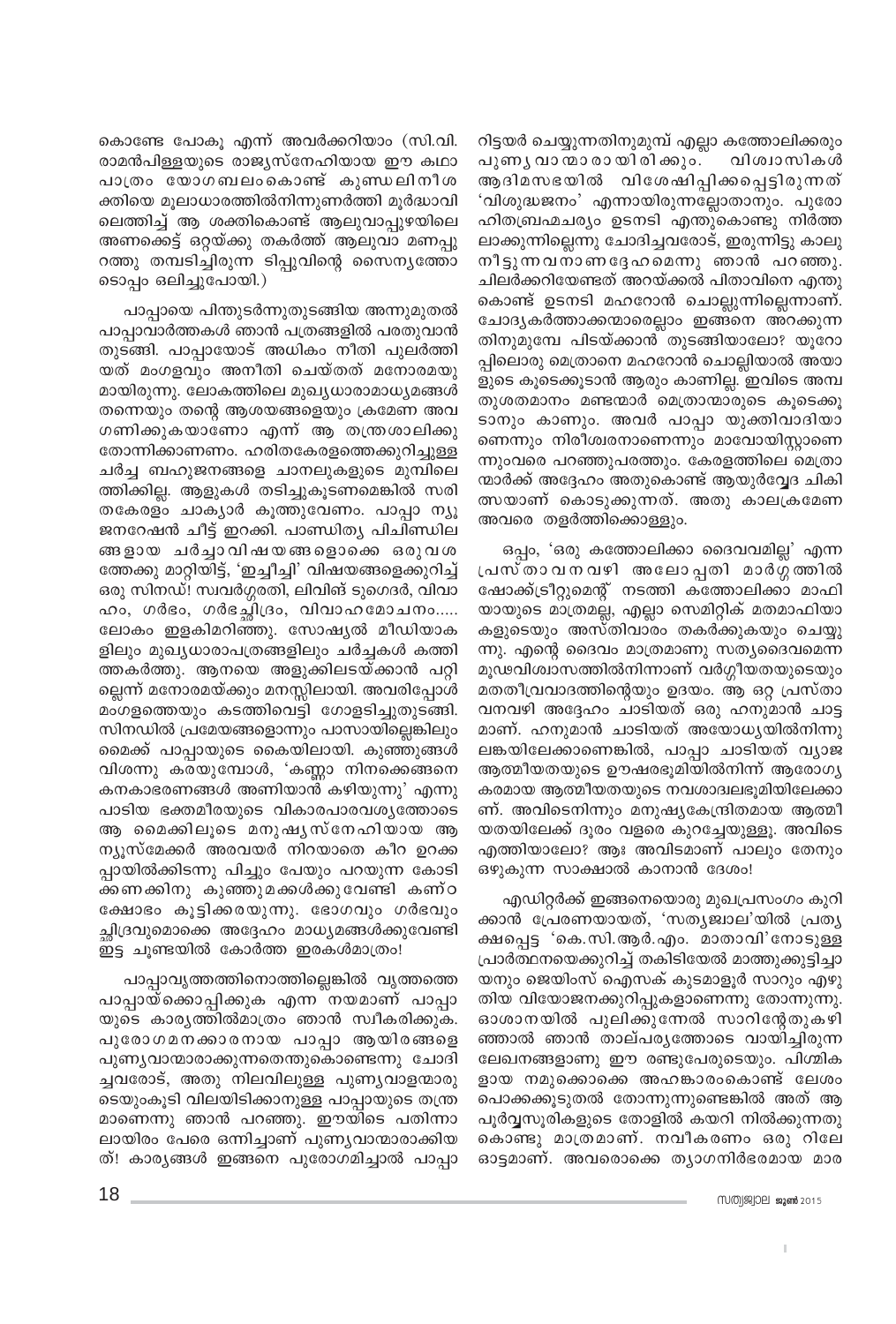കൊണ്ടേ പോകൂ എന്ന് അവർക്കറിയാം (സി.വി. രാമൻപിള്ളയുടെ രാജ്യസ്നേഹിയായ ഈ കഥാ പാത്രം യോഗബലംകൊണ്ട് കുണ്ഡലിനീശ ക്തിയെ മൂലാധാരത്തിൽനിന്നുണർത്തി മൂർദ്ധാവി ലെത്തിച്ച് ആ ശക്തികൊണ്ട് ആലുവാപ്പുഴയിലെ അണക്കെട്ട് ഒറ്റയ്ക്കു തകർത്ത് ആലുവാ മണപ്പു റത്തു തമ്പടിച്ചിരുന്ന ടിപ്പുവിന്റെ സൈനൃത്തോ ടൊപ്പം ഒലിച്ചുപോയി.)

പാപ്പായെ പിന്തുടർന്നുതുടങ്ങിയ അന്നുമുതൽ പാപ്പാവാർത്തകൾ ഞാൻ പത്രങ്ങളിൽ പരതുവാൻ തുടങ്ങി. പാപ്പായോട് അധികം നീതി പുലർത്തി യത് മംഗളവും അനീതി ചെയ്തത് മനോരമയു മായിരുന്നു. ലോകത്തിലെ മുഖ്യധാരാമാധ്യമങ്ങൾ തന്നെയും തന്റെ ആശയങ്ങളെയും ക്രമേണ അവ ഗണിക്കുകയാണോ എന്ന് ആ തന്ത്രശാലിക്കു തോന്നിക്കാണണം. ഹരിതകേരളത്തെക്കുറിച്ചുള്ള ചർച്ച ബഹുജനങ്ങളെ ചാനലുകളുടെ മുമ്പിലെ ത്തിക്കില്ല. ആളുകൾ തടിച്ചുകൂടണമെങ്കിൽ സരി തകേരളം ചാക്യാർ കൂത്തുവേണം. പാപ്പാ ന്യൂ ജനറേഷൻ ചീട്ട് ഇറക്കി. പാണ്ഡിത്യ പിചിണ്ഡില ങ്ങളായ ചർച്ചാവിഷയങ്ങളൊക്കെ ഒരുവശ ത്തേക്കു മാറ്റിയിട്ട്, 'ഇച്ചീച്ചി' വിഷയങ്ങളെക്കുറിച്ച് ഒരു സിനഡ്! സ്വവർഗ്ഗരതി, ലിവിങ് ടുഗെദർ, വിവാ ഹം, ഗർഭം, ഗർഭച്ഛിദ്രം, വിവാഹമോചനം..... ലോകം ഇളകിമറിഞ്ഞു. സോഷ്യൽ മീഡിയാക ളിലും മുഖ്യധാരാപത്രങ്ങളിലും ചർച്ചകൾ കത്തി ത്തകർത്തു. ആനയെ അളുക്കിലടയ്ക്കാൻ പറ്റി ല്ലെന്ന് മനോരമയ്ക്കും മനസ്സിലായി. അവരിപ്പോൾ മംഗളത്തെയും കടത്തിവെട്ടി ഗോളടിച്ചുതുടങ്ങി. സിനഡിൽ പ്രമേയങ്ങളൊന്നും പാസായില്ലെങ്കിലും മൈക്ക് പാപ്പായുടെ കൈയിലായി. കുഞ്ഞുങ്ങൾ വിശന്നു കരയുമ്പോൾ, 'കണ്ണാ നിനക്കെങ്ങനെ കനകാഭരണങ്ങൾ അണിയാൻ കഴിയുന്നു' എന്നു പാടിയ ഭക്തമീരയുടെ വികാരപാരവശ്യത്തോടെ ആ മൈക്കിലൂടെ മനുഷ്യസ്നേഹിയായ ആ ന്യൂസ്മേക്കർ അരവയർ നിറയാതെ കീറ ഉറക്ക പ്പായിൽക്കിടന്നു പിച്ചും പേയും പറയുന്ന കോടി ക്കണക്കിനു കുഞ്ഞുമക്കൾക്കുവേണ്ടി കണ്ഠ ക്ഷോഭം കൂട്ടിക്കരയുന്നു. ഭോഗവും ഗർഭവും ച്ഛിദ്രവുമൊക്കെ അദ്ദേഹം മാധ്യമങ്ങൾക്കുവേണ്ടി ഇട്ട ചൂണ്ടയിൽ കോർത്ത ഇരകൾമാത്രം!

പാപ്പാവൃത്തത്തിനൊത്തില്ലെങ്കിൽ വൃത്തത്തെ പാപ്പായ്ക്കൊപ്പിക്കുക എന്ന നയമാണ് പാപ്പാ യുടെ കാര്യത്തിൽമാത്രം ഞാൻ സ്വീകരിക്കുക. പുരോഗമനക്കാരനായ പാപ്പാ ആയിരങ്ങളെ പുണ്യവാന്മാരാക്കുന്നതെന്തുകൊണ്ടെന്നു ചോദി ച്ചവരോട്, അതു നിലവിലുള്ള പുണ്യവാളന്മാരു ടെയുംകൂടി വിലയിടിക്കാനുള്ള പാപ്പായുടെ തന്ത്ര മാണെന്നു ഞാൻ പറഞ്ഞു. ഈയിടെ പതിന്നാ ലായിരം പേരെ ഒന്നിച്ചാണ് പുണ്യവാന്മാരാക്കിയ ത്! കാര്യങ്ങൾ ഇങ്ങനെ പുരോഗമിച്ചാൽ പാപ്പാ റിട്ടയർ ചെയ്യുന്നതിനുമുമ്പ് എല്ലാ കത്തോലിക്കരും പുണ്യ വാന്മാ രായിരിക്കും. വിശ്വാസികൾ ആദിമസഭയിൽ വിശേഷിപ്പിക്കപ്പെട്ടിരുന്നത് 'വിശുദ്ധജനം' എന്നായിരുന്നല്ലോതാനും. പുരോ ഹിതബ്രഹ്മചര്യം ഉടനടി എന്തുകൊണ്ടു നിർത്ത ലാക്കുന്നില്ലെന്നു ചോദിച്ചവരോട്, ഇരുന്നിട്ടു കാലു നീട്ടുന്നവനാണദ്ദേഹമെന്നു ഞാൻ പറഞ്ഞു. ചിലർക്കറിയേണ്ടത് അറയ്ക്കൽ പിതാവിനെ എന്തു കൊണ്ട് ഉടനടി മഹറോൻ ചൊല്ലുന്നില്ലെന്നാണ്. ചോദ്യകർത്താക്കന്മാരെല്ലാം ഇങ്ങനെ അറക്കുന്ന തിനുമുമ്പേ പിടയ്ക്കാൻ തുടങ്ങിയാലോ? യൂറോ പ്പിലൊരു മെത്രാനെ മഹറോൻ ചൊല്ലിയാൽ അയാ ളുടെ കൂടെക്കൂടാൻ ആരും കാണില്ല. ഇവിടെ അമ്പ തുശതമാനം മണ്ടന്മാർ മെത്രാന്മാരുടെ കുടെക്കു ടാനും കാണും. അവർ പാപ്പാ യുക്തിവാദിയാ ണെന്നും നിരീശ്വരനാണെന്നും മാവോയിസ്റ്റാണെ ന്നുംവരെ പറഞ്ഞുപരത്തും. കേരളത്തിലെ മെത്രാ ന്മാർക്ക് അദ്ദേഹം അതുകൊണ്ട് ആയുർവ്വേദ ചികി ത്സയാണ് കൊടുക്കുന്നത്. അതു കാലക്രമേണ അവരെ തളർത്തിക്കൊള്ളും.

ഒപ്പം, 'ഒരു കത്തോലിക്കാ ദൈവവമില്ല' എന്ന പ്രസ്താവനവഴി അലോപ്പതി മാർഗ്ഗത്തിൽ ഷോക്ക്ട്രീറ്റുമെന്റ് നടത്തി കത്തോലിക്കാ മാഫി യായുടെ മാത്രമല്ല, എല്ലാ സെമിറ്റിക് മതമാഫിയാ കളുടെയും അസ്തിവാരം തകർക്കുകയും ചെയ്യു ന്നു. എന്റെ ദൈവം മാത്രമാണു സത്യദൈവമെന്ന മൂഢവിശ്വാസത്തിൽനിന്നാണ് വർഗ്ഗീയതയുടെയും മതതീവ്രവാദത്തിന്റെയും ഉദയം. ആ ഒറ്റ പ്രസ്താ വനവഴി അദ്ദേഹം ചാടിയത് ഒരു ഹനുമാൻ ചാട്ട മാണ്. ഹനുമാൻ ചാടിയത് അയോധ്യയിൽനിന്നു ലങ്കയിലേക്കാണെങ്കിൽ, പാപ്പാ ചാടിയത് വ്യാജ ആത്മീയതയുടെ ഊഷരഭൂമിയിൽനിന്ന് ആരോഗ്യ കരമായ ആത്മീയതയുടെ നവശാദ്വലഭുമിയിലേക്കാ ണ്. അവിടെനിന്നും മനുഷ്യകേന്ദ്രിതമായ ആത്മീ യതയിലേക്ക് ദൂരം വളരെ കുറച്ചേയുള്ളൂ. അവിടെ എത്തിയാലോ? ആഃ അവിടമാണ് പാലും തേനും ഒഴുകുന്ന സാക്ഷാൽ കാനാൻ ദേശം!

എഡിറ്റർക്ക് ഇങ്ങനെയൊരു മുഖപ്രസംഗം കുറി ക്കാൻ പ്രേരണയായത്, 'സതൃജ്വാല'യിൽ പ്രത്യ ക്ഷപ്പെട്ട 'കെ.സി.ആർ.എം. മാതാവി'നോടുള്ള പ്രാർത്ഥനയെക്കുറിച്ച് തകിടിയേൽ മാത്തുക്കുട്ടിച്ചാ യനും ജെയിംസ് ഐസക് കുടമാളൂർ സാറും എഴു തിയ വിയോജനക്കുറിപ്പുകളാണെന്നു തോന്നുന്നു. ഓശാനയിൽ പുലിക്കുന്നേൽ സാറിന്റേതുകഴി ഞ്ഞാൽ ഞാൻ താല്പരൃത്തോടെ വായിച്ചിരുന്ന ലേഖനങ്ങളാണു ഈ രണ്ടുപേരുടെയും. പിഗ്മിക ളായ നമുക്കൊക്കെ അഹങ്കാരംകൊണ്ട് ലേശം പൊക്കക്കൂടുതൽ തോന്നുന്നുണ്ടെങ്കിൽ അത് ആ പൂർവ്വസൂരികളുടെ തോളിൽ കയറി നിൽക്കുന്നതു കൊണ്ടു മാത്രമാണ്. നവീകരണം ഒരു റിലേ ഓട്ടമാണ്. അവരൊക്കെ തൃാഗനിർഭരമായ മാര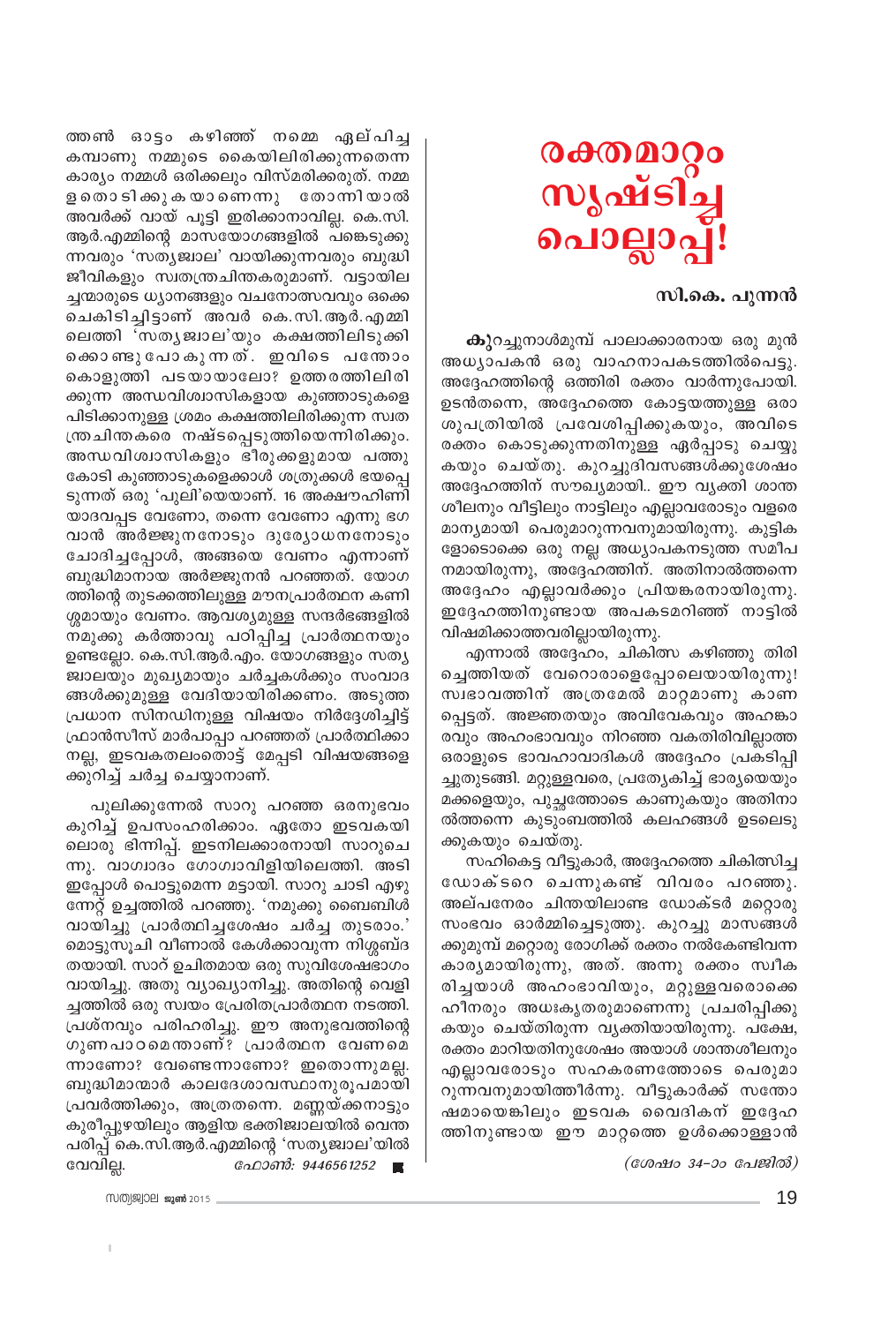

#### സി.കെ. പുന്നൻ

**കു**റച്ചുനാൾമുമ്പ് പാലാക്കാരനായ ഒരു മുൻ അധ്യാപകൻ ഒരു വാഹനാപകടത്തിൽപെട്ടു. അദ്ദേഹത്തിന്റെ ഒത്തിരി രക്തം വാർന്നുപോയി. ഉടൻതന്നെ, അദ്ദേഹത്തെ കോട്ടയത്തുള്ള ഒരാ ശുപത്രിയിൽ പ്രവേശിപ്പിക്കുകയും, അവിടെ രക്തം കൊടുക്കുന്നതിനുള്ള ഏർപ്പാടു ചെയ്യു കയും ചെയ്തു. കുറച്ചുദിവസങ്ങൾക്കുശേഷം അദ്ദേഹത്തിന് സൗഖ്യമായി.. ഈ വ്യക്തി ശാന്ത ശീലനും വീട്ടിലും നാട്ടിലും എല്ലാവരോടും വളരെ മാന്യമായി പെരുമാറുന്നവനുമായിരുന്നു. കുട്ടിക ളോടൊക്കെ ഒരു നല്ല അധ്യാപകനടുത്ത സമീപ നമായിരുന്നു, അദ്ദേഹത്തിന്. അതിനാൽത്തന്നെ അദ്ദേഹം എല്ലാവർക്കും പ്രിയങ്കരനായിരുന്നു. ഇദ്ദേഹത്തിനുണ്ടായ അപകടമറിഞ്ഞ് നാട്ടിൽ വിഷമിക്കാത്തവരില്ലായിരുന്നു.

എന്നാൽ അദ്ദേഹം, ചികിത്സ കഴിഞ്ഞു തിരി ച്ചെത്തിയത് വേറൊരാളെപ്പോലെയായിരുന്നു! സ്വഭാവത്തിന് അത്രമേൽ മാറ്റമാണു കാണ പ്പെട്ടത്. അജ്ഞതയും അവിവേകവും അഹങ്കാ രവും അഹംഭാവവും നിറഞ്ഞ വകതിരിവില്ലാത്ത ഒരാളുടെ ഭാവഹാവാദികൾ അദ്ദേഹം പ്രകടിപ്പി ച്ചുതുടങ്ങി. മറ്റുള്ളവരെ, പ്രത്യേകിച്ച് ഭാര്യയെയും മക്കളെയും, പുച്ഛത്തോടെ കാണുകയും അതിനാ ൽത്തന്നെ കുടുംബത്തിൽ കലഹങ്ങൾ ഉടലെടു ക്കുകയും ചെയ്തു.

സഹികെട്ട വീട്ടുകാർ, അദ്ദേഹത്തെ ചികിത്സിച്ച ഡോക്ടറെ ചെന്നുകണ്ട് വിവരം പറഞ്ഞു. അല്പനേരം ചിന്തയിലാണ്ട ഡോക്ടർ മറ്റൊരു സംഭവം ഓർമ്മിച്ചെടുത്തു. കുറച്ചു മാസങ്ങൾ ക്കുമുമ്പ് മറ്റൊരു രോഗിക്ക് രക്തം നൽകേണ്ടിവന്ന കാര്യമായിരുന്നു, അത്. അന്നു രക്തം സ്വീക രിച്ചയാൾ അഹംഭാവിയും, മറ്റുള്ളവരൊക്കെ ഹീനരും അധഃകൃതരുമാണെന്നു പ്രചരിപ്പിക്കു കയും ചെയ്തിരുന്ന വൃക്തിയായിരുന്നു. പക്ഷേ, രക്തം മാറിയതിനുശേഷം അയാൾ ശാന്തശീലനും എല്ലാവരോടും സഹകരണത്തോടെ പെരുമാ റുന്നവനുമായിത്തീർന്നു. വീട്ടുകാർക്ക് സന്തോ ഷമായെങ്കിലും ഇടവക വൈദികന് ഇദ്ദേഹ ത്തിനുണ്ടായ ഈ മാറ്റത്തെ ഉൾക്കൊള്ളാൻ

(ശേഷം 34-ാം പേജിൽ)

തതണി ഓട്ടം കഴിഞ്ഞ് നമ്മെ ഏല്പിച്ച കമ്പാണു നമ്മുടെ കൈയിലിരിക്കുന്നതെന്ന കാര്യം നമ്മൾ ഒരിക്കലും വിസ്മരിക്കരുത്. നമ്മ ള തൊടിക്കുകയാണെന്നു തോന്നിയാൽ അവർക്ക് വായ് പൂട്ടി ഇരിക്കാനാവില്ല. കെ.സി. ആർ.എമ്മിന്റെ മാസയോഗങ്ങളിൽ പങ്കെടുക്കു ന്നവരും 'സത്യജ്വാല' വായിക്കുന്നവരും ബുദ്ധി ജീവികളും സ്വതന്ത്രചിന്തകരുമാണ്. വട്ടായില ച്ചന്മാരുടെ ധ്യാനങ്ങളും വചനോത്സവവും ഒക്കെ ചെകിടിച്ചിട്ടാണ് അവർ കെ.സി.ആർ.എമ്മി ലെത്തി 'സതൃജ്വാല'യും കക്ഷത്തിലിടുക്കി കൊണ്ടുപോകുന്നത്. ഇവിടെ പന്തോം കൊളുത്തി പടയായാലോ? ഉത്തരത്തിലിരി ക്കുന്ന അന്ധവിശ്വാസികളായ കുഞ്ഞാടുകളെ പിടിക്കാനുള്ള ശ്രമം കക്ഷത്തിലിരിക്കുന്ന സ്വത ന്ത്രചിന്തകരെ നഷ്ടപ്പെടുത്തിയെന്നിരിക്കും. അന്ധവിശ്വാസികളും ഭീരുക്കളുമായ പത്തു കോടി കുഞ്ഞാടുകളെക്കാൾ ശത്രുക്കൾ ഭയപ്പെ ടുന്നത് ഒരു 'പുലി'യെയാണ്. 16 അക്ഷൗഹിണി യാദവപ്പട വേണോ, തന്നെ വേണോ എന്നു ഭഗ വാൻ അർജ്ജുനനോടും ദുര്യോധനനോടും ചോദിച്ചപ്പോൾ, അങ്ങയെ വേണം എന്നാണ് ബുദ്ധിമാനായ അർജ്ജുനൻ പറഞ്ഞത്. യോഗ ത്തിന്റെ തുടക്കത്തിലുള്ള മൗനപ്രാർത്ഥന കണി ശ്ശമായും വേണം. ആവശ്യമുള്ള സന്ദർഭങ്ങളിൽ നമുക്കു കർത്താവു പഠിപ്പിച്ച പ്രാർത്ഥനയും ഉണ്ടല്ലോ. കെ.സി.ആർ.എം. യോഗങ്ങളും സത്യ ജ്വാലയും മുഖ്യമായും ചർച്ചകൾക്കും സംവാദ ങ്ങൾക്കുമുള്ള വേദിയായിരിക്കണം. അടുത്ത പ്രധാന സിനഡിനുള്ള വിഷയം നിർദ്ദേശിച്ചിട്ട് ഫ്രാൻസീസ് മാർപാപ്പാ പറഞ്ഞത് പ്രാർത്ഥിക്കാ നല്ല, ഇടവകതലംതൊട്ട് മേപ്പടി വിഷയങ്ങളെ ക്കുറിച്ച് ചർച്ച ചെയ്യാനാണ്.

പുലിക്കുന്നേൽ സാറു പറഞ്ഞ ഒരനുഭവം കുറിച്ച് ഉപസംഹരിക്കാം. ഏതോ ഇടവകയി ലൊരു ഭിന്നിപ്പ്. ഇടനിലക്കാരനായി സാറുചെ ന്നു. വാഗ്വാദം ഗോഗ്വാവിളിയിലെത്തി. അടി ഇപ്പോൾ പൊട്ടുമെന്ന മട്ടായി. സാറു ചാടി എഴു ന്നേറ്റ് ഉച്ചത്തിൽ പറഞ്ഞു. 'നമുക്കു ബൈബിൾ വായിച്ചു പ്രാർത്ഥിച്ചശേഷം ചർച്ച തുടരാം.' മൊട്ടുസൂചി വീണാൽ കേൾക്കാവുന്ന നിശ്ശബ്ദ തയായി. സാറ് ഉചിതമായ ഒരു സുവിശേഷഭാഗം വായിച്ചു. അതു വ്യാഖ്യാനിച്ചു. അതിന്റെ വെളി ച്ചത്തിൽ ഒരു സ്വയം പ്രേരിതപ്രാർത്ഥന നടത്തി. പ്രശ്നവും പരിഹരിച്ചു. ഈ അനുഭവത്തിന്റെ ഗുണപാഠമെന്താണ്? പ്രാർത്ഥന വേണമെ ന്നാണോ? വേണ്ടെന്നാണോ? ഇതൊന്നുമല്ല. ബുദ്ധിമാന്മാർ കാലദേശാവസ്ഥാനുരൂപമായി പ്രവർത്തിക്കും, അത്രതന്നെ. മണ്ണയ്ക്കനാട്ടും കുരീപ്പുഴയിലും ആളിയ ഭക്തിജ്വാലയിൽ വെന്ത പരിപ്പ് കെ.സി.ആർ.എമ്മിന്റെ 'സത്യജ്വാല'യിൽ ഫോൺ: 9446561252 വേവില്ല.

mm 3000 mm 2015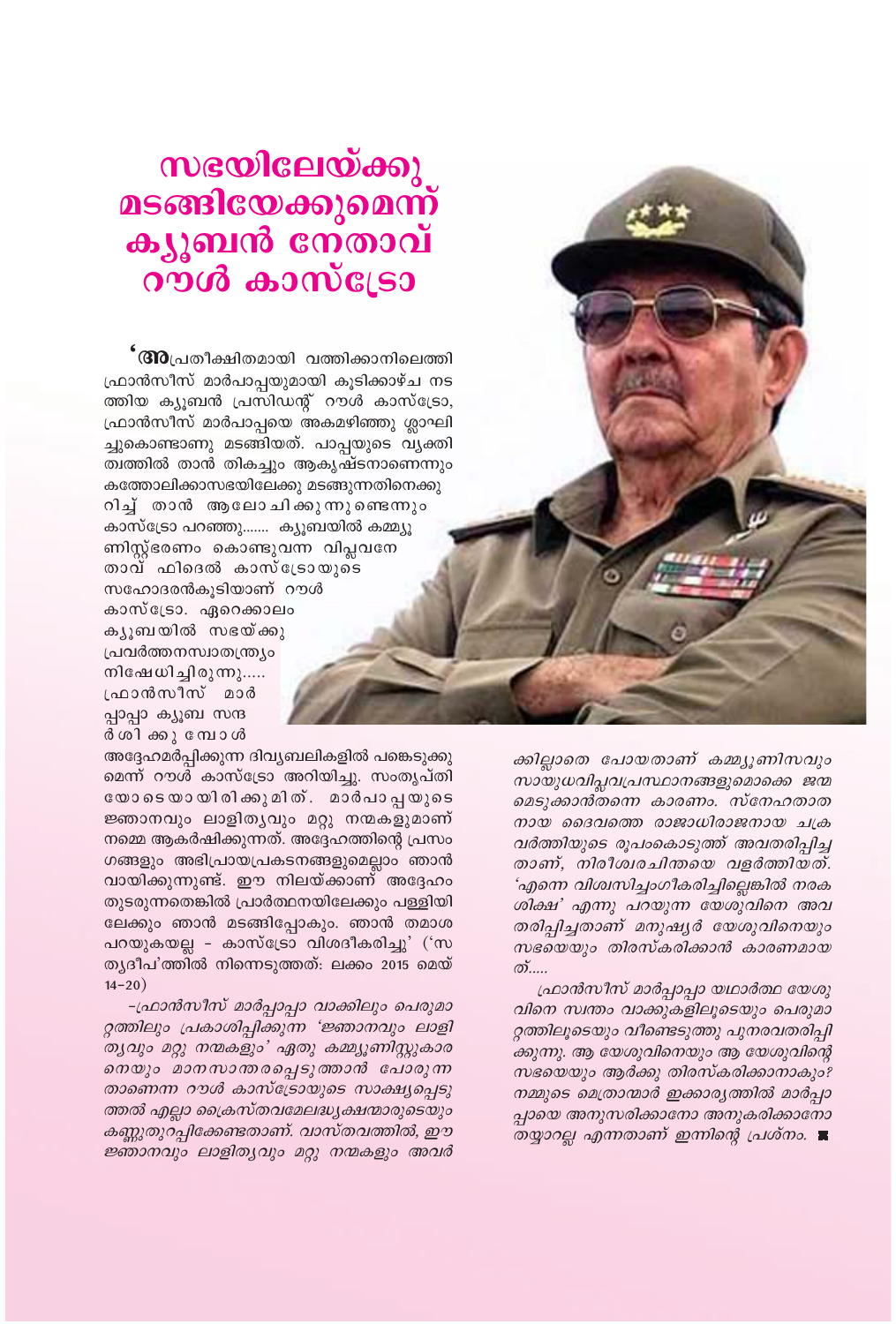## സഭയിലേയ്ക്കു<br>മടങ്ങിയേക്കുമെന്ന് ക്യൂബൻ നേ്താവ് റൗൾ കാസ്ട്രോ

**' (310**പ്രതീക്ഷിതമായി വത്തിക്കാനിലെത്തി ഫ്രാൻസീസ് മാർപാപ്പയുമായി കൂടിക്കാഴ്ച നട ത്തിയ ക്യൂബൻ പ്രസിഡന്റ് റൗൾ കാസ്ട്രോ, ഫ്രാൻസീസ് മാർപാപ്പയെ അകമഴിഞ്ഞു ശ്ലാഘി ച്ചുകൊണ്ടാണു മടങ്ങിയത്. പാപ്പയുടെ വ്യക്തി ത്വത്തിൽ താൻ തികച്ചും ആകൃഷ്ടനാണെന്നും കത്തോലിക്കാസഭയിലേക്കു മടങ്ങുന്നതിനെക്കു റിച്ച് താൻ ആലോചിക്കുന്നുണ്ടെന്നും കാസ്ട്രോ പറഞ്ഞു……. ക്യൂബയിൽ കമ്മ്യൂ ണിസ്റ്റ്ഭരണം കൊണ്ടുവന്ന വിപ്ലവനേ താവ് ഫിദെൽ കാസ്ട്രോയുടെ സഹോദരൻകൂടിയാണ് റൗൾ കാസ്ട്രോ. ഏറെക്കാലം കൃൂബയിൽ സഭയ്ക്കു പ്രവർത്തനസ്വാതന്ത്ര്യം നിഷേധിച്ചിരുന്നു..... ഫ്രാൻസീസ് മാർ പ്പാപ്പാ ക്യൂബ സന്ദ ർ ശിക്കുമ്പോൾ

അദ്ദേഹമർപ്പിക്കുന്ന ദിവ്യബലികളിൽ പങ്കെടുക്കു മെന്ന് റൗൾ കാസ്ട്രോ അറിയിച്ചു. സംതൃപ്തി യോടെയായിരിക്കുമിത്. മാർപാപ്പയുടെ ജ്ഞാനവും ലാളിതൃവും മറ്റു നന്മകളുമാണ് നമ്മെ ആകർഷിക്കുന്നത്. അദ്ദേഹത്തിന്റെ പ്രസം ഗങ്ങളും അഭിപ്രായപ്രകടനങ്ങളുമെല്ലാം ഞാൻ വായിക്കുന്നുണ്ട്. ഈ നിലയ്ക്കാണ് അദ്ദേഹം തുടരുന്നതെങ്കിൽ പ്രാർത്ഥനയിലേക്കും പള്ളിയി ലേക്കും ഞാൻ മടങ്ങിപ്പോകും. ഞാൻ തമാശ പറയുകയല്ല - കാസ്ട്രോ വിശദീകരിച്ചു' ('സ ത്യദീപ'ത്തിൽ നിന്നെടുത്തത്: ലക്കം 2015 മെയ്  $14 - 20$ )

-ഫ്രാൻസീസ് മാർപ്പാപ്പാ വാക്കിലും പെരുമാ റ്റത്തിലും പ്രകാശിപ്പിക്കുന്ന 'ജ്ഞാനവും ലാളി ത്യവും മറ്റു നന്മകളും' ഏതു കമ്മ്യൂണിസ്റ്റുകാര നെയും മാനസാന്തരപ്പെടുത്താൻ പോരുന്ന താണെന്ന റൗൾ കാസ്ട്രോയുടെ സാക്ഷ്യപ്പെടു ത്തൽ എല്ലാ ക്രൈസ്തവമേലദ്ധ്യക്ഷന്മാരുടെയും കണ്ണുതുറപ്പിക്കേണ്ടതാണ്. വാസ്തവത്തിൽ, ഈ ജ്ഞാനവും ലാളിതൃവും മറ്റു നന്മകളും അവർ

ക്കില്ലാതെ പോയതാണ് കമ്മ്യൂണിസവും സായുധവിപ്ലവപ്രസ്ഥാനങ്ങളുമൊക്കെ ജന്മ മെടുക്കാൻതന്നെ കാരണം. സ്നേഹതാത നായ ദൈവത്തെ രാജാധിരാജനായ ചക്ര വർത്തിയുടെ രൂപംകൊടുത്ത് അവതരിപ്പിച്ച താണ്, നിരീശ്വരചിന്തയെ വളർത്തിയത്. 'എന്നെ വിശ്വസിച്ചാഗീകരിച്ചില്ലെങ്കിൽ നരക ശിക്ഷ' എന്നു പറയുന്ന യേശുവിനെ അവ തരിപ്പിച്ചതാണ് മനുഷ്യർ യേശുവിനെയും സഭയെയും തിരസ്കരിക്കാൻ കാരണമായ  $\mathcal{D}$ .....

ഫ്രാൻസീസ് മാർപ്പാപ്പാ യഥാർത്ഥ യേശു വിനെ സ്വന്തം വാക്കുകളിലൂടെയും പെരുമാ റ്റത്തിലൂടെയും വീണ്ടെടുത്തു പുനരവതരിപ്പി ക്കുന്നു. ആ യേശുവിനെയും ആ യേശുവിന്റെ സഭയെയും ആർക്കു തിരസ്കരിക്കാനാകും? നമ്മുടെ മെത്രാന്മാർ ഇക്കാര്യത്തിൽ മാർപ്പാ പ്പായെ അനുസരിക്കാനോ അനുകരിക്കാനോ തയ്യാറല്ല എന്നതാണ് ഇന്നിന്റെ പ്രശ്നം. ■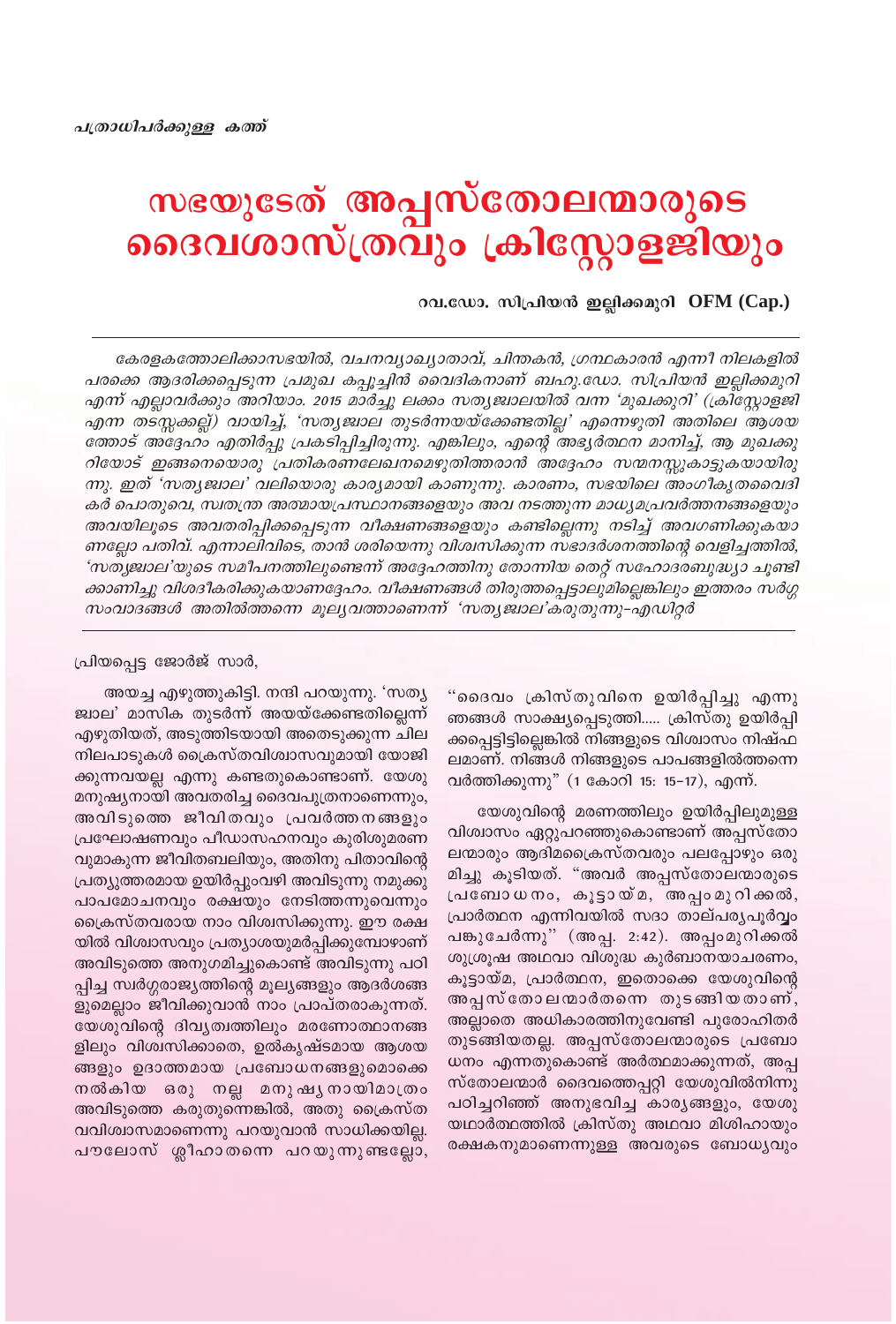## സഭയുടേത് **അപ്പസ്തോലന്മാരുടെ** ദൈവശാസ്ത്രവും ക്രിസ്റ്റോളജിയും

റവ.ഡോ. സിപ്രിയൻ ഇല്ലിക്കമുറി OFM (Cap.)

കേരളകത്തോലിക്കാസഭയിൽ, വചനവ്യാഖ്യാതാവ്, ചിന്തകൻ, ഗ്രന്ഥകാരൻ എന്നീ നിലകളിൽ പരക്കെ ആദരിക്കപ്പെടുന്ന പ്രമുഖ കപ്പൂച്ചിൻ വൈദികനാണ് ബഹു.ഡോ. സിപ്രിയൻ ഇല്ലിക്കമുറി എന്ന് എല്ലാവർക്കും അറിയാം. 2015 മാർച്ചു ലക്കം സത്യജ്വാലയിൽ വന്ന 'മുഖക്കുറി' (ക്രിസ്റ്റോളജി എന്ന തടസ്സക്കല്ല്) വായിച്ച്, 'സത്യജ്വാല തുടർന്നയയ്ക്കേണ്ടതില്ല' എന്നെഴുതി അതിലെ ആശയ ത്തോട് അദ്ദേഹം എതിർപ്പു പ്രകടിപ്പിച്ചിരുന്നു. എങ്കിലും, എന്റെ അഭ്യർത്ഥന മാനിച്ച്, ആ മുഖക്കു റിയോട് ഇങ്ങനെയൊരു പ്രതികരണലേഖനമെഴുതിത്തരാൻ അദ്ദേഹം സന്മനസ്സുകാട്ടുകയായിരു ന്നു. ഇത് 'സതൃജ്വാല' വലിയൊരു കാര്യമായി കാണുന്നു. കാരണം, സഭയിലെ അംഗീകൃതവൈദി കർ പൊതുവെ, സ്വതന്ത്ര അത്മായപ്രസ്ഥാനങ്ങളെയും അവ നടത്തുന്ന മാധ്യമപ്രവർത്തനങ്ങളെയും അവയിലൂടെ അവതരിപ്പിക്കപ്പെടുന്ന വീക്ഷണങ്ങളെയും കണ്ടില്ലെന്നു നടിച്ച് അവഗണിക്കുകയാ ണല്ലോ പതിവ്. എന്നാലിവിടെ, താൻ ശരിയെന്നു വിശ്വസിക്കുന്ന സഭാദർശനത്തിന്റെ വെളിച്ചത്തിൽ, 'സത്യജ്വാല'യുടെ സമീപനത്തിലുണ്ടെന്ന് അദ്ദേഹത്തിനു തോന്നിയ തെറ്റ് സഹോദരബുദ്ധ്യാ ചൂണ്ടി ക്കാണിച്ചു വിശദീകരിക്കുകയാണദ്ദേഹം. വീക്ഷണങ്ങൾ തിരുത്തപ്പെട്ടാലുമില്ലെങ്കിലും ഇത്തരം സർഗ്ഗ സംവാദങ്ങൾ അതിൽത്തന്നെ മൂല്യവത്താണെന്ന് 'സത്യജ്വാല'കരുതുന്നു-എഡിറ്റർ

#### പ്രിയപ്പെട്ട ജോർജ് സാർ,

അയച്ച എഴുത്തുകിട്ടി. നന്ദി പറയുന്നു. 'സത്യ ജ്വാല' മാസിക തുടർന്ന് അയയ്ക്കേണ്ടതില്ലെന്ന് എഴുതിയത്, അടുത്തിടയായി അതെടുക്കുന്ന ചില നിലപാടുകൾ ക്രൈസ്തവിശ്വാസവുമായി യോജി ക്കുന്നവയല്ല എന്നു കണ്ടതുകൊണ്ടാണ്. യേശു മനുഷ്യനായി അവതരിച്ച ദൈവപുത്രനാണെന്നും, അവിടുത്തെ ജീവിതവും പ്രവർത്തനങ്ങളും പ്രഘോഷണവും പീഡാസഹനവും കുരിശുമരണ വുമാകുന്ന ജീവിതബലിയും, അതിനു പിതാവിന്റെ പ്രത്യുത്തരമായ ഉയിർപ്പുംവഴി അവിടുന്നു നമുക്കു പാപമോചനവും രക്ഷയും നേടിത്തന്നുവെന്നും ക്രൈസ്തവരായ നാം വിശ്വസിക്കുന്നു. ഈ രക്ഷ യിൽ വിശ്വാസവും പ്രത്യാശയുമർപ്പിക്കുമ്പോഴാണ് അവിടുത്തെ അനുഗമിച്ചുകൊണ്ട് അവിടുന്നു പഠി പ്പിച്ച സ്വർഗ്ഗരാജ്യത്തിന്റെ മൂല്യങ്ങളും ആദർശങ്ങ ളുമെല്ലാം ജീവിക്കുവാൻ നാം പ്രാപ്തരാകുന്നത്. യേശുവിന്റെ ദിവ്യത്വത്തിലും മരണോത്ഥാനങ്ങ ളിലും വിശ്വസിക്കാതെ, ഉൽകൃഷ്ടമായ ആശയ ങ്ങളും ഉദാത്തമായ പ്രബോധനങ്ങളുമൊക്കെ നൽകിയ ഒരു നല്ല മനുഷൃനായിമാത്രം അവിടുത്തെ കരുതുന്നെങ്കിൽ, അതു ക്രൈസ്ത വവിശ്വാസമാണെന്നു പറയുവാൻ സാധിക്കയില്ല. പൗലോസ് ശ്ലീഹാതന്നെ പറയുന്നുണ്ടല്ലോ,

"ദൈവം ക്രിസ്തുവിനെ ഉയിർപ്പിച്ചു എന്നു ഞങ്ങൾ സാക്ഷ്യപ്പെടുത്തി..... ക്രിസ്തു ഉയിർപ്പി ക്കപ്പെട്ടിട്ടില്ലെങ്കിൽ നിങ്ങളുടെ വിശ്വാസം നിഷ്ഫ ലമാണ്. നിങ്ങൾ നിങ്ങളുടെ പാപങ്ങളിൽത്തന്നെ വർത്തിക്കുന്നു" (1 കോറി 15: 15-17), എന്ന്.

യേശുവിന്റെ മരണത്തിലും ഉയിർപ്പിലുമുള്ള വിശ്വാസം ഏറ്റുപറഞ്ഞുകൊണ്ടാണ് അപ്പസ്തോ ലന്മാരും ആദിമപ്രൈസ്തവരും പലപ്പോഴും ഒരു മിച്ചു കൂടിയത്. "അവർ അപ്പസ്തോലന്മാരുടെ പ്രബോധനം, കൂട്ടായ്മ, അപ്പംമുറിക്കൽ, പ്രാർത്ഥന എന്നിവയിൽ സദാ താല്പര്യപൂർവ്വം പങ്കുചേർന്നു" (അപ്പ. 2:42). അപ്പംമുറിക്കൽ ശുശ്രൂഷ അഥവാ വിശുദ്ധ കുർബാനയാചരണം, കൂട്ടായ്മ, പ്രാർത്ഥന, ഇതൊക്കെ യേശുവിന്റെ അപ്പസ്തോലന്മാർതന്നെ തുടങ്ങിയതാണ്, അല്ലാതെ അധികാരത്തിനുവേണ്ടി പുരോഹിതർ തുടങ്ങിയതല്ല. അപ്പസ്തോലന്മാരുടെ പ്രബോ ധനം എന്നതുകൊണ്ട് അർത്ഥമാക്കുന്നത്, അപ്പ സ്തോലന്മാർ ദൈവത്തെപ്പറ്റി യേശുവിൽനിന്നു പഠിച്ചറിഞ്ഞ് അനുഭവിച്ച കാര്യങ്ങളും, യേശു യഥാർത്ഥത്തിൽ ക്രിസ്തു അഥവാ മിശിഹായും രക്ഷകനുമാണെന്നുള്ള അവരുടെ ബോധ്യവും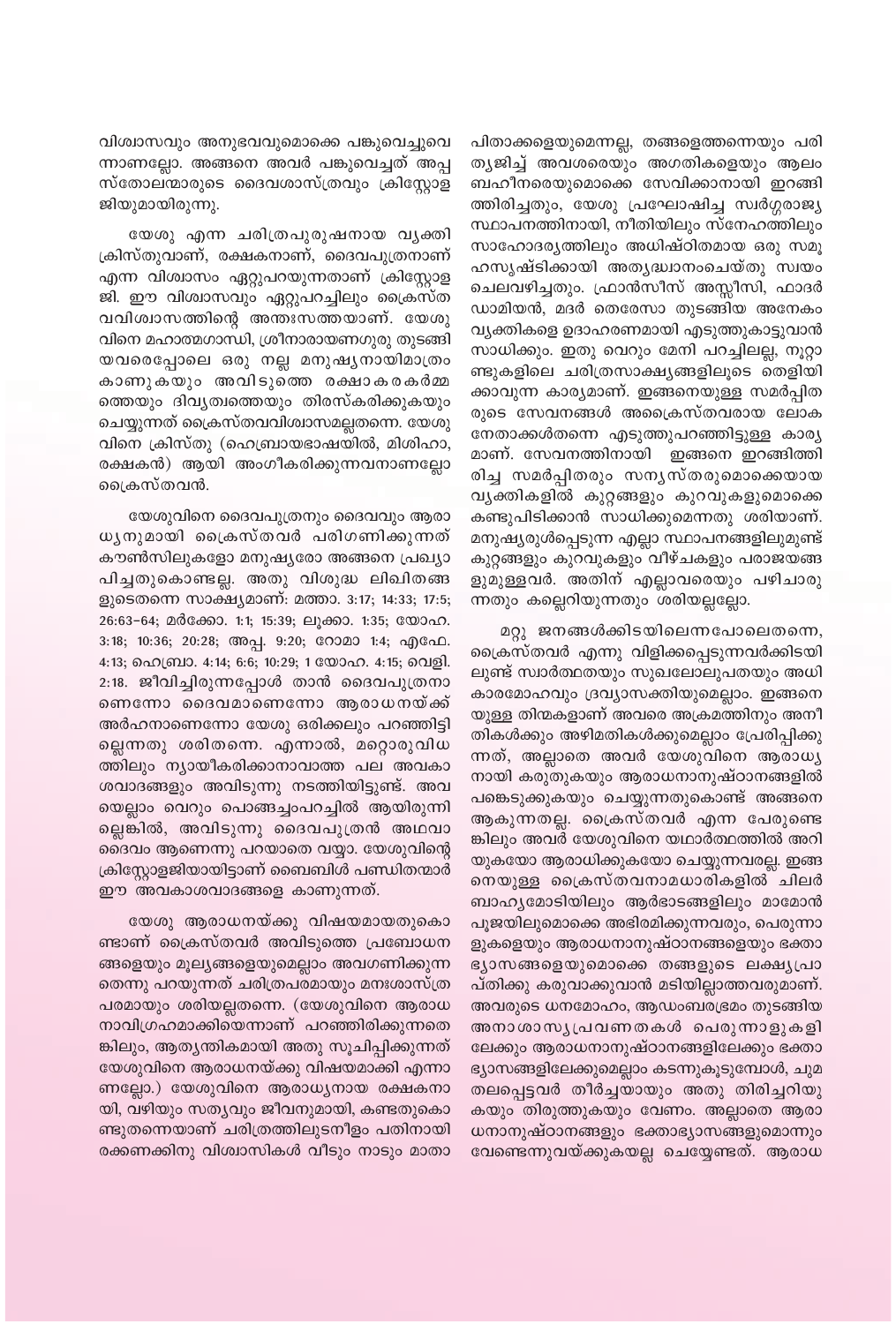വിശ്വാസവും അനുഭവവുമൊക്കെ പങ്കുവെച്ചുവെ ന്നാണല്ലോ. അങ്ങനെ അവർ പങ്കുവെച്ചത് അപ്പ സ്തോലന്മാരുടെ ദൈവശാസ്ത്രവും ക്രിസ്റ്റോള ജിയുമായിരുന്നു.

യേശു എന്ന ചരിത്രപുരുഷനായ വൃക്തി ക്രിസ്തുവാണ്, രക്ഷകനാണ്, ദൈവപുത്രനാണ് എന്ന വിശ്വാസം ഏറ്റുപറയുന്നതാണ് ക്രിസ്റ്റോള ജി. ഈ വിശ്വാസവും ഏറ്റുപറച്ചിലും ക്രൈസ്ത വവിശ്വാസത്തിന്റെ അന്തഃസത്തയാണ്. യേശു വിനെ മഹാത്മഗാന്ധി, ശ്രീനാരായണഗുരു തുടങ്ങി യവരെപ്പോലെ ഒരു നല്ല മനുഷ്യനായിമാത്രം കാണുകയും അവിടുത്തെ രക്ഷാകരകർമ<mark>്</mark>മ ത്തെയും ദിവ്യത്വത്തെയും തിരസ്കരിക്കുകയും ചെയ്യുന്നത് ക്രൈസ്തവവിശ്വാസമല്ലതന്നെ. യേശു വിനെ ക്രിസ്തു (ഹെബ്രായഭാഷയിൽ, മിശിഹാ, രക്ഷകൻ) ആയി അംഗീകരിക്കുന്നവനാണല്ലോ ്രൈസ്തവൻ.

യേശുവിനെ ദൈവപുത്രനും ദൈവവും ആരാ ധൃനുമായി ക്രൈസ്തവർ പരിഗണിക്കുന്നത് കൗൺസിലുകളോ മനുഷ്യരോ അങ്ങനെ പ്രഖ്യാ പിച്ചതുകൊണ്ടല്ല. അതു വിശുദ്ധ ലിഖിതങ്ങ ളുടെതന്നെ സാക്ഷ്യമാണ്: മത്താ. 3:17; 14:33; 17:5; 26:63-64; മർക്കോ. 1:1; 15:39; ലൂക്കാ. 1:35; യോഹ. 3:18; 10:36; 20:28; അപ്പ. 9:20; റോമാ 1:4; എഫേ. 4:13; ഹെബ്രാ. 4:14; 6:6; 10:29; 1 യോഹ. 4:15; വെളി. 2:18. ജീവിച്ചിരുന്നപ്പോൾ താൻ ദൈവപുത്രനാ ണെന്നോ ദൈവമാണെന്നോ ആരാധനയ്ക്ക് അർഹനാണെന്നോ യേശു ഒരിക്കലും പറഞ്ഞിട്ടി ല്ലെന്നതു ശരിതന്നെ. എന്നാൽ, മറ്റൊരുവിധ ത്തിലും ന്യായീകരിക്കാനാവാത്ത പല അവകാ ശവാദങ്ങളും അവിടുന്നു നടത്തിയിട്ടുണ്ട്. അവ യെല്ലാം വെറും പൊങ്ങച്ചംപറച്ചിൽ ആയിരുന്നി ല്ലെങ്കിൽ, അവിടുന്നു ദൈവപുത്രൻ അഥവാ ദൈവം ആണെന്നു പറയാതെ വയ്യാ. യേശുവിന്റെ ക്രിസ്റ്റോളജിയായിട്ടാണ് ബൈബിൾ പണ്ഡിതന്മാർ ഈ അവകാശവാദങ്ങളെ കാണുന്നത്.

യേശു ആരാധനയ്ക്കു വിഷയമായതുകൊ ണ്ടാണ് ക്രൈസ്തവർ അവിടുത്തെ പ്രബോധന ങ്ങളെയും മൂല്യങ്ങളെയുമെല്ലാം അവഗണിക്കുന്ന തെന്നു പറയുന്നത് ചരിത്രപരമായും മനഃശാസ്ത്ര പരമായും ശരിയല്ലതന്നെ. (യേശുവിനെ ആരാധ നാവിഗ്രഹമാക്കിയെന്നാണ് പറഞ്ഞിരിക്കുന്നതെ ങ്കിലും, ആതൃന്തികമായി അതു സൂചിപ്പിക്കുന്നത് യേശുവിനെ ആരാധനയ്ക്കു വിഷയമാക്കി എന്നാ ണല്ലോ.) യേശുവിനെ ആരാധ്യനായ രക്ഷകനാ യി, വഴിയും സതൃവും ജീവനുമായി, കണ്ടതുകൊ ണ്ടുതന്നെയാണ് ചരിത്രത്തിലുടനീളം പതിനായി രക്കണക്കിനു വിശ്വാസികൾ വീടും നാടും മാതാ

പിതാക്കളെയുമെന്നല്ല, തങ്ങളെത്തന്നെയും പരി ത്യജിച്ച് അവശരെയും അഗതികളെയും ആലം ബഹീനരെയുമൊക്കെ സേവിക്കാനായി ഇറങ്ങി ത്തിരിച്ചതും, യേശു പ്രഘോഷിച്ച സ്വർഗ്ഗരാജ്യ സ്ഥാപനത്തിനായി, നീതിയിലും സ്നേഹത്തിലും സാഹോദര്യത്തിലും അധിഷ്ഠിതമായ ഒരു സമൂ ഹസൃഷ്ടിക്കായി അതൃദ്ധ്വാനംചെയ്തു സ്വയം ചെലവഴിച്ചതും. ഫ്രാൻസീസ് അസ്സീസി, ഫാദർ ഡാമിയൻ, മദർ തെരേസാ തുടങ്ങിയ അനേകം വ്യക്തികളെ ഉദാഹരണമായി എടുത്തുകാട്ടുവാൻ സാധിക്കും. ഇതു വെറും മേനി പറച്ചിലല്ല, നൂറ്റാ ണ്ടുകളിലെ ചരിത്രസാക്ഷ്യങ്ങളിലൂടെ തെളിയി ക്കാവുന്ന കാര്യമാണ്. ഇങ്ങനെയുള്ള സമർപ്പിത രുടെ സേവനങ്ങൾ അപ്രൈസ്തവരായ ലോക നേതാക്കൾതന്നെ എടുത്തുപറഞ്ഞിട്ടുള്ള കാര്യ മാണ്. സേവനത്തിനായി ഇങ്ങനെ ഇറങ്ങിത്തി രിച്ച സമർപ്പിതരും സനൃസ്തരുമൊക്കെയായ വൃക്തികളിൽ കുറ്റങ്ങളും കുറവുകളുമൊക്കെ കണ്ടുപിടിക്കാൻ സാധിക്കുമെന്നതു ശരിയാണ്. മനുഷ്യരുൾപ്പെടുന്ന എല്ലാ സ്ഥാപനങ്ങളിലുമുണ്ട് കുറ്റങ്ങളും കുറവുകളും വീഴ്ചകളും പരാജയങ്ങ ളുമുള്ളവർ. അതിന് എല്ലാവരെയും പഴിചാരു ന്നതും കല്ലെറിയുന്നതും ശരിയല്ലല്ലോ.

മറ്റു ജനങ്ങൾക്കിടയിലെന്നപോലെതന്നെ, ക്രൈസ്തവർ എന്നു വിളിക്കപ്പെടുന്നവർക്കിടയി ലുണ്ട് സ്വാർത്ഥതയും സുഖലോലുപതയും അധി കാരമോഹവും ദ്രവ്യാസക്തിയുമെല്ലാം. ഇങ്ങനെ യുള്ള തിന്മകളാണ് അവരെ അക്രമത്തിനും അനീ തികൾക്കും അഴിമതികൾക്കുമെല്ലാം പ്രേരിപ്പിക്കു ന്നത്, അല്ലാതെ അവർ യേശുവിനെ ആരാധ്യ നായി കരുതുകയും ആരാധനാനുഷ്ഠാനങ്ങളിൽ പങ്കെടുക്കുകയും ചെയ്യുന്നതുകൊണ്ട് അങ്ങനെ ആകുന്നതല്ല. ക്രൈസ്തവർ എന്ന പേരുണ്ടെ ങ്കിലും അവർ യേശുവിനെ യഥാർത്ഥത്തിൽ അറി യുകയോ ആരാധിക്കുകയോ ചെയ്യുന്നവരല്ല. ഇങ്ങ നെയുള്ള ക്രൈസ്തവനാമധാരികളിൽ ചിലർ ബാഹ്യമോടിയിലും ആർഭാടങ്ങളിലും മാമോൻ പൂജയിലുമൊക്കെ അഭിരമിക്കുന്നവരും, പെരുന്നാ ളുകളെയും ആരാധനാനുഷ്ഠാനങ്ങളെയും ഭക്താ ഭ്യാസങ്ങളെയുമൊക്കെ തങ്ങളുടെ ലക്ഷ്യപ്രാ പ്തിക്കു കരുവാക്കുവാൻ മടിയില്ലാത്തവരുമാണ്. അവരുടെ ധനമോഹം, ആഡംബരഭ്രമം തുടങ്ങിയ അനാശാസൃപ്രവണതകൾ പെരുന്നാളുകളി ലേക്കും ആരാധനാനുഷ്ഠാനങ്ങളിലേക്കും ഭക്താ ഭ്യാസങ്ങളിലേക്കുമെല്ലാം കടന്നുകൂടുമ്പോൾ, ചുമ തലപ്പെട്ടവർ തീർച്ചയായും അതു തിരിച്ചറിയു കയും തിരുത്തുകയും വേണം. അല്ലാതെ ആരാ ധനാനുഷ്ഠാനങ്ങളും ഭക്താഭ്യാസങ്ങളുമൊന്നും വേണ്ടെന്നുവയ്ക്കുകയല്ല ചെയ്യേണ്ടത്. ആരാധ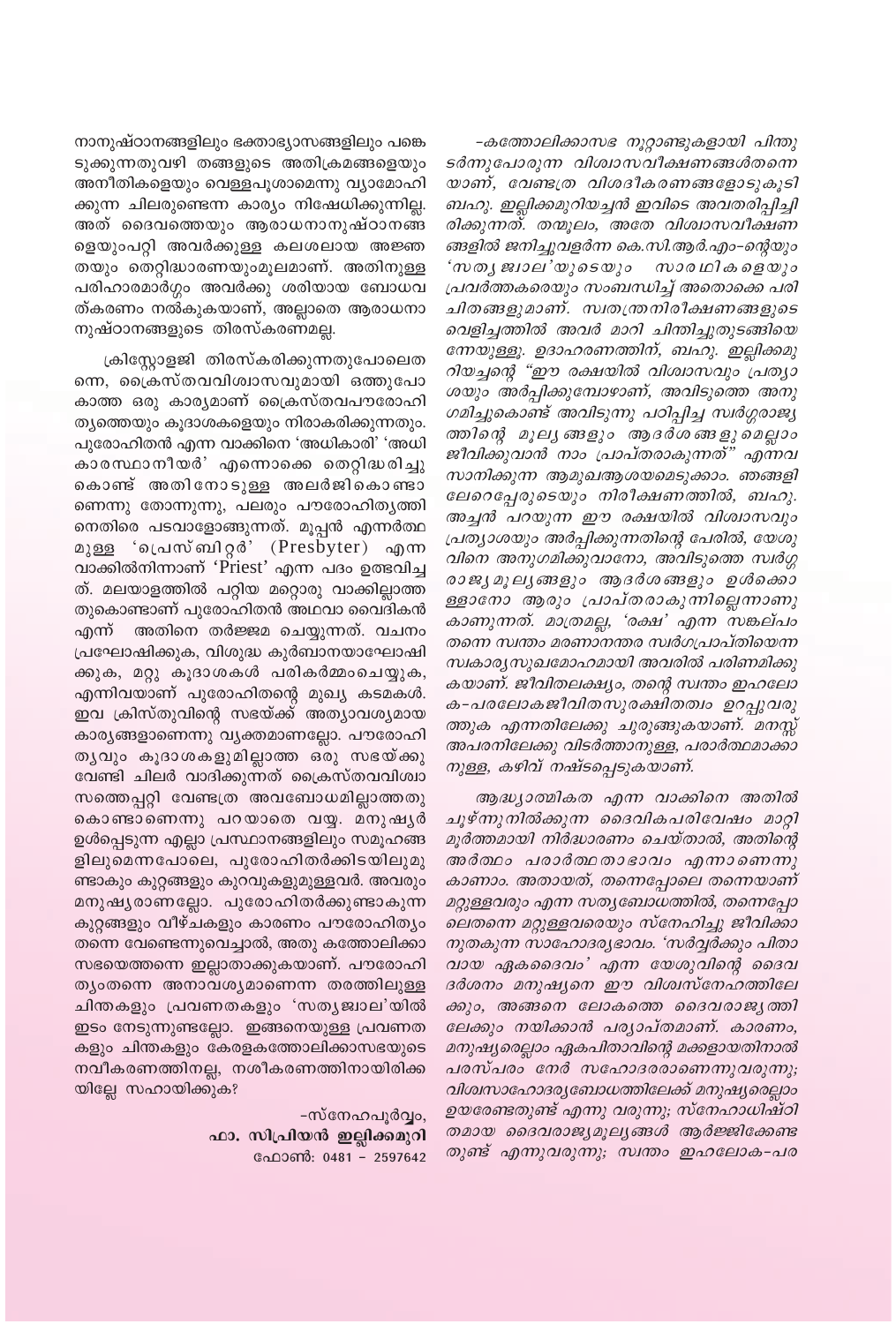നാനുഷ്ഠാനങ്ങളിലും ഭക്താഭ്യാസങ്ങളിലും പങ്കെ ടുക്കുന്നതുവഴി തങ്ങളുടെ അതിക്രമങ്ങളെയും അനീതികളെയും വെള്ളപൂശാമെന്നു വ്യാമോഹി ക്കുന്ന ചിലരുണ്ടെന്ന കാര്യം നിഷേധിക്കുന്നില്ല. അത് ദൈവത്തെയും ആരാധനാനുഷ്ഠാനങ്ങ ളെയുംപറ്റി അവർക്കുള്ള കലശലായ അജ്ഞ തയും തെറ്റിദ്ധാരണയുംമൂലമാണ്. അതിനുള്ള പരിഹാരമാർഗ്ഗം അവർക്കു ശരിയായ ബോധവ ത്കരണം നൽകുകയാണ്, അല്ലാതെ ആരാധനാ നുഷ്ഠാനങ്ങളുടെ തിരസ്കരണമല്ല.

ക്രിസ്റ്റോളജി തിരസ്കരിക്കുന്നതുപോലെത ന്നെ, ക്രൈസ്തവവിശ്വാസവുമായി ഒത്തുപോ കാത്ത ഒരു കാര്യമാണ് ക്രൈസ്തവപൗരോഹി ത്യത്തെയും കുദാശകളെയും നിരാകരിക്കുന്നതും. പുരോഹിതൻ എന്ന വാക്കിനെ 'അധികാരി' 'അധി കാരസ്ഥാനീയർ' എന്നൊക്കെ തെറ്റിദ്ധരിച്ചു കൊണ്ട് അതിനോടുള്ള അലർജികൊണ്ടാ ണെന്നു തോന്നുന്നു, പലരും പൗരോഹിതൃത്തി നെതിരെ പടവാളോങ്ങുന്നത്. മൂപ്പൻ എന്നർത്ഥ മുള്ള 'പ്രെസ്ബിറ്റർ' (Presbyter) എന്ന വാക്കിൽനിന്നാണ് 'Priest' എന്ന പദം ഉത്ഭവിച്ച ത്. മലയാളത്തിൽ പറ്റിയ മറ്റൊരു വാക്കില്ലാത്ത തുകൊണ്ടാണ് പുരോഹിതൻ അഥവാ വൈദികൻ എന്ന് അതിനെ തർജ്ജമ ചെയ്യുന്നത്. വചനം പ്രഘോഷിക്കുക, വിശുദ്ധ കുർബാനയാഘോഷി ക്കുക, മറ്റു കൂദാശകൾ പരികർമ്മംചെയ്യുക, എന്നിവയാണ് പുരോഹിതന്റെ മുഖ്യ കടമകൾ. ഇവ ക്രിസ്തുവിന്റെ സഭയ്ക്ക് അത്യാവശ്യമായ കാര്യങ്ങളാണെന്നു വ്യക്തമാണല്ലോ. പൗരോഹി തൃവും കൂദാശകളുമില്ലാത്ത ഒരു സഭയ്ക്കു വേണ്ടി ചിലർ വാദിക്കുന്നത് ക്രൈസ്തവവിശ്വാ സത്തെപ്പറ്റി വേണ്ടത്ര അവബോധമില്ലാത്തതു കൊണ്ടാണെന്നു പറയാതെ വയ്യ. മനുഷൃർ ഉൾപ്പെടുന്ന എല്ലാ പ്രസ്ഥാനങ്ങളിലും സമൂഹങ്ങ ളിലുമെന്നപോലെ, പുരോഹിതർക്കിടയിലുമു ണ്ടാകും കുറ്റങ്ങളും കുറവുകളുമുള്ളവർ. അവരും മനുഷ്യരാണല്ലോ. പുരോഹിതർക്കുണ്ടാകുന്ന കുറ്റങ്ങളും വീഴ്ചകളും കാരണം പൗരോഹിത്യം തന്നെ വേണ്ടെന്നുവെച്ചാൽ, അതു കത്തോലിക്കാ സഭയെത്തന്നെ ഇല്ലാതാക്കുകയാണ്. പൗരോഹി ത്യംതന്നെ അനാവശ്യമാണെന്ന തരത്തിലുള്ള ചിന്തകളും പ്രവണതകളും 'സതൃജ്വാല'യിൽ ഇടം നേടുന്നുണ്ടല്ലോ. ഇങ്ങനെയുള്ള പ്രവണത കളും ചിന്തകളും കേരളകത്തോലിക്കാസഭയുടെ നവീകരണത്തിനല്ല, നശീകരണത്തിനായിരിക്ക യില്ലേ സഹായിക്കുക?

> -സ്നേഹപൂർവ്വം, ഫാ. സിപ്രിയൻ ഇല്ലിക്കമുറി ഫോൺ: 0481 - 2597642

-കത്തോലിക്കാസഭ നൂറ്റാണ്ടുകളായി പിന്തു ടർന്നുപോരുന്ന വിശ്വാസവീക്ഷണങ്ങൾതന്നെ യാണ്, വേണ്ടത്ര വിശദീകരണങ്ങളോടുകൂടി ബഹു. ഇല്ലിക്കമുറിയച്ചൻ ഇവിടെ അവതരിപ്പിച്ചി രിക്കുന്നത്. തന്മൂലം, അതേ വിശ്വാസവീക്ഷണ ങ്ങളിൽ ജനിച്ചുവളർന്ന കെ.സി.ആർ.എം–ന്റെയും 'സതൃജ്വാല'യുടെയും സാരഥികളെയും പ്രവർത്തകരെയും സംബന്ധിച്ച് അതൊക്കെ പരി ചിതങ്ങളുമാണ്. സ്വതന്ത്രനിരീക്ഷണങ്ങളുടെ വെളിച്ചത്തിൽ അവർ മാറി ചിന്തിച്ചുതുടങ്ങിയെ ന്നേയുള്ളൂ. ഉദാഹരണത്തിന്, ബഹു. ഇല്ലിക്കമു റിയച്ചന്റെ "ഈ രക്ഷയിൽ വിശ്വാസവും പ്രത്യാ ശയും അർപ്പിക്കുമ്പോഴാണ്, അവിടുത്തെ അനു ഗമിച്ചുകൊണ്ട് അവിടുന്നു പഠിപ്പിച്ച സ്വർഗ്ഗരാജ്യ ത്തിന്റെ മൂല്യങ്ങളും ആദർശങ്ങളുമെല്ലാം ജീവിക്കുവാൻ നാം പ്രാപ്തരാകുന്നത്" എന്നവ സാനിക്കുന്ന ആമുഖആശയമെടുക്കാം. ഞങ്ങളി ലേറെപ്പേരുടെയും നിരീക്ഷണത്തിൽ, ബഹു. അച്ചൻ പറയുന്ന ഈ രക്ഷയിൽ വിശ്വാസവും പ്രത്യാശയും അർപ്പിക്കുന്നതിന്റെ പേരിൽ, യേശു വിനെ അനുഗമിക്കുവാനോ, അവിടുത്തെ സ്വർഗ്ഗ രാജ്യ മൂല്യങ്ങളും ആദർശങ്ങളും ഉൾക്കൊ ള്ളാനോ ആരും പ്രാപ്തരാകുന്നില്ലെന്നാണു കാണുന്നത്. മാത്രമല്ല, 'രക്ഷ' എന്ന സങ്കല്പം തന്നെ സ്വന്തം മരണാനന്തര സ്വർഗപ്രാപ്തിയെന്ന സ്വകാര്യസുഖമോഹമായി അവരിൽ പരിണമിക്കു കയാണ്. ജീവിതലക്ഷ്യം, തന്റെ സ്വന്തം ഇഹലോ ക-പരലോകജീവിതസുരക്ഷിതത്വം ഉറപ്പുവരു ത്തുക എന്നതിലേക്കു ചുരുങ്ങുകയാണ്. മനസ്സ് അപരനിലേക്കു വിടർത്താനുള്ള, പരാർത്ഥമാക്കാ നുള്ള, കഴിവ് നഷ്ടപ്പെടുകയാണ്.

ആദ്ധ്യാത്മികത എന്ന വാക്കിനെ അതിൽ ചൂഴ്ന്നുനിൽക്കുന്ന ദൈവികപരിവേഷം മാറ്റി മൂർത്തമായി നിർദ്ധാരണം ചെയ്താൽ, അതിന്റെ അർത്ഥം പരാർത്ഥതാഭാവം എന്നാണെന്നു കാണാം. അതായത്, തന്നെപ്പോലെ തന്നെയാണ് മറ്റുള്ളവരും എന്ന സത്യബോധത്തിൽ, തന്നെപ്പോ ലെതന്നെ മറ്റുള്ളവരെയും സ്നേഹിച്ചു ജീവിക്കാ നുതകുന്ന സാഹോദര്യഭാവം. 'സർവ്വർക്കും പിതാ വായ ഏകദൈവം' എന്ന യേശുവിന്റെ ദൈവ ദർശനം മനുഷ്യനെ ഈ വിശ്വസ്നേഹത്തിലേ ക്കും, അങ്ങനെ ലോകത്തെ ദൈവരാജ്യത്തി ലേക്കും നയിക്കാൻ പര്യാപ്തമാണ്. കാരണം, മനുഷ്യരെല്ലാം ഏകപിതാവിന്റെ മക്കളായതിനാൽ പരസ്പരം നേർ സഹോദരരാണെന്നുവരുന്നു; വിശ്വസാഹോദര്യബോധത്തിലേക്ക് മനുഷ്യരെല്ലാം ഉയരേണ്ടതുണ്ട് എന്നു വരുന്നു; സ്നേഹാധിഷ്ഠി തമായ ദൈവരാജ്യമൂല്യങ്ങൾ ആർജ്ജിക്കേണ്ട തുണ്ട് എന്നുവരുന്നു; സ്വന്തം ഇഹലോക-പര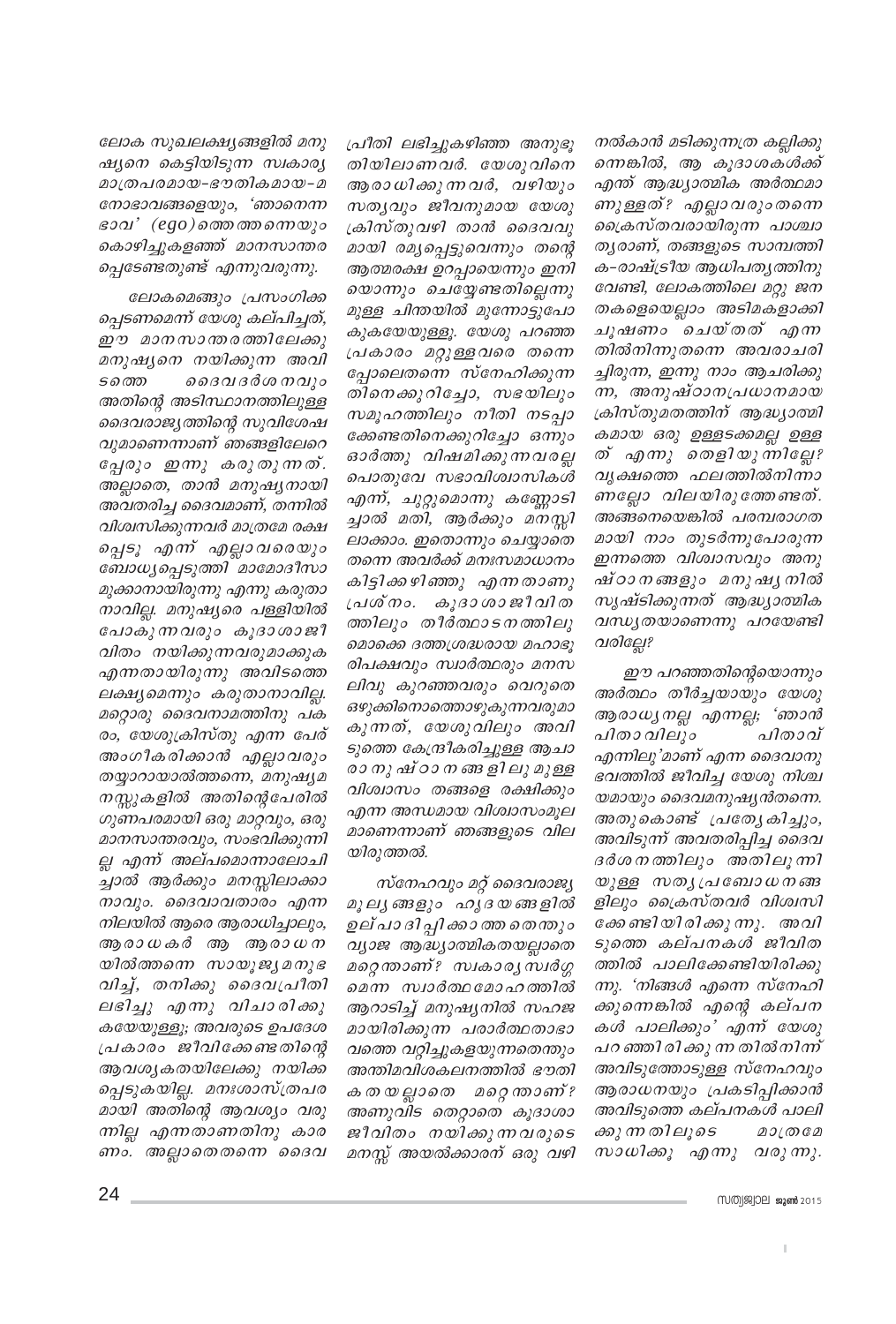നൽകാൻ മടിക്കുന്നത്ര കല്ലിക്കു ന്നെങ്കിൽ, ആ കൂദാശകൾക്ക് എന്ത് ആദ്ധ്യാത്മിക അർത്ഥമാ ണുള്ളത്? എല്ലാവരുംതന്നെ ക്രൈസ്തവരായിരുന്ന പാശ്ചാ തൃരാണ്, തങ്ങളുടെ സാമ്പത്തി ക-രാഷ്ട്രീയ ആധിപതൃത്തിനു വേണ്ടി, ലോകത്തിലെ മറ്റു ജന തകളെയെല്ലാം അടിമകളാക്കി ചൂഷണം ചെയ്തത് എന്ന തിൽനിന്നുതന്നെ അവരാചരി ച്ചിരുന്ന, ഇന്നു നാം ആചരിക്കു ന്ന, അനുഷ്ഠാനപ്രധാനമായ ക്രിസ്തുമതത്തിന് ആദ്ധ്യാത്മി കമായ ഒരു ഉള്ളടക്കമല്ല ഉള്ള ത് എന്നു തെളിയുന്നില്ലേ? വൃക്ഷത്തെ ഫലത്തിൽനിന്നാ ണല്ലോ വിലയിരുത്തേണ്ടത്. അങ്ങനെയെങ്കിൽ പരമ്പരാഗത മായി നാം തുടർന്നുപോരുന്ന ഇന്നത്തെ വിശ്വാസവും അനു ഷ്ഠാനങ്ങളും മനുഷ്യനിൽ സൃഷ്ടിക്കുന്നത് ആദ്ധ്യാത്മിക വന്ധ്യതയാണെന്നു പറയേണ്ടി വരില്ലേ?

ഈ പറഞ്ഞതിന്റെയൊന്നും അർത്ഥം തീർച്ചയായും യേശു ആരാധ്യനല്ല എന്നല്ല; 'ഞാൻ പിതാ വിലും പിതാവ് എന്നിലു'മാണ് എന്ന ദൈവാനു ഭവത്തിൽ ജീവിച്ച യേശു നിശ്ച യമായും ദൈവമനുഷ്യൻതന്നെ. അതുകൊണ്ട് പ്രത്യേകിച്ചും, അവിടുന്ന് അവതരിപ്പിച്ച ദൈവ ദർശനത്തിലും അതിലൂന്നി യുള്ള സതൃപ്രബോധനങ്ങ ളിലും ക്രൈസ്തവർ വിശ്വസി ക്കേണ്ടിയിരിക്കുന്നു. അവി ടുത്തെ കല്പനകൾ ജീവിത ത്തിൽ പാലിക്കേണ്ടിയിരിക്കു ന്നു. 'നിങ്ങൾ എന്നെ സ്നേഹി ക്കുന്നെങ്കിൽ എന്റെ കല്പന കൾ പാലിക്കും' എന്ന് യേശു പറ ഞ്ഞിരിക്കു ന്ന തിൽനിന്ന് അവിടുത്തോടുള്ള സ്നേഹവും ആരാധനയും പ്രകടിപ്പിക്കാൻ അവിടുത്തെ കല്പനകൾ പാലി ക്കു ന്ന തിലൂടെ  $200000$ സാധിക്കൂ എന്നു വരുന്നു.

MMM99909 2015

പ്രീതി ലഭിച്ചുകഴിഞ്ഞ അനുഭു തിയിലാണവർ. യേശുവിനെ ആരാധിക്കുന്നവർ, വഴിയും സത്യവും ജീവനുമായ യേശു ക്രിസ്തുവഴി താൻ ദൈവവു മായി രമൃപ്പെട്ടുവെന്നും തന്റെ ആത്മരക്ഷ ഉറപ്പായെന്നും ഇനി യൊന്നും ചെയ്യേണ്ടതില്ലെന്നു മുള്ള ചിന്തയിൽ മുന്നോട്ടുപോ കുകയേയുള്ളൂ. യേശു പറഞ്ഞ പ്രകാരം മറ്റുള്ളവരെ തന്നെ പ്പോലെതന്നെ സ്നേഹിക്കുന്ന തിനെക്കുറിച്ചോ, സഭയിലും സമൂഹത്തിലും നീതി നടപ്പാ ക്കേണ്ടതിനെക്കുറിച്ചോ ഒന്നും ഓർത്തു വിഷമിക്കുന്നവരല്ല പൊതുവേ സഭാവിശ്വാസികൾ എന്ന്, ചുറ്റുമൊന്നു കണ്ണോടി ച്ചാൽ മതി, ആർക്കും മനസ്സി ലാക്കാം. ഇതൊന്നും ചെയ്യാതെ തന്നെ അവർക്ക് മനഃസമാധാനം കിട്ടിക്കഴിഞ്ഞു എന്നതാണു പ്രശ്നം. കൂദാശാജീവിത ത്തിലും തീർത്ഥാടനത്തിലു മൊക്കെ ദത്തശ്രദ്ധരായ മഹാഭൂ രിപക്ഷവും സ്വാർത്ഥരും മനസ ലിവു കുറഞ്ഞവരും വെറുതെ ഒഴുക്കിനൊത്തൊഴുകുന്നവരുമാ കുന്നത്, യേശുവിലും അവി ടുത്തെ കേന്ദ്രീകരിച്ചുള്ള ആചാ രാ നു ഷ് ഠാ ന ങ്ങ ളി ലു മുള്ള വിശ്വാസം തങ്ങളെ രക്ഷിക്കും എന്ന അന്ധമായ വിശ്വാസംമൂല മാണെന്നാണ് ഞങ്ങളുടെ വില യിരുത്തൽ.

സ്നേഹവും മറ്റ് ദൈവരാജ്യ മൂല്യ ങ്ങളും ഹൃദയങ്ങളിൽ ഉല് പാ ദി പ്പി ക്കാ ത്ത തെന്തും വ്യാജ ആദ്ധ്യാത്മികതയല്ലാതെ മറ്റെതാണ്? സ്വകാര്യ സ്വർഗ്ഗ മെന്ന സ്വാർത്ഥ മോഹത്തിൽ ആറാടിച്ച് മനുഷ്യനിൽ സഹജ മായിരിക്കുന്ന പരാർത്ഥതാഭാ വത്തെ വറ്റിച്ചുകളയുന്നതെന്തും അന്തിമവിശകലനത്തിൽ ഭൗതി കതയല്ലാതെ മറ്റെന്താണ്? അണുവിട തെറ്റാതെ കൂദാശാ ജീവിതം നയിക്കുന്നവരുടെ മനസ്സ് അയൽക്കാരന് ഒരു വഴി

ലോക സുഖലക്ഷ്യങ്ങളിൽ മനു ഷ്യനെ കെട്ടിയിടുന്ന സ്ഥകാര്യ മാത്രപരമായ-ഭൗതികമായ-മ നോഭാവങ്ങളെയും, 'ഞാനെന്ന ഭാവ' (ego)ത്തെ ത്തന്നെയും കൊഴിച്ചുകളഞ്ഞ് മാനസാന്തര പ്പെടേണ്ടതുണ്ട് എന്നുവരുന്നു.

ലോകമെങ്ങും പ്രസംഗിക്ക ച്ചെടണമെന്ന് യേശു കല്പിച്ചത്, ഈ മാനസാന്തരത്തിലേക്കു മനുഷ്യനെ നയിക്കുന്ന അവി *ടത്തെ* ദൈവ ദർശ നവും അതിന്റെ അടിസ്ഥാനത്തിലുള്ള ദൈവരാജ്യത്തിന്റെ സുവിശേഷ വുമാണെന്നാണ് ഞങ്ങളിലേറെ പ്പേരും ഇന്നു കരുതുന്നത്. അല്ലാതെ, താൻ മനുഷ്യനായി അവതരിച്ച ദൈവമാണ്, തന്നിൽ വിശ്വസിക്കുന്നവർ മാത്രമേ രക്ഷ പ്പെടൂ എന്ന് എല്ലാവരെയും ബോധ്യപ്പെടുത്തി മാമോദീസാ മുക്കാനായിരുന്നു എന്നു കരുതാ നാവില്ല. മനുഷ്യരെ പള്ളിയിൽ പോകു ന്നവരും കൂദാശാജീ വിതം നയിക്കുന്നവരുമാക്കുക എന്നതായിരുന്നു അവിടത്തെ ലക്ഷ്യമെന്നും കരുതാനാവില്ല. മറ്റൊരു ദൈവനാമത്തിനു പക രം, യേശുക്രിസ്തു എന്ന പേര് അംഗീകരിക്കാൻ എല്ലാവരും തയ്യാറായാൽത്തന്നെ, മനുഷ്യമ നസ്സുകളിൽ അതിന്റെപേരിൽ ഗുണപരമായി ഒരു മാറ്റവും, ഒരു മാനസാന്തരവും, സംഭവിക്കുന്നി ല്ല എന്ന് അല്പമൊന്നാലോചി ച്ചാൽ ആർക്കും മനസ്സിലാക്കാ നാവും. ദൈവാവതാരം എന്ന നിലയിൽ ആരെ ആരാധിച്ചാലും, ആരാധകർ ആ ആരാധന യിൽത്തന്നെ സായൂജ്യമനുഭ വിച്ച്, തനിക്കു ദൈവപ്രീതി ലഭിച്ചു എന്നു വിചാരിക്കു കയേയുള്ളൂ; അവരുടെ ഉപദേശ പ്രകാരം ജീവിക്കേണ്ടതിന്റെ ആവശ്യകതയിലേക്കു നയിക്ക പ്പെടുകയില്ല. മനഃശാസ്ത്രപര മായി അതിന്റെ ആവശ്യം വരു ന്നില്ല എന്നതാണതിനു കാര ണം. അല്ലാതെതന്നെ ദൈവ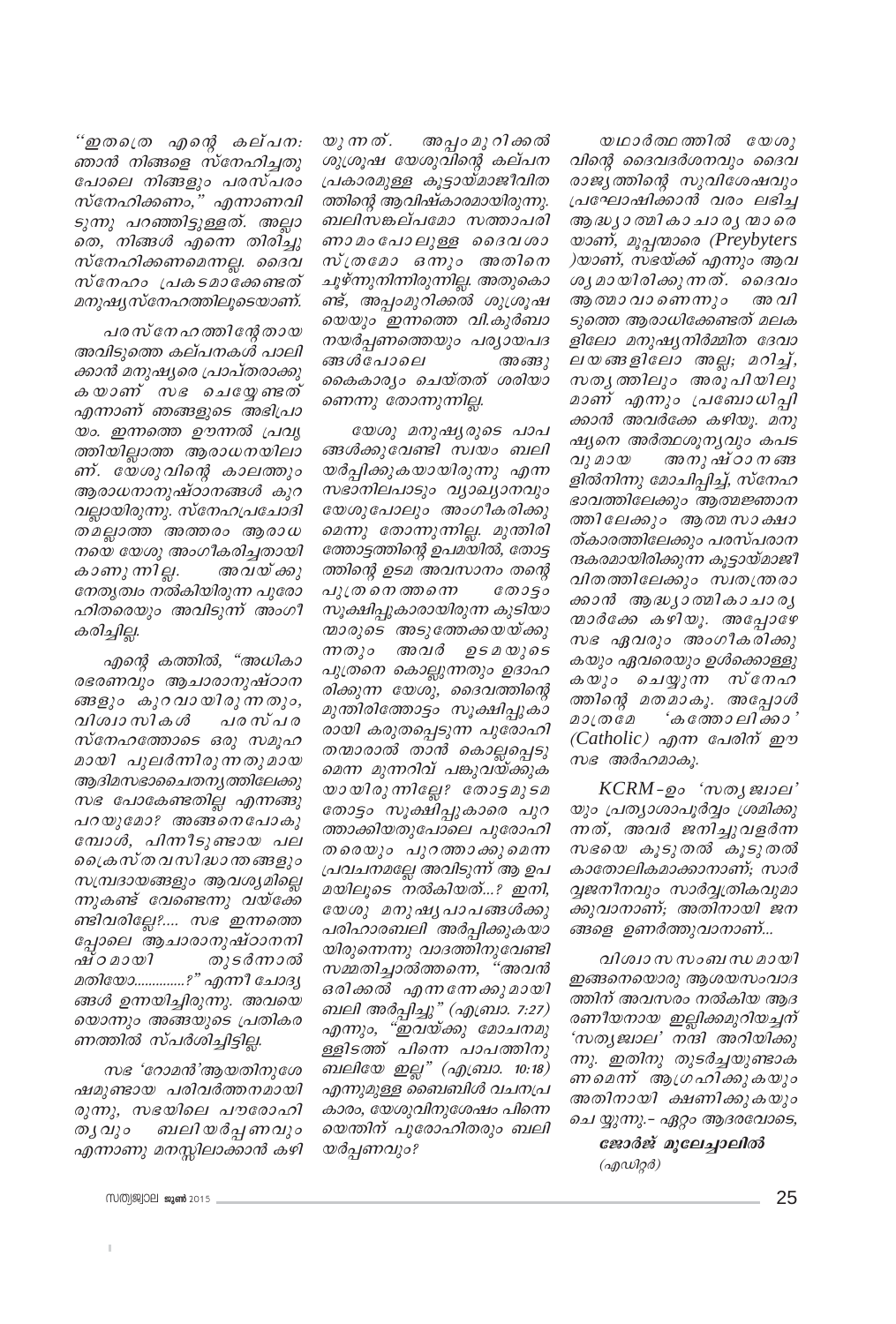അപ്പം മു റി ക്കൽ യു ന്ന ത്. ശുശ്രൂഷ യേശുവിന്റെ കല്പന പ്രകാരമുള്ള കൂട്ടായ്മാജീവിത ത്തിന്റെ ആവിഷ്കാരമായിരുന്നു. ബലിസങ്കല്പമോ സത്താപരി ണാമം പോലുള്ള ദൈവശാ സ്ത്രമോ ഒന്നും അതിനെ ചൂഴ്ന്നുനിന്നിരുന്നില്ല. അതുകൊ ണ്ട്, അപ്പാമുറിക്കൽ ശുശ്രൂഷ യെയും ഇന്നത്തെ വി.കുർബാ നയർപ്പണത്തെയും പര്യായപദ ങ്ങൾപോലെ അങ്ങു കൈകാര്യം ചെയ്തത് ശരിയാ ണെന്നു തോന്നുന്നില്ല.

യേശു മനുഷ്യരുടെ പാപ ങ്ങൾക്കുവേണ്ടി സ്വയം ബലി യർപ്പിക്കുകയായിരുന്നു എന്ന സഭാനിലപാടും വ്യാഖ്യാനവും യേശുപോലും അംഗീകരിക്കു മെന്നു തോന്നുന്നില്ല. മുന്തിരി ത്തോട്ടത്തിന്റെ ഉപമയിൽ, തോട്ട ത്തിന്റെ ഉടമ അവസാനം തന്റെ പുത്ര നെ ത്തന്നെ തോട്ടാ സൂക്ഷിപ്പുകാരായിരുന്ന കുടിയാ ന്മാരുടെ അടുത്തേക്കയയ്ക്കു ന്നതും അവർ ഉടമയുടെ പുത്രനെ കൊല്ലുന്നതും ഉദാഹ രിക്കുന്ന യേശു, ദൈവത്തിന്റെ മുന്തിരിത്തോട്ടം സൂക്ഷിപ്പുകാ രായി കരുതപ്പെടുന്ന പുരോഹി തന്മാരാൽ താൻ കൊല്ലപ്പെടു മെന്ന മുന്നറിവ് പങ്കുവയ്ക്കുക യായിരുന്നില്ലേ? തോട്ടമുടമ തോട്ടം സൂക്ഷിപ്പുകാരെ പുറ ത്താക്കിയതുപോലെ പുരോഹി തരെയും പുറത്താക്കുമെന്ന പ്രവചനമല്ലേ അവിടുന്ന് ആ ഉപ മയിലൂടെ നൽകിയത്...? ഇനി, യേശു മനുഷ്യപാപങ്ങൾക്കു പരിഹാരബലി അർപ്പിക്കുകയാ യിരുന്നെന്നു വാദത്തിനുവേണ്ടി സമ്മതിച്ചാൽത്തന്നെ, "അവൻ ഒരിക്കൽ എന്നനേക്കുമായി ബലി അർപ്പിച്ചു" (എബ്രാ. 7:27) എന്നും, "ഇവയ്ക്കു മോചനമു ള്ളിടത്ത് പിനെ പാപത്തിനു ബലിയേ ഇല്ല" (എ.്രവാ. 10:18) എന്നുമുള്ള ബൈബിൾ വചനപ്ര കാരം, യേശുവിനുശേഷം പിന്നെ യെന്തിന് പുരോഹിതരും ബലി യർപ്പണവും?

"ഇതഗ്രെ എന്റെ കല്പന: ഞാൻ നിങ്ങളെ സ്നേഹിച്ചതു പോലെ നിങ്ങളും പരസ്പരം സ്നേഹിക്കണം," എന്നാണവി ടുന്നു പറഞ്ഞിട്ടുള്ളത്. അല്ലാ തെ, നിങ്ങൾ എന്നെ തിരിച്ചു സ്നേഹിക്കണമെന്നല്ല. ദൈവ സ്നേഹം പ്രകടമാക്കേണ്ടത് മനുഷ്യസ്നേഹത്തിലൂടെയാണ്.

പരസ് നേഹത്തിന്റേ തായ അവിടുത്തെ കല്പനകൾ പാലി ക്കാൻ മനുഷ്യരെ പ്രാപ്തരാക്കു കയാണ് സഭ ചെയ്യേണ്ടത് എന്നാണ് ഞങ്ങളുടെ അഭിപ്രാ യം. ഇന്നത്തെ ഊന്നൽ പ്രവൃ ത്തിയില്ലാത്ത ആരാധനയിലാ ണ്. യേശുവിന്റെ കാലത്തും ആരാധനാനുഷ്ഠാനങ്ങൾ കുറ വല്ലായിരുന്നു. സ്നേഹപ്രചോദി തമല്ലാത്ത അത്തരം ആരാധ നയെ യേശു അംഗീകരിച്ചതായി കാണു ന്നില്ല. അവയ്ക്കു നേതൃത്വം നൽകിയിരുന്ന പുരോ ഹിതരെയും അവിടുന്ന് അംഗീ കരിച്ചില്ല.

എന്റെ കത്തിൽ, "അധികാ രഭരണവും ആചാരാനുഷ്ഠാന ങ്ങളും കുറവായിരുന്നതും, വിശ്വാ സികൾ പര സ്പര സ്നേഹത്തോടെ ഒരു സമൂഹ മായി പുലർന്നിരുന്നതുമായ ആദിമസഭാചൈതനൃത്തിലേക്കു സഭ പോകേണ്ടതില്ല എന്നങ്ങു പറയുമോ? അങ്ങനെപോകു മ്പോൾ, പിന്നീടുണ്ടായ പല പ്രൈസ്തവസിദ്ധാന്തങ്ങളും സമ്പ്രദായങ്ങളും ആവശ്യമില്ലെ ന്നുകണ്ട് വേണ്ടെന്നു വയ്ക്കേ ണ്ടിവരില്ലേ?.... സഭ ഇന്നത്തെ പ്പോലെ ആചാരാനുഷ്ഠാനനി ഷ്ഠമായി തുടർന്നാൽ മതിയോ..............?" എന്നീ ചോദ്യ ങ്ങൾ ഉന്നയിച്ചിരുന്നു. അവയെ യൊന്നും അങ്ങയുടെ പ്രതികര ണത്തിൽ സ്പർശിച്ചിട്ടില്ല.

സഭ 'റോമൻ'ആയതിനുശേ ഷമുണ്ടായ പരിവർത്തനമായി രുന്നു, സഭയിലെ പൗരോഹി തൃവും ബലിയർപ്പണവും എന്നാണു മനസ്സിലാക്കാൻ കഴി

യഥാർത്ഥത്തിൽ യേശു വിന്റെ ദൈവദർശനവും ദൈവ രാജ്യത്തിന്റെ സുവിശേഷവും പ്രഘോഷിക്കാൻ വരം ലഭിച്ച ആദ്ധ്യാത്മികാചാര്യ ന്മാരെ യാണ്, മൂപ്പന്മാരെ (Preybyters )യാണ്, സഭയ്ക്ക് എന്നും ആവ ശൃമായിരിക്കുന്നത്. ദൈവം ആ തമാ വാണെന്നും അവി ടുത്തെ ആരാധിക്കേണ്ടത് മലക ളിലോ മനുഷ്യനിർമ്മിത ദേവാ ലയങ്ങളിലോ അല്ല; മറിച്ച്, സതൃത്തിലും അരൂപിയിലു മാണ് എന്നും പ്രബോധിപ്പി ക്കാൻ അവർക്കേ കഴിയൂ. മനു ഷ്യനെ അർത്ഥശൂന്യവും കപട വുമായ അനുഷ്ഠാനങ്ങ ളിൽനിന്നു മോചിപ്പിച്ച്, സ്നേഹ ഭാവത്തിലേക്കും ആത്മജ്ഞാന ത്തിലേക്കും ആത്മസാക്ഷാ ത്കാരത്തിലേക്കും പരസ്പരാന ന്ദകരമായിരിക്കുന്ന കൂട്ടായ്മാജീ വിതത്തിലേക്കും സ്വതന്ത്രരാ ക്കാൻ ആദ്ധ്യാത്മികാചാര്യ നമാർക്കേ കഴിയൂ. അപ്പോഴേ സഭ ഏവരും അംഗീകരിക്കു കയും ഏവരെയും ഉൾക്കൊള്ളു കയും ചെയ്യുന്ന സ്നേഹ ത്തിന്റെ മതമാകൂ. അപ്പോൾ മാത്രമേ 'കത്തോലിക്കാ' (Catholic) എന്ന പേരിന് ഈ

 $KCRM$ -ഉം 'സതൃജ്വാല' യും പ്രത്യാശാപൂർവ്വം ശ്രമിക്കു ന്നത്, അവർ ജനിച്ചുവളർന്ന സഭയെ കൂടുതൽ കൂടുതൽ കാതോലികമാക്കാനാണ്; സാർ വ്വജനീനവും സാർവ്വത്രികവുമാ ക്കുവാനാണ്; അതിനായി ജന ങ്ങളെ ഉണർത്തുവാനാണ്...

സഭ അർഹമാകൂ.

വിശ്വാസ സംബന്ധമായി ഇങ്ങനെയൊരു ആശയസംവാദ ത്തിന് അവസരം നൽകിയ ആദ രണീയനായ ഇല്ലിക്കമുറിയച്ചന് 'സതൃജ്വാല' നന്ദി അറിയിക്കു ന്നു. ഇതിനു തുടർച്ചയുണ്ടാക ണമെന്ന് ആഗ്രഹിക്കുകയും അതിനായി ക്ഷണിക്കുകയും ചെ യ്യുന്നു.– ഏറ്റം ആദരവോടെ,

ജോർജ് മുലേച്ചാലിൽ  $($ ag $($ ulg $\delta)$ 

MMM 58000 2015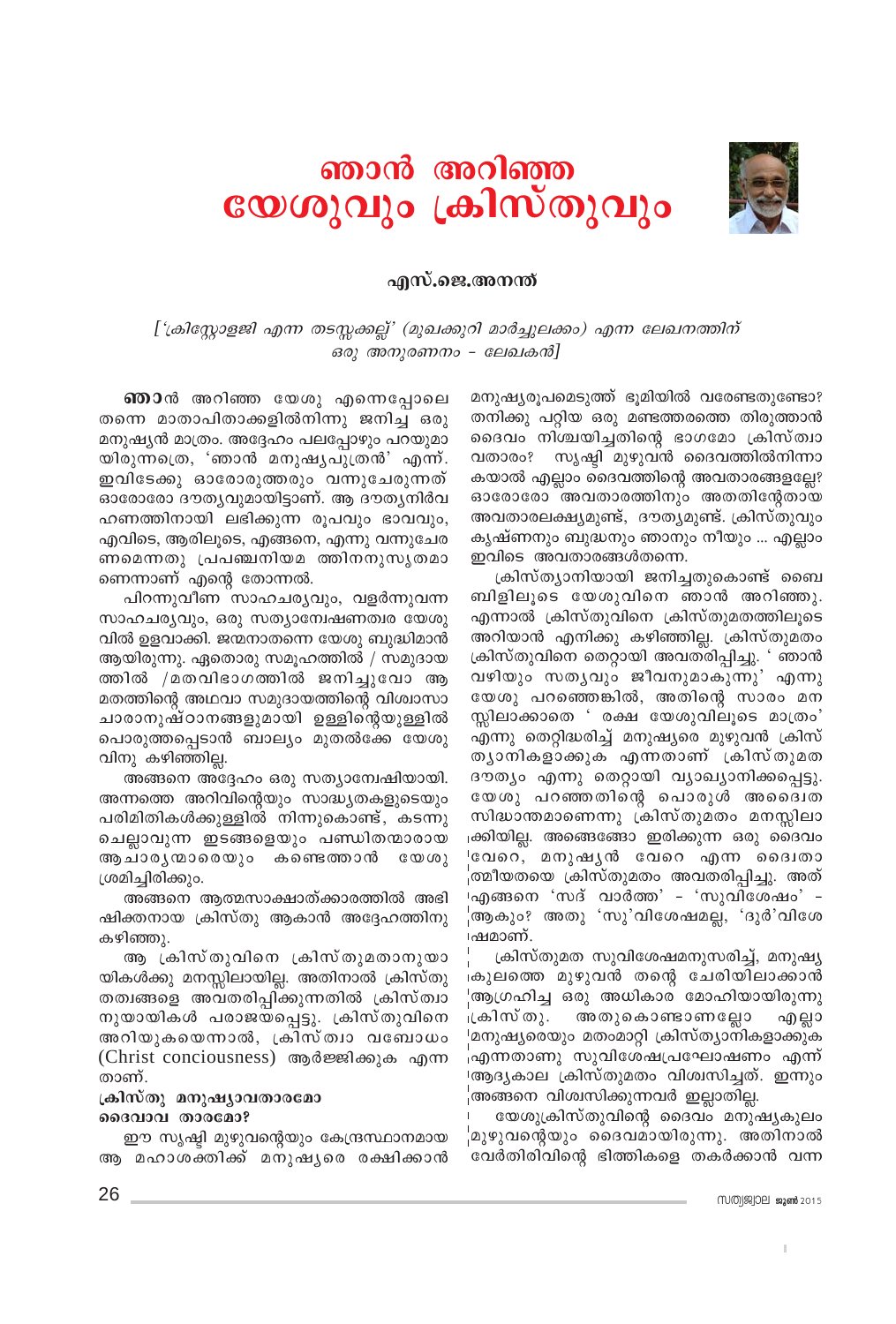

## ഞാൻ അറിഞ്ഞ യേശുവും ക്രിസ്തുവും

#### എസ്.ജെ.അനന്ത്

['ക്രിസ്റ്റോളജി എന്ന തടസ്സക്കല്ല്' (മുഖക്കുറി മാർച്ചുലക്കം) എന്ന ലേഖനത്തിന് ഒരു അനുരണനം - ലേഖകൻ]

**ഞാ**ൻ അറിഞ്ഞ യേശു എന്നെപ്പോലെ തന്നെ മാതാപിതാക്കളിൽനിന്നു ജനിച്ച ഒരു മനുഷ്യൻ മാത്രം. അദ്ദേഹം പലപ്പോഴും പറയുമാ യിരുന്നത്രെ, 'ഞാൻ മനുഷ്യപുത്രൻ' എന്ന്. ഇവിടേക്കു ഓരോരുത്തരും വന്നുചേരുന്നത് ഓരോരോ ദൗതൃവുമായിട്ടാണ്. ആ ദൗതൃനിർവ ഹണത്തിനായി ലഭിക്കുന്ന രൂപവും ഭാവവും, എവിടെ, ആരിലൂടെ, എങ്ങനെ, എന്നു വന്നുചേര ണമെന്നതു പ്രപഞ്ചനിയമ ത്തിനനുസൃതമാ ണെന്നാണ് എന്റെ തോന്നൽ.

പിറന്നുവീണ സാഹചര്യവും, വളർന്നുവന്ന സാഹചര്യവും, ഒരു സത്യാമ്പേഷണത്വര യേശു വിൽ ഉളവാക്കി. ജന്മനാതന്നെ യേശു ബുദ്ധിമാൻ ആയിരുന്നു. ഏതൊരു സമൂഹത്തിൽ / സമുദായ ത്തിൽ /മതവിഭാഗത്തിൽ ജനിച്ചുവോ ആ മതത്തിന്റെ അഥവാ സമുദായത്തിന്റെ വിശ്വാസാ ചാരാനുഷ്ഠാനങ്ങളുമായി ഉള്ളിന്റെയുള്ളിൽ പൊരുത്തപ്പെടാൻ ബാല്യം മുതൽക്കേ യേശു വിനു കഴിഞ്ഞില്ല.

അങ്ങനെ അദ്ദേഹം ഒരു സത്യാമ്പേഷിയായി. അന്നത്തെ അറിവിന്റെയും സാദ്ധ്യതകളുടെയും പരിമിതികൾക്കുള്ളിൽ നിന്നുകൊണ്ട്, കടന്നു ചെല്ലാവുന്ന ഇടങ്ങളെയും പണ്ഡിതന്മാരായ ആ ചാരൃ ന്മാരെയും കണ്ടെത്താൻ  $C \omega \omega$ ശ്രമിച്ചിരിക്കും.

അങ്ങനെ ആത്മസാക്ഷാത്ക്കാരത്തിൽ അഭി ഷിക്തനായ ക്രിസ്തു ആകാൻ അദ്ദേഹത്തിനു കഴിഞ്ഞു.

ആ ക്രിസ്തുവിനെ ക്രിസ്തുമതാനുയാ യികൾക്കു മനസ്സിലായില്ല. അതിനാൽ ക്രിസ്തു തത്വങ്ങളെ അവതരിപ്പിക്കുന്നതിൽ ക്രിസ്ത്വാ നുയായികൾ പരാജയപ്പെട്ടു. ക്രിസ്തുവിനെ അറിയുകയെന്നാൽ, ക്രിസ്ത്വാ വബോധം (Christ conciousness) ആർജ്ജിക്കുക എന്ന താണ്.

#### ക്രിസ്തു മനുഷ്യാവതാരമോ ദൈവാവ താരമോ?

ഈ സൃഷ്ടി മുഴുവന്റെയും കേന്ദ്രസ്ഥാനമായ ആ മഹാശക്തിക്ക് മനുഷൃരെ രക്ഷിക്കാൻ മനുഷ്യരൂപമെടുത്ത് ഭൂമിയിൽ വരേണ്ടതുണ്ടോ? തനിക്കു പറ്റിയ ഒരു മണ്ടത്തരത്തെ തിരുത്താൻ ദൈവം നിശ്ചയിച്ചതിന്റെ ഭാഗമോ ക്രിസ്ത്വാ വതാരം? സൃഷ്ടി മുഴുവൻ ദൈവത്തിൽനിന്നാ കയാൽ എല്ലാം ദൈവത്തിന്റെ അവതാരങ്ങളല്ലേ? ഓരോരോ അവതാരത്തിനും അതതിന്റേതായ അവതാരലക്ഷ്യമുണ്ട്, ദൗത്യമുണ്ട്. ക്രിസ്തുവും കൃഷ്ണനും ബുദ്ധനും ഞാനും നീയും ... എല്ലാം ഇവിടെ അവതാരങ്ങൾതന്നെ.

ക്രിസ്ത്യാനിയായി ജനിച്ചതുകൊണ്ട് ബൈ ബിളിലൂടെ യേശുവിനെ ഞാൻ അറിഞ്ഞു. എന്നാൽ ക്രിസ്തുവിനെ ക്രിസ്തുമതത്തിലൂടെ അറിയാൻ എനിക്കു കഴിഞ്ഞില്ല. ക്രിസ്തുമതം ക്രിസ്തുവിനെ തെറ്റായി അവതരിപ്പിച്ചു. ' ഞാൻ വഴിയും സതൃവും ജീവനുമാകുന്നു' എന്നു യേശു പറഞ്ഞെങ്കിൽ, അതിന്റെ സാരം മന സ്സിലാക്കാതെ ' രക്ഷ യേശുവിലുടെ മാത്രം' എന്നു തെറ്റിദ്ധരിച്ച് മനുഷ്യരെ മുഴുവൻ ക്രിസ് തൃാനികളാക്കുക എന്നതാണ് ക്രിസ്തുമത ദൗത്യം എന്നു തെറ്റായി വ്യാഖ്യാനിക്കപ്പെട്ടു. യേശു പറഞ്ഞതിന്റെ പൊരുൾ അദൈവത സിദ്ധാന്തമാണെന്നു ക്രിസ്തുമതം മനസ്സിലാ ക്കിയില്ല. അങ്ങെങ്ങോ ഇരിക്കുന്ന ഒരു ദൈവം ്വേറെ, മനുഷ്യൻ വേറെ എന്ന ദൈവതാ 'ത്മീയതയെ ക്രിസ്തുമതം അവതരിപ്പിച്ചു. അത് ⊦എങ്ങനെ 'സദ് വാർത്ത' - 'സുവിശേഷം' -ആകും? അതു 'സു'വിശേഷമല്ല, 'ദുർ'വിശേ ⊦ഷമാണ്.

ക്രിസ്തുമത സുവിശേഷമനുസരിച്ച്, മനുഷ്യ കുലത്തെ മുഴുവൻ തന്റെ ചേരിയിലാക്കാൻ 'ആഗ്രഹിച്ച ഒരു അധികാര മോഹിയായിരുന്നു അതുകൊണ്ടാണല്ലോ ⊥കിസ് തു.\_ എല്ലാ 'മനുഷ്യരെയും മതംമാറ്റി ക്രിസ്ത്യാനികളാക്കുക <sub>ി</sub>എന്നതാണു സുവിശേഷപ്രഘോഷണം എന്ന് ⊦ആദൃകാല ക്രിസ്തുമതം വിശ്വസിച്ചത്. ഇന്നും ¦അങ്ങനെ വിശ്വസിക്കുന്നവർ ഇല്ലാതില്ല.

യേശുക്രിസ്തുവിന്റെ ദൈവം മനുഷ്യകുലം 'മുഴുവന്റെയും ദൈവമായിരുന്നു. അതിനാൽ വേർതിരിവിന്റെ ഭിത്തികളെ തകർക്കാൻ വന്ന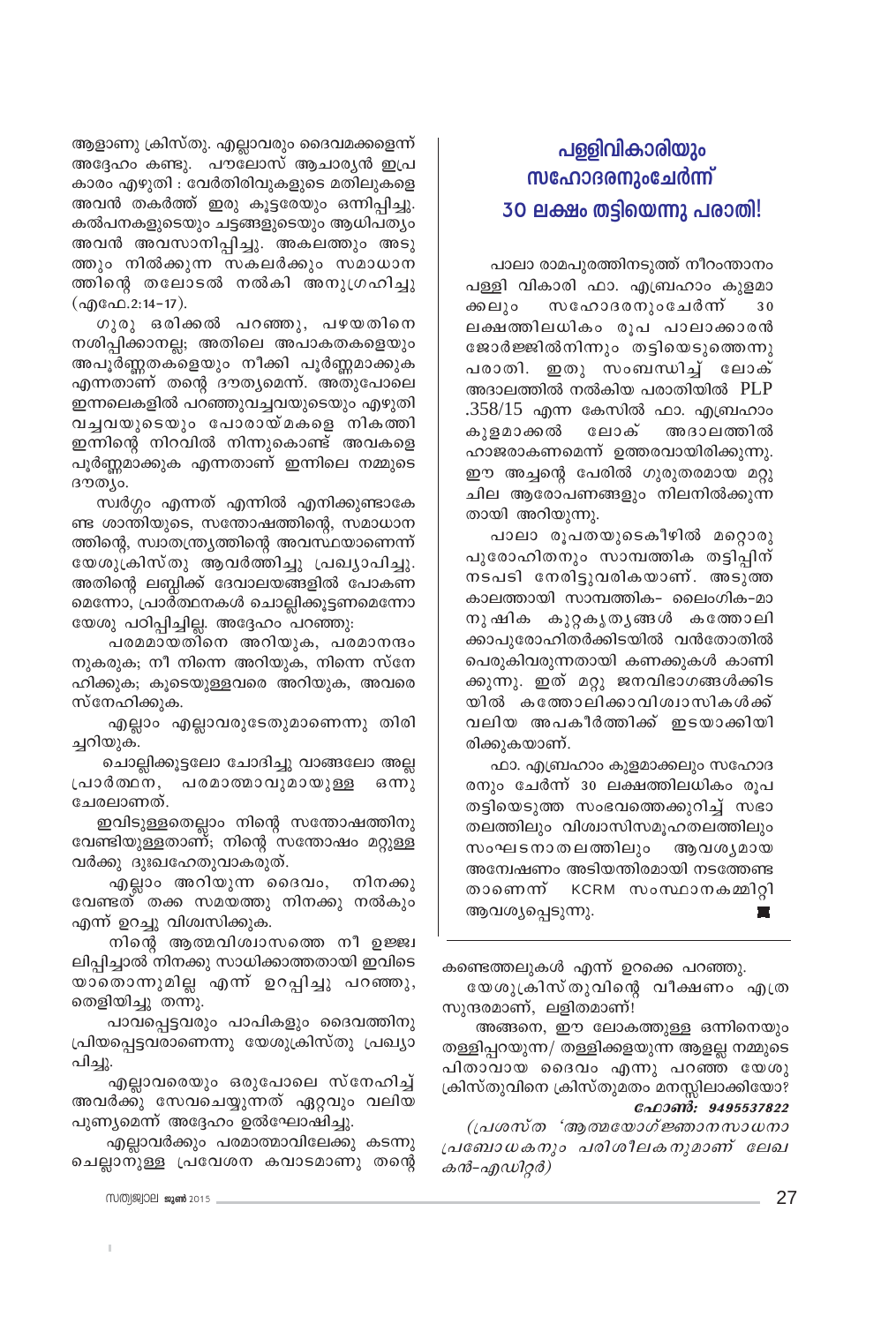ആളാണു ക്രിസ്തു. എല്ലാവരും ദൈവമക്കളെന്ന് അദ്ദേഹം കണ്ടു. പൗലോസ് ആചാര്യൻ ഇപ്ര കാരം എഴുതി : വേർതിരിവുകളുടെ മതിലുകളെ അവൻ തകർത്ത് ഇരു കൂട്ടരേയും ഒന്നിപ്പിച്ചു. കൽപനകളുടെയും ചട്ടങ്ങളുടെയും ആധിപത്യം അവൻ അവസാനിപ്പിച്ചു. അകലത്തും അടു ത്തും നിൽക്കുന്ന സകലർക്കും സമാധാന ത്തിന്റെ തലോടൽ നൽകി അനുഗ്രഹിച്ചു (എഫേ.2:14-17).

ഗുരു ഒരിക്കൽ പറഞ്ഞു, പഴയതിനെ നശിപ്പിക്കാനല്ല; അതിലെ അപാകതകളെയും അപൂർണ്ണതകളെയും നീക്കി പൂർണ്ണമാക്കുക എന്നതാണ് തന്റെ ദൗത്യമെന്ന്. അതുപോലെ ഇന്നലെകളിൽ പറഞ്ഞുവച്ചവയുടെയും എഴുതി വച്ചവയുടെയും പോരായ്മകളെ നികത്തി ഇന്നിന്റെ നിറവിൽ നിന്നുകൊണ്ട് അവകളെ പൂർണ്ണമാക്കുക എന്നതാണ് ഇന്നിലെ നമ്മുടെ ദൗത്യം.

സ്വർഗ്ഗം എന്നത് എന്നിൽ എനിക്കുണ്ടാകേ ണ്ട ശാന്തിയുടെ, സന്തോഷത്തിന്റെ, സമാധാന ത്തിന്റെ, സ്വാതന്ത്ര്യത്തിന്റെ അവസ്ഥയാണെന്ന് യേശുക്രിസ്തു ആവർത്തിച്ചു പ്രഖ്യാപിച്ചു. അതിന്റെ ലബ്ധിക്ക് ദേവാലയങ്ങളിൽ പോകണ മെന്നോ, പ്രാർത്ഥനകൾ ചൊല്ലിക്കൂട്ടണമെന്നോ യേശു പഠിപ്പിച്ചില്ല. അദ്ദേഹം പറഞ്ഞു:

പരമമായതിനെ അറിയുക, പരമാനന്ദം നുകരുക; നീ നിന്നെ അറിയുക, നിന്നെ സ്നേ ഹിക്കുക; കൂടെയുള്ളവരെ അറിയുക, അവരെ സ്നേഹിക്കുക.

എല്ലാം എല്ലാവരുടേതുമാണെന്നു തിരി ച്ചറിയുക.

ചൊല്ലിക്കൂട്ടലോ ചോദിച്ചു വാങ്ങലോ അല്ല പ്രാർത്ഥന, പരമാത്മാവുമായുള്ള  $G(m)$ ചേരലാണത്.

ഇവിടുള്ളതെല്ലാം നിന്റെ സന്തോഷത്തിനു വേണ്ടിയുള്ളതാണ്; നിന്റെ സന്തോഷം മറ്റുള്ള വർക്കു ദുഃഖഹേതുവാകരുത്.

എല്ലാം അറിയുന്ന ദൈവം, നിനക്കു വേണ്ടത് തക്ക സമയത്തു നിനക്കു നൽകും എന്ന് ഉറച്ചു വിശ്വസിക്കുക.

നിന്റെ ആത്മവിശ്വാസത്തെ നീ ഉജ്ജ്വ ലിപ്പിച്ചാൽ നിനക്കു സാധിക്കാത്തതായി ഇവിടെ യാതൊന്നുമില്ല എന്ന് ഉറപ്പിച്ചു പറഞ്ഞു, തെളിയിച്ചു തന്നു.

പാവപ്പെട്ടവരും പാപികളും ദൈവത്തിനു പ്രിയപ്പെട്ടവരാണെന്നു യേശുക്രിസ്തു പ്രഖ്യാ പിച്ചു.

എല്ലാവരെയും ഒരുപോലെ സ്നേഹിച്ച് അവർക്കു സേവചെയ്യുന്നത് ഏറ്റവും വലിയ പുണ്യമെന്ന് അദ്ദേഹം ഉൽഘോഷിച്ചു.

എല്ലാവർക്കും പരമാത്മാവിലേക്കു കടന്നു ചെല്ലാനുള്ള പ്രവേശന കവാടമാണു തന്റെ

പാലാ രാമപുരത്തിനടുത്ത് നീറംന്താനം പള്ളി വികാരി ഫാ. എബ്രഹാം കുളമാ സഹോദരനുംചേർന്ന് ക്കലും 30 ലക്ഷത്തിലധികം രൂപ പാലാക്കാരൻ ജോർജ്ജിൽനിന്നും തട്ടിയെടുത്തെന്നു പരാതി. ഇതു സംബന്ധിച്ച് ലോക് അദാലത്തിൽ നൽകിയ പരാതിയിൽ PLP .358/15 എന്ന കേസിൽ ഫാ. എബ്രഹാം കുളമാക്കൽ ലോക് അദാലത്തിൽ ഹാജരാകണമെന്ന് ഉത്തരവായിരിക്കുന്നു. ഈ അച്ചന്റെ പേരിൽ ഗുരുതരമായ മറ്റു ചില ആരോപണങ്ങളും നിലനിൽക്കുന്ന തായി അറിയുന്നു.

പാലാ രൂപതയുടെകീഴിൽ മറ്റൊരു പുരോഹിതനും സാമ്പത്തിക തട്ടിപ്പിന് നടപടി നേരിട്ടുവരികയാണ്. അടുത്ത കാലത്തായി സാമ്പത്തിക- ലൈംഗിക-മാ നുഷിക കുറ്റകൃതൃങ്ങൾ കത്തോലി ക്കാപുരോഹിതർക്കിടയിൽ വൻതോതിൽ പെരുകിവരുന്നതായി കണക്കുകൾ കാണി ക്കുന്നു. ഇത് മറ്റു ജനവിഭാഗങ്ങൾക്കിട യിൽ കത്തോലിക്കാവിശ്വാസികൾക്ക് വലിയ അപകീർത്തിക്ക് ഇടയാക്കിയി രിക്കുകയാണ്.

ഫാ. എബ്രഹാം കുളമാക്കലും സഹോദ രനും ചേർന്ന് 30 ലക്ഷത്തിലധികം രുപ തട്ടിയെടുത്ത സംഭവത്തെക്കുറിച്ച് സഭാ തലത്തിലും വിശ്വാസിസമുഹതലത്തിലും സംഘടനാതലത്തിലും ആവശ്യമായ അന്വേഷണം അടിയന്തിരമായി നടത്തേണ്ട താണെന്ന് KCRM സംസ്ഥാനകമ്മിറ്റി ആവശ്യപ്പെടുന്നു. **The State** 

കണ്ടെത്തലുകൾ എന്ന് ഉറക്കെ പറഞ്ഞു. യേശുക്രിസ്തുവിന്റെ വീക്ഷണം എത്ര

സുന്ദരമാണ്, ലളിതമാണ്!

അങ്ങനെ, ഈ ലോകത്തുള്ള ഒന്നിനെയും തള്ളിപ്പറയുന്ന/ തള്ളിക്കളയുന്ന ആളല്ല നമ്മുടെ പിതാവായ ദൈവം എന്നു പറഞ്ഞ യേശു ക്രിസ്തുവിനെ ക്രിസ്തുമതം മനസ്സിലാക്കിയോ? ഫോൺ: 9495537822

(പ്രശസ്ത 'ആത്മയോഗ്ജ്ഞാനസാധനാ പ്രബോധകനും പരിശീലകനുമാണ് ലേഖ കൻ-എഡിറ്റർ)

mumj&joel 2015,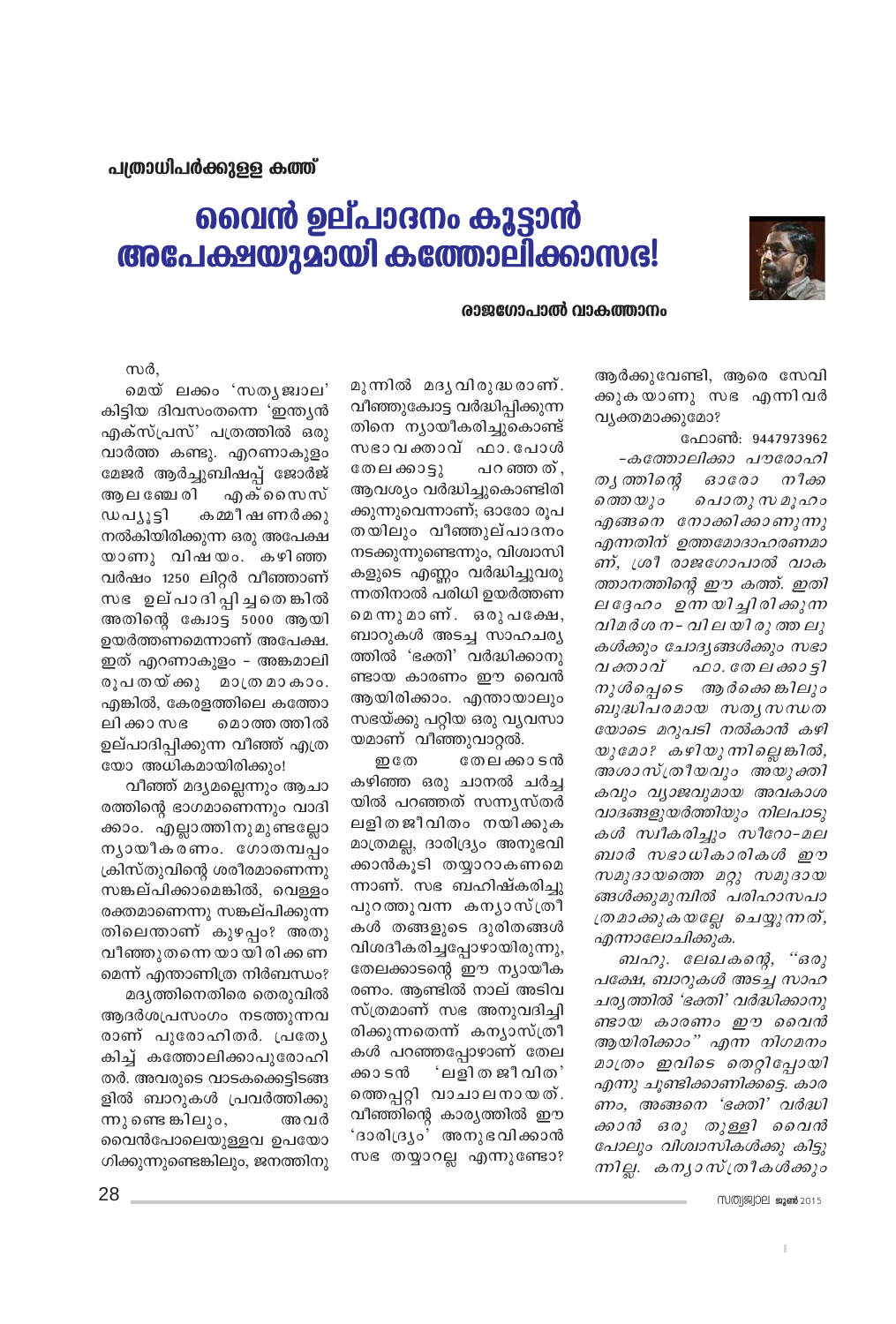

## വൈൻ ഉല്പാദനം കൂട്ടാൻ അപേക്ഷയുമായി കത്തോലിക്കാസഭ!

#### രാജഗോപാൽ വാകത്താനം

ആർക്കുവേണ്ടി, ആരെ സേവി ക്കുകയാണു സഭ എന്നി<mark>വ</mark>ർ വ്യക്തമാക്കുമോ?

ഫോൺ: 9447973962 -കത്തോലിക്കാ പൗരോഹി തൃ ത്തിന്റെ ഓരോ നീക്ക ത്തെയും ചൊതു സമൂഹം എങ്ങനെ നോക്കിക്കാണുന്നു എന്നതിന് ഉത്തമോദാഹരണമാ ണ്, ശ്രീ രാജഗോപാൽ വാക ത്താനത്തിന്റെ ഈ കത്ത്. ഇതി ലദ്ദേഹം ഉന്നയിച്ചിരിക്കുന്ന വിമർശ ന - വില യി രു ത്ത ലു കൾക്കും ചോദ്യങ്ങൾക്കും സഭാ വക്താവ് ഫാ. തേലക്കാട്ടി നുൾപ്പെടെ ആർക്കെങ്കിലും ബുദ്ധിപരമായ സത്യസന്ധത യോടെ മറുപടി നൽകാൻ കഴി യുമോ? കഴിയുന്നില്ലെങ്കിൽ, അശാസ്ത്രീയവും അയുക്തി കവും വ്യാജവുമായ അവകാശ വാദങ്ങളുയർത്തിയും നിലപാടു കൾ സ്വീകരിച്ചും സീറോ-മല ബാർ സഭാധികാരികൾ ഈ സമുദായത്തെ മറ്റു സമുദായ ങ്ങൾക്കുമുമ്പിൽ പരിഹാസപാ ത്രമാക്കുകയല്ലേ ചെയ്യുന്നത്, എന്നാലോചിക്കുക.

ബഹു. ലേഖകന്റെ, "ഒരു പക്ഷേ, ബാറുകൾ അടച്ച സാഹ ചര്യത്തിൽ 'ഭക്തി' വർദ്ധിക്കാനു ണ്ടായ കാരണം ഈ വൈൻ ആയിരിക്കാം" എന്ന നിഗമനം മാത്രം ഇവിടെ തെറ്റിപ്പോയി എന്നു ചൂണ്ടിക്കാണിക്കട്ടെ. കാര ണം, അങ്ങനെ 'ഭക്തി' വർദ്ധി ക്കാൻ ഒരു തുള്ളി വൈൻ പോലും വിശ്വാസികൾക്കു കിട്ടു ന്നില്ല. കന്യാസ്ത്രീകൾക്കും

I.

മുന്നിൽ മദൃവിരുദ്ധരാണ്. വീഞ്ഞുക്വോട്ട വർദ്ധിപ്പിക്കുന്ന തിനെ ന്യായീകരിച്ചുകൊണ്ട് സഭാവക്താവ് ഫാ. പോൾ തേലക്കാട്ടു പറഞ്ഞത്, ആവശ്യം വർദ്ധിച്ചുകൊണ്ടിരി ക്കുന്നുവെന്നാണ്; ഓരോ രൂപ തയിലും വീഞ്ഞുല്പാദനം നടക്കുന്നുണ്ടെന്നും, വിശ്വാസി കളുടെ എണ്ണം വർദ്ധിച്ചുവരു ന്നതിനാൽ പരിധി ഉയർത്തണ മെന്നുമാണ്. ഒരുപക്ഷേ, ബാറുകൾ അടച്ച സാഹചര്യ ത്തിൽ 'ഭക്തി' വർദ്ധിക്കാനു ണ്ടായ കാരണം ഈ വൈൻ ആയിരിക്കാം. എന്തായാലും സഭയ്ക്കു പറ്റിയ ഒരു വ്യവസാ യമാണ് വീഞ്ഞുവാറ്റൽ.

**ഇ** തേ തേല ക്കാടൻ കഴിഞ്ഞ ഒരു ചാനൽ ചർച്ച യിൽ പറഞ്ഞത് സന്ന്യസ്തർ ലളിതജീവിതം നയിക്കുക മാത്രമല്ല, ദാരിദ്ര്യം അനുഭവി ക്കാൻകൂടി തയ്യാറാകണമെ ന്നാണ്. സഭ ബഹിഷ്കരിച്ചു പുറത്തുവന്ന കന്യാസ്ത്രീ കൾ തങ്ങളുടെ ദുരിതങ്ങൾ വിശദീകരിച്ചപ്പോഴായിരുന്നു, തേലക്കാടന്റെ ഈ ന്യായീക രണം. ആണ്ടിൽ നാല് അടിവ സ്ത്രമാണ് സഭ അനുവദിച്ചി രിക്കുന്നതെന്ന് കന്യാസ്ത്രീ കൾ പറഞ്ഞപ്പോഴാണ് തേല ക്കാ ടൻ 'ലളിത ജീവിത' തെതപ്പറ്റി വാചാലനായത്. വീഞ്ഞിന്റെ കാര്യത്തിൽ ഈ 'ദാരിദ്ര്യം' അനുഭവിക്കാൻ സഭ തയ്യാറല്ല എന്നുണ്ടോ?

സർ.

മെയ് ലക്കം 'സതൃജ്വാല' കിട്ടിയ ദിവസംതന്നെ 'ഇന്ത്യൻ എക്സ്പ്രസ്' പത്രത്തിൽ ഒരു വാർത്ത കണ്ടു. എറണാകുളം മേജർ ആർച്ചുബിഷപ്പ് ജോർജ് അ ല ഞ്ചേ രി എക്സൈസ് ഡപ്ുട്ടി കമ്മീഷണർക്കു നൽകിയിരിക്കുന്ന ഒരു അപേക്ഷ യാണു വിഷയം. കഴിഞ്ഞ വർഷം 1250 ലിറ്റർ വീഞ്ഞാണ് സഭ ഉല്പാദിപ്പിച്ചതെങ്കിൽ അതിന്റെ കോട്ട 5000 ആയി ഉയർത്തണമെന്നാണ് അപേക്ഷ. ഇത് എറണാകുളം – അങ്കമാലി രൂപതയ്ക്കു മാത്ര മാകാം. എങ്കിൽ, കേരളത്തിലെ കത്തോ ലി ക്കാ സഭ മൊത്ത ത്തിൽ ഉല്പാദിപ്പിക്കുന്ന വീഞ്ഞ് എത്ര യോ അധികമായിരിക്കും!

വീഞ്ഞ് മദൃമല്ലെന്നും ആചാ രത്തിന്റെ ഭാഗമാണെന്നും വാദി ക്കാം. എല്ലാത്തിനുമുണ്ടല്ലോ ന്യായീകരണം. ഗോതമ്പപ്പം ക്രിസ്തുവിന്റെ ശരീരമാണെന്നു സങ്കല്പിക്കാമെങ്കിൽ, വെള്ളം രക്തമാണെന്നു സങ്കല്പിക്കുന്ന തിലെന്താണ് കുഴപ്പം? അതു വീഞ്ഞുതന്നെ യായിരിക്കണ മെന്ന് എന്താണിത്ര നിർബന്ധം? മദ്യത്തിനെതിരെ തെരുവിൽ ആദർശപ്രസംഗം നടത്തുന്നവ രാണ് പുരോഹിതർ. പ്രത്യേ

കിച്ച് കത്തോലിക്കാപുരോഹി തർ. അവരുടെ വാടകക്കെട്ടിടങ്ങ ളിൽ ബാറുകൾ പ്രവർത്തിക്കു ന്നു ണ്ടെ ങ്കിലും, അവർ വൈൻപോലെയുള്ളവ ഉപയോ ഗിക്കുന്നുണ്ടെങ്കിലും, ജനത്തിനു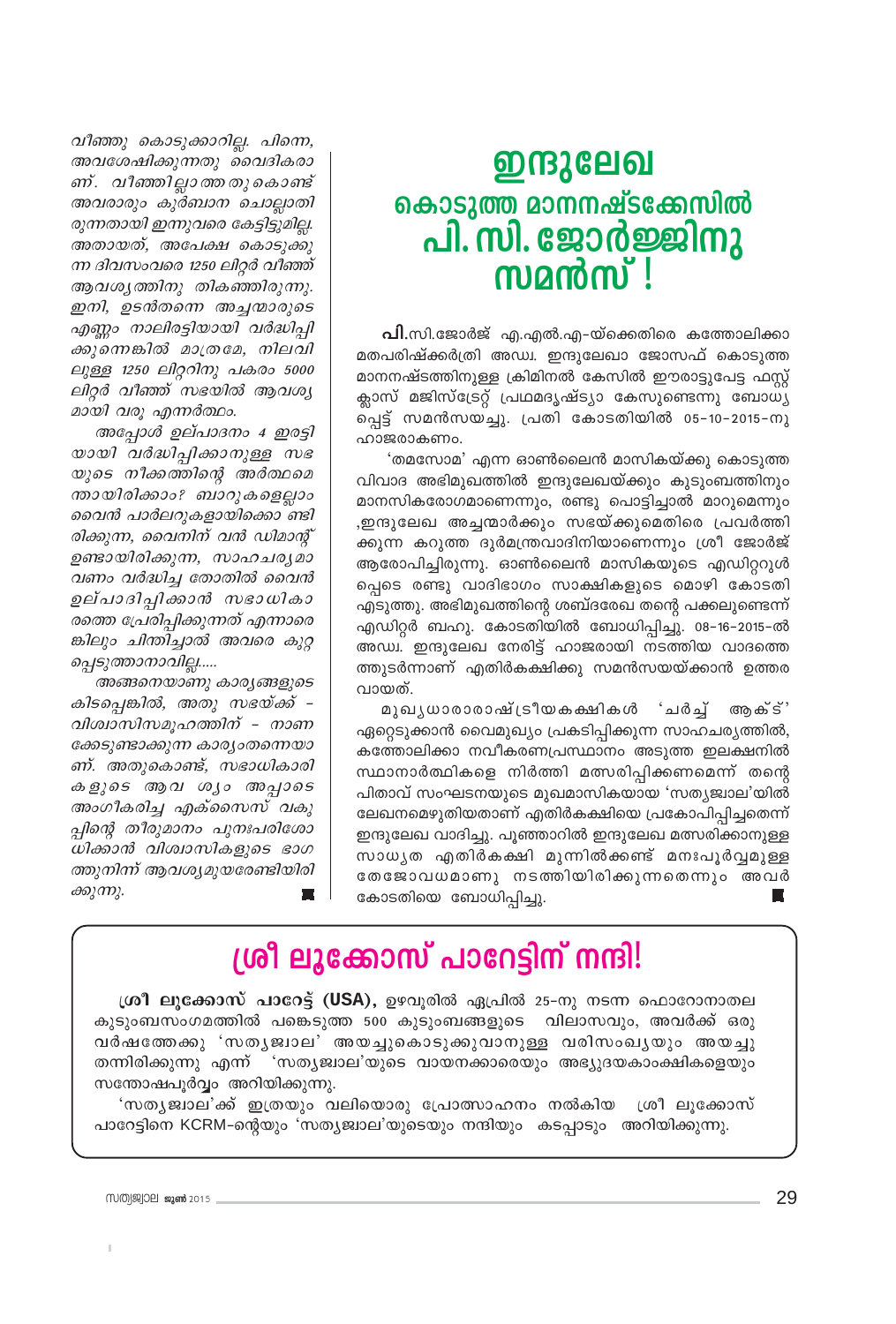വീഞ്ഞു കൊടുക്കാറില്ല. പിന്നെ, അവശേഷിക്കുന്നതു വൈദികരാ ണ്. വീഞ്ഞില്ലാത്തതുകൊണ്ട് അവരാരും കുർബാന ചൊല്ലാതി രുന്നതായി ഇന്നുവരെ കേട്ടിട്ടുമില്ല. അതായത്, അപേക്ഷ കൊടുക്കു ന്ന ദിവസംവരെ 1250 ലിറ്റർ വീഞ്ഞ് ആവശ്യത്തിനു തികഞ്ഞിരുന്നു. ഇനി, ഉടൻതന്നെ അച്ചന്മാരുടെ എണ്ണം നാലിരട്ടിയായി വർദ്ധിപ്പി ക്കുന്നെങ്കിൽ മാത്രമേ, നിലവി ലുള്ള 1250 ലിറ്ററിനു പകരം 5000 ലിറ്റർ വീഞ്ഞ് സഭയിൽ ആവശ്യ മായി വരു എന്നർത്ഥം.

അപ്പോൾ ഉല്പാദനം 4 ഇരട്ടി യായി വർദ്ധിപ്പിക്കാനുള്ള സഭ യുടെ നീക്കത്തിന്റെ അർത്ഥമെ ന്തായിരിക്കാം? ബാറുകളെല്ലാം വൈൻ പാർലറുകളായിക്കൊ ണ്ടി രിക്കുന്ന, വൈനിന് വൻ ഡിമാന്റ് ഉണ്ടായിരിക്കുന്ന, സാഹചര്യമാ വണം വർദ്ധിച്ച തോതിൽ വൈൻ ഉല്പാദിപ്പിക്കാൻ സഭാധികാ രത്തെ പ്രേരിപ്പിക്കുന്നത് എന്നാരെ ങ്കിലും ചിന്തിച്ചാൽ അവരെ കുറ്റ പ്പെടുത്താനാവില്ല.....

അങ്ങനെയാണു കാര്യങ്ങളുടെ കിടപ്പെങ്കിൽ, അതു സഭയ്ക്ക് -വിശ്വാസിസമൂഹത്തിന് - നാണ ക്കേടുണ്ടാക്കുന്ന കാര്യംതന്നെയാ ണ്. അതുകൊണ്ട്, സഭാധികാരി കളുടെ ആവ ശ്യം അപ്പാടെ അംഗീകരിച്ച എക്സൈസ് വകു പ്പിന്റെ തീരുമാനം പുനഃപരിശോ ധിക്കാൻ വിശ്വാസികളുടെ ഭാഗ ത്തുനിന്ന് ആവശ്യമുയരേണ്ടിയിരി ക്കുന്നു.

## ഇന്ദുലേഖ കൊടുത്തു മാനനഷ്ടക്കേസിൽ പി. സി. ജോർജ്ജിനു<br>സമൻസ് !

**പി.**സി.ജോർജ് എ.എൽ.എ–യ്ക്കെതിരെ കത്തോലിക്കാ മതപരിഷ്ക്കർത്രി അഡ്വ. ഇന്ദുലേഖാ ജോസഫ് കൊടുത്ത മാനനഷ്ടത്തിനുള്ള ക്രിമിനൽ കേസിൽ ഈരാട്ടുപേട്ട ഫസ്റ്റ് ക്ലാസ് മജിസ്ട്രേറ്റ് പ്രഥമദൃഷ്ട്യാ കേസുണ്ടെന്നു ബോധ്യ പ്പെട്ട് സമൻസയച്ചു. പ്രതി കോടതിയിൽ 05-10-2015-നു ഹാജരാകണം.

'തമസോമ' എന്ന ഓൺലൈൻ മാസികയ്ക്കു കൊടുത്ത വിവാദ അഭിമുഖത്തിൽ ഇന്ദുലേഖയ്ക്കും കുടുംബത്തിനും മാനസികരോഗമാണെന്നും, രണ്ടു പൊട്ടിച്ചാൽ മാറുമെന്നും ,ഇന്ദുലേഖ അച്ചന്മാർക്കും സഭയ്ക്കുമെതിരെ പ്രവർത്തി ക്കുന്ന കറുത്ത ദുർമന്ത്രവാദിനിയാണെന്നും ശ്രീ ജോർജ് ആരോപിച്ചിരുന്നു. ഓൺലൈൻ മാസികയുടെ എഡിറ്ററുൾ പ്പെടെ രണ്ടു വാദിഭാഗം സാക്ഷികളുടെ മൊഴി കോടതി എടുത്തു. അഭിമുഖത്തിന്റെ ശബ്ദരേഖ തന്റെ പക്കലുണ്ടെന്ന് എഡിറ്റർ ബഹു. കോടതിയിൽ ബോധിപ്പിച്ചു. 08–16–2015–ൽ അഡ്വ. ഇന്ദുലേഖ നേരിട്ട് ഹാജരായി നടത്തിയ വാദത്തെ ത്തുടർന്നാണ് എതിർകക്ഷിക്കു സമൻസയയ്ക്കാൻ ഉത്തര വായത്.

മുഖൃധാരാരാഷ്ട്രീയകക്ഷികൾ 'ചർച്ച് അക്ട്' ഏറ്റെടുക്കാൻ വൈമുഖ്യം പ്രകടിപ്പിക്കുന്ന സാഹചര്യത്തിൽ, കത്തോലിക്കാ നവീകരണപ്രസ്ഥാനം അടുത്ത ഇലക്ഷനിൽ സ്ഥാനാർത്ഥികളെ നിർത്തി മത്സരിപ്പിക്കണമെന്ന് തന്റെ പിതാവ് സംഘടനയുടെ മുഖമാസികയായ 'സത്യജ്വാല'യിൽ ലേഖനമെഴുതിയതാണ് എതിർകക്ഷിയെ പ്രകോപിപ്പിച്ചതെന്ന് ഇന്ദുലേഖ വാദിച്ചു. പൂഞ്ഞാറിൽ ഇന്ദുലേഖ മത്സരിക്കാനുള്ള സാധ്യത എതിർകക്ഷി മുന്നിൽക്കണ്ട് മനഃപൂർവ്വമുള്ള തേജോവധമാണു നടത്തിയിരിക്കുന്നതെന്നും അവർ കോടതിയെ ബോധിപ്പിച്ചു.

## ശ്രീ ലൂക്കോസ് പാറേട്ടിന് നന്ദി!

ശ്രീ ലുക്കോസ് പാറേട്ട് (USA), ഉഴവുരിൽ ഏപ്രിൽ 25-നു നടന്ന ഫൊറോനാതല കുടുംബസംഗമത്തിൽ പങ്കെടുത്ത 500 കുടുംബങ്ങളുടെ വിലാസവും, അവർക്ക് ഒരു വർഷത്തേക്കു 'സതൃജ്വാല' അയച്ചുകൊടുക്കുവാനുള്ള വരിസംഖൃയും അയച്ചു തന്നിരിക്കുന്നു എന്ന് ്സത്യജ്വാല'യുടെ വായനക്കാരെയും അഭ്യുദയകാംക്ഷികളെയും സന്തോഷപൂർവ്വം അറിയിക്കുന്നു.

'സതൃജ്വാല'ക്ക് ഇത്രയും വലിയൊരു പ്രോത്സാഹനം നൽകിയ ശ്രീലുക്കോസ് പാറേട്ടിനെ KCRM–ന്റെയും 'സത്യജ്വാല'യുടെയും നന്ദിയും കടപ്പാടും അറിയിക്കുന്നു.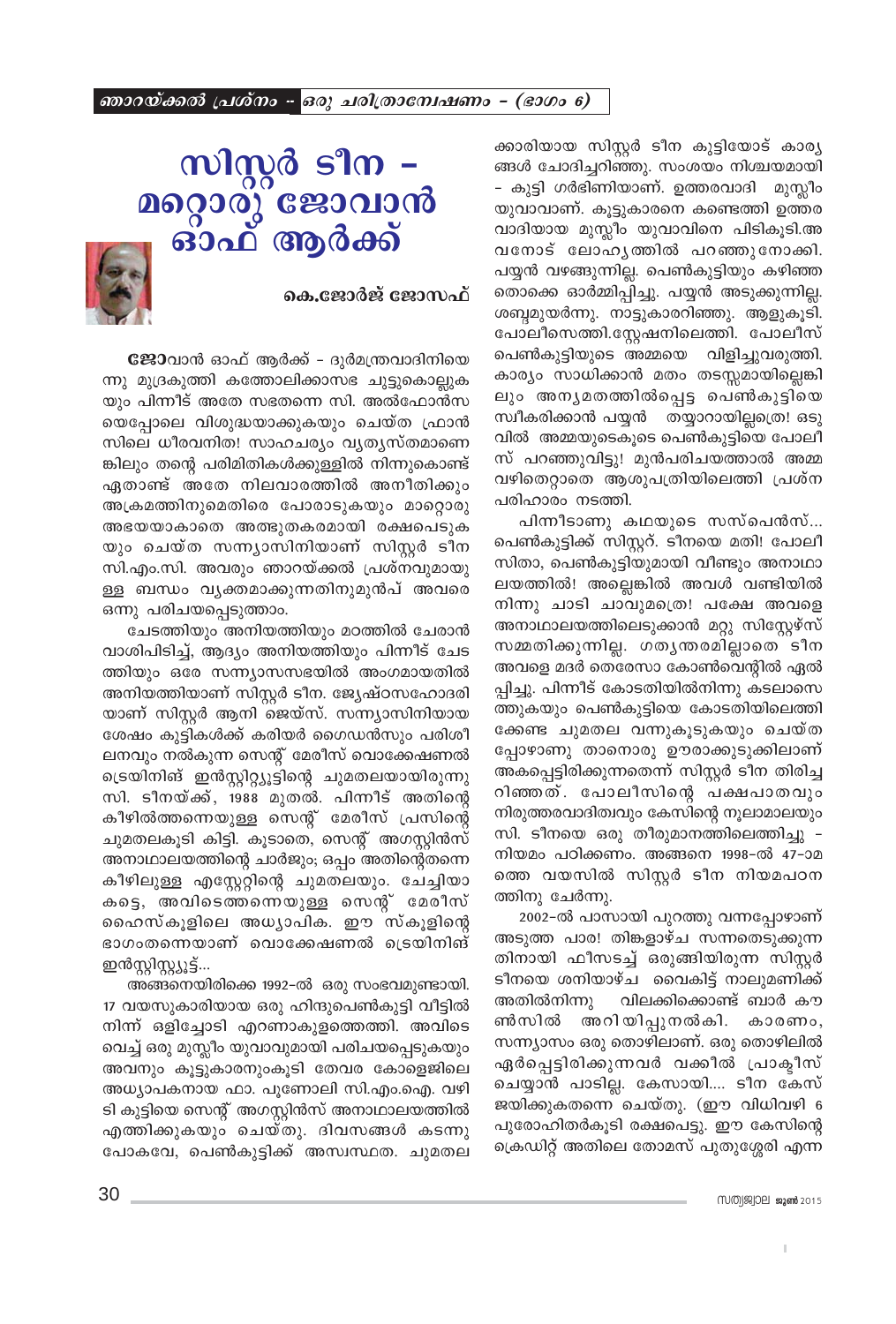ഞാറയ്ക്കൽ പ്രശ്നം - ഒരു ചരിത്രാമ്പേഷണം - (ഭാഗം 6)

ക്കാരിയായ സിസ്റ്റർ ടീന കുട്ടിയോട് കാര്യ ങ്ങൾ ചോദിച്ചറിഞ്ഞു. സംശയം നിശ്ചയമായി – കുട്ടി ഗർഭിണിയാണ്. ഉത്തരവാദി മുസ്ലീം യുവാവാണ്. കൂട്ടുകാരനെ കണ്ടെത്തി ഉത്തര വാദിയായ മുസ്ലീം യുവാവിനെ പിടികൂടി.അ വനോട് ലോഹൃത്തിൽ പറഞ്ഞുനോക്കി. പയ്യൻ വഴങ്ങുന്നില്ല. പെൺകുട്ടിയും കഴിഞ്ഞ തൊക്കെ ഓർമ്മിപ്പിച്ചു. പയ്യൻ അടുക്കുന്നില്ല. ശബ്ദമുയർന്നു. നാട്ടുകാരറിഞ്ഞു. ആളുകൂടി. പോലീസെത്തി.സ്റ്റേഷനിലെത്തി. പോലീസ് പെൺകുട്ടിയുടെ അമ്മയെ വിളിച്ചുവരുത്തി. കാര്യം സാധിക്കാൻ മതം തടസ്സമായില്ലെങ്കി ലും അനൃമതത്തിൽപ്പെട്ട പെൺകുട്ടിയെ സ്ഥീകരിക്കാൻ പയ്യൻ തയ്യാറായില്ലത്രെ! ഒടു വിൽ അമ്മയുടെകൂടെ പെൺകുട്ടിയെ പോലീ സ് പറഞ്ഞുവിട്ടു! മുൻപരിചയത്താൽ അമ്മ വഴിതെറ്റാതെ ആശുപത്രിയിലെത്തി പ്രശ്ന പരിഹാരം നടത്തി.

പിന്നീടാണു കഥയുടെ സസ്പെൻസ്... പെൺകുട്ടിക്ക് സിസ്റ്ററ്. ടീനയെ മതി! പോലീ സിതാ, പെൺകുട്ടിയുമായി വീണ്ടും അനാഥാ ലയത്തിൽ! അല്ലെങ്കിൽ അവൾ വണ്ടിയിൽ നിന്നു ചാടി ചാവുമത്രെ! പക്ഷേ അവളെ അനാഥാലയത്തിലെടുക്കാൻ മറ്റു സിസ്റ്റേഴ്സ് സമ്മതിക്കുന്നില്ല. ഗതൃന്തരമില്ലാതെ ടീന അവളെ മദർ തെരേസാ കോൺവെന്റിൽ ഏൽ പ്പിച്ചു. പിന്നീട് കോടതിയിൽനിന്നു കടലാസെ ത്തുകയും പെൺകുട്ടിയെ കോടതിയിലെത്തി ക്കേണ്ട ചുമതല വന്നുകൂടുകയും ചെയ്ത പ്പോഴാണു താനൊരു ഊരാക്കുടുക്കിലാണ് അകപ്പെട്ടിരിക്കുന്നതെന്ന് സിസ്റ്റർ ടീന തിരിച്ച റിഞ്ഞത്. പോലീസിന്റെ പക്ഷപാതവും നിരുത്തരവാദിത്വവും കേസിന്റെ നൂലാമാലയും സി. ടീനയെ ഒരു തീരുമാനത്തിലെത്തിച്ചു – നിയമം പഠിക്കണം. അങ്ങനെ 1998-ൽ 47-ാമ ത്തെ വയസിൽ സിസ്റ്റർ ടീന നിയമപഠന ത്തിനു ചേർന്നു.

2002-ൽ പാസായി പുറത്തു വന്നപ്പോഴാണ് അടുത്ത പാര! തിങ്കളാഴ്ച സന്നതെടുക്കുന്ന തിനായി ഫീസടച്ച് ഒരുങ്ങിയിരുന്ന സിസ്റ്റർ ടീനയെ ശനിയാഴ്ച വൈകിട്ട് നാലുമണിക്ക് അതിൽനിന്നു വിലക്കിക്കൊണ്ട് ബാർ കൗ ൺസിൽ അറിയിപ്പുനൽകി. കാരണം, സന്ന്യാസം ഒരു തൊഴിലാണ്. ഒരു തൊഴിലിൽ ഏർപ്പെട്ടിരിക്കുന്നവർ വക്കീൽ പ്രാകീസ് ചെയ്യാൻ പാടില്ല. കേസായി.... ടീന കേസ് ജയിക്കുകതന്നെ ചെയ്തു. (ഈ വിധിവഴി 6 പുരോഹിതർകൂടി രക്ഷപെട്ടു. ഈ കേസിന്റെ ക്രെഡിറ്റ് അതിലെ തോമസ് പുതുശ്ശേരി എന്ന

# സിസ്റ്റർ ടീന – മറ്റൊരു് ജോവാൻ<br>പരാഫ് ആർക്ക്



കെ.ജോർജ് ജോസഫ്

**ജോ**വാൻ ഓഫ് ആർക്ക് - ദുർമന്ത്രവാദിനിയെ ന്നു മുദ്രകുത്തി കത്തോലിക്കാസഭ ചുട്ടുകൊല്ലുക യും പിന്നീട് അതേ സഭതന്നെ സി. അൽഫോൻസ യെപ്പോലെ വിശുദ്ധയാക്കുകയും ചെയ്ത ഫ്രാൻ സിലെ ധീരവനിത! സാഹചര്യം വ്യത്യസ്തമാണെ ങ്കിലും തന്റെ പരിമിതികൾക്കുള്ളിൽ നിന്നുകൊണ്ട് ഏതാണ്ട് അതേ നിലവാരത്തിൽ അനീതിക്കും അക്രമത്തിനുമെതിരെ പോരാടുകയും മാറ്റൊരു അഭയയാകാതെ അത്ഭുതകരമായി രക്ഷപെടുക യും ചെയ്ത സന്ന്യാസിനിയാണ് സിസ്റ്റർ ടീന സി.എം.സി. അവരും ഞാറയ്ക്കൽ പ്രശ്നവുമായു ള്ള ബന്ധം വൃക്തമാക്കുന്നതിനുമുൻപ് അവരെ ഒന്നു പരിചയപ്പെടുത്താം.

ചേടത്തിയും അനിയത്തിയും മഠത്തിൽ ചേരാൻ വാശിപിടിച്ച്, ആദ്യം അനിയത്തിയും പിന്നീട് ചേട ത്തിയും ഒരേ സന്ന്യാസസഭയിൽ അംഗമായതിൽ അനിയത്തിയാണ് സിസ്റ്റർ ടീന. ജ്യേഷ്ഠസഹോദരി യാണ് സിസ്റ്റർ ആനി ജെയ്സ്. സന്ന്യാസിനിയായ ശേഷം കുട്ടികൾക്ക് കരിയർ ഗൈഡൻസും പരിശീ ലനവും നൽകുന്ന സെന്റ് മേരീസ് വൊക്കേഷണൽ ട്രെയിനിങ് ഇൻസ്റ്റിറ്റ്യൂട്ടിന്റെ ചുമതലയായിരുന്നു സി. ടീനയ്ക്ക്, 1988 മുതൽ. പിന്നീട് അതിന്റെ കീഴിൽത്തന്നെയുള്ള സെന്റ് മേരീസ് പ്രസിന്റെ ചുമതലകൂടി കിട്ടി. കൂടാതെ, സെന്റ് അഗസ്റ്റിൻസ് അനാഥാലയത്തിന്റെ ചാർജും; ഒപ്പം അതിന്റെതന്നെ കീഴിലുള്ള എസ്റ്റേറ്റിന്റെ ചുമതലയും. ചേച്ചിയാ കട്ടെ, അവിടെത്തന്നെയുള്ള സെന്റ് മേരീസ് ഹൈസ്കൂളിലെ അധ്യാപിക. ഈ സ്കൂളിന്റെ ഭാഗംതന്നെയാണ് വൊക്കേഷണൽ ട്രെയിനിങ് ഇൻസ്റ്റിസ്റ്റ്യൂട്ട്...

അങ്ങനെയിരിക്കെ 1992-ൽ ഒരു സംഭവമുണ്ടായി. 17 വയസുകാരിയായ ഒരു ഹിന്ദുപെൺകുട്ടി വീട്ടിൽ നിന്ന് ഒളിച്ചോടി എറണാകുളത്തെത്തി. അവിടെ വെച്ച് ഒരു മുസ്ലീം യുവാവുമായി പരിചയപ്പെടുകയും അവനും കൂട്ടുകാരനുംകൂടി തേവര കോളെജിലെ അധ്യാപകനായ ഫാ. പൂണോലി സി.എം.ഐ. വഴി ടി കുട്ടിയെ സെന്റ് അഗസ്റ്റിൻസ് അനാഥാലയത്തിൽ എത്തിക്കുകയും ചെയ്തു. ദിവസങ്ങൾ കടന്നു പോകവേ, പെൺകുട്ടിക്ക് അസ്വസ്ഥത. ചുമതല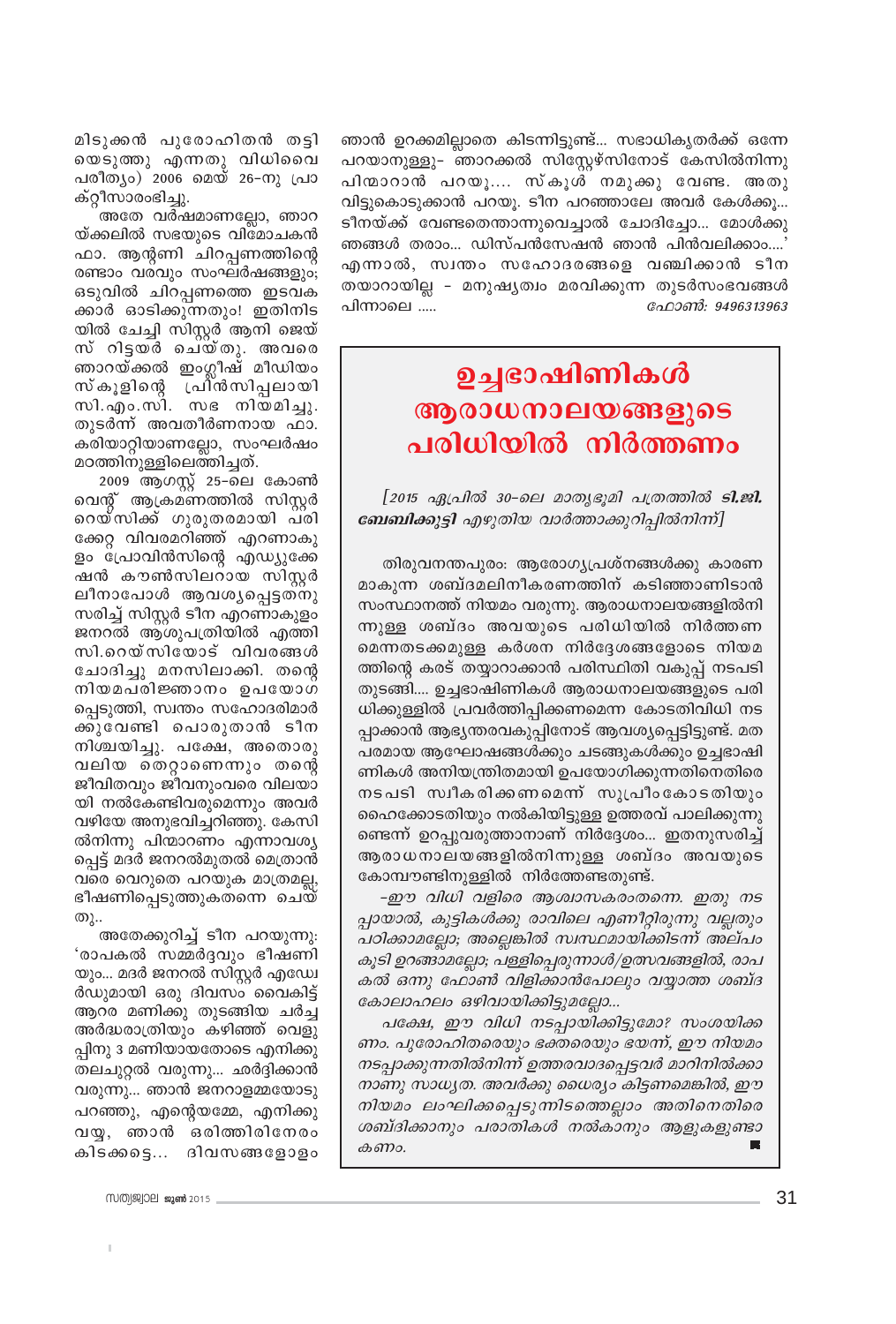ഞാൻ ഉറക്കമില്ലാതെ കിടന്നിട്ടുണ്ട്... സഭാധികൃതർക്ക് ഒന്നേ പറയാനുള്ളു– ഞാറക്കൽ സിസ്റ്റേഴ്സിനോട് കേസിൽനിന്നു പിന്മാറാൻ പറയു…. സ്കൂൾ നമുക്കു വേണ്ട. അതു വിട്ടുകൊടുക്കാൻ പറയു. ടീന പറഞ്ഞാലേ അവർ കേൾക്കു... ടീനയ്ക്ക് വേണ്ടതെന്താന്നുവെച്ചാൽ ചോദിച്ചോ... മോൾക്കു ഞങ്ങൾ തരാം... ഡിസ്പൻസേഷൻ ഞാൻ പിൻവലിക്കാം....' എന്നാൽ, സ്വന്തം സഹോദരങ്ങളെ വഞ്ചിക്കാൻ ടീന തയാറായില്ല - മനുഷ്യത്വം മരവിക്കുന്ന തുടർസംഭവങ്ങൾ േറാൺ: 9496313963 പിന്നാലെ .....

## ഉച്ചഭാഷിണികൾ ആരാധനാലയങ്ങളുടെ പരിധിയിൽ നിർത്തണം

[2015 ഏപ്രിൽ 30-ലെ മാതൃഭൂമി പത്രത്തിൽ **ടി.ജി.** ബേബിക്കുട്ടി എഴുതിയ വാർത്താക്കുറിപ്പിൽനിന്ന്]

തിരുവനന്തപുരം: ആരോഗ്യപ്രശ്നങ്ങൾക്കു കാരണ മാകുന്ന ശബ്ദമലിനീകരണത്തിന് കടിഞ്ഞാണിടാൻ സംസ്ഥാനത്ത് നിയമം വരുന്നു. ആരാധനാലയങ്ങളിൽനി ന്നുള്ള ശബ്ദം അവയുടെ പരിധിയിൽ നിർത്തണ മെന്നതടക്കമുള്ള കർശന നിർദ്ദേശങ്ങളോടെ നിയമ ത്തിന്റെ കരട് തയ്യാറാക്കാൻ പരിസ്ഥിതി വകുപ്പ് നടപടി തുടങ്ങി.... ഉച്ചഭാഷിണികൾ ആരാധനാലയങ്ങളുടെ പരി ധിക്കുള്ളിൽ പ്രവർത്തിപ്പിക്കണമെന്ന കോടതിവിധി നട പ്പാക്കാൻ ആഭ്യന്തരവകുപ്പിനോട് ആവശ്യപ്പെട്ടിട്ടുണ്ട്. മത പരമായ ആഘോഷങ്ങൾക്കും ചടങ്ങുകൾക്കും ഉച്ചഭാഷി ണികൾ അനിയന്ത്രിതമായി ഉപയോഗിക്കുന്നതിനെതിരെ നടപടി സ്വീകരിക്കണമെന്ന് സുപ്രീംകോടതിയും ഹൈക്കോടതിയും നൽകിയിട്ടുള്ള ഉത്തരവ് പാലിക്കുന്നു ണ്ടെന്ന് ഉറപ്പുവരുത്താനാണ് നിർദ്ദേശം... ഇതനുസരിച്ച് ആരാധനാലയങ്ങളിൽനിന്നുള്ള ശബ്ദം അവയുടെ കോമ്പൗണ്ടിനുള്ളിൽ നിർത്തേണ്ടതുണ്ട്.

-ഈ വിധി വളിരെ ആശ്വാസകരംതന്നെ. ഇതു നട പ്പായാൽ, കുട്ടികൾക്കു രാവിലെ എണീറ്റിരുന്നു വല്ലതും പഠിക്കാമല്ലോ; അല്ലെങ്കിൽ സ്ഥ്ഥമായിക്കിടന്ന് അല്പം കൂടി ഉറങ്ങാമല്ലോ; പള്ളിപ്പെരുന്നാൾ/ഉത്സവങ്ങളിൽ, രാപ കൽ ഒന്നു ഫോൺ വിളിക്കാൻപോലും വയ്യാത്ത ശബ്ദ കോലാഹലം ഒഴിവായിക്കിട്ടുമല്ലോ...

പക്ഷേ, ഈ വിധി നടപ്പായിക്കിട്ടുമോ? സംശയിക്ക ണം. പുരോഹിതരെയും ഭക്തരെയും ഭയന്ന്, ഈ നിയമം നടപ്പാക്കുന്നതിൽനിന്ന് ഉത്തരവാദപ്പെട്ടവർ മാറിനിൽക്കാ നാണു സാധ്യത. അവർക്കു ധൈര്യം കിട്ടണമെങ്കിൽ, ഈ നിയമം ലംഘിക്കപ്പെടുന്നിടത്തെല്ലാം അതിനെതിരെ ശബ്ദിക്കാനും പരാതികൾ നൽകാനും ആളുകളുണ്ടാ കണം.

മിടുക്കൻ പുരോഹിതൻ തട്ടി യെടുത്തു എന്നതു വിധിവൈ പരീത്യം) 2006 മെയ് 26-നു പ്രാ ക്റ്റീസാരംഭിച്ചു.

അതേ വർഷമാണല്ലോ, ഞാറ യ്ക്കലിൽ സഭയുടെ വിമോചകൻ ഫാ. ആന്റണി ചിറപ്പണത്തിന്റെ രണ്ടാം വരവും സംഘർഷങ്ങളും; ഒടുവിൽ ചിറപ്പണത്തെ ഇടവക ക്കാർ ഓടിക്കുന്നതും! ഇതിനിട യിൽ ചേച്ചി സിസ്റ്റർ ആനി ജെയ് സ് റിട്ടയർ ചെയ്തു. അവരെ ഞാറയ്ക്കൽ ഇംഗ്ലീഷ് മീഡിയം സ്കൂളിന്റെ പ്രിൻസിപ്പലായി<br>സി.എം.സി. സഭ നിയമിച്ചു. തുടർന്ന് അവതീർണനായ ഫാ. കരിയാറ്റിയാണല്ലോ, സംഘർഷം മഠത്തിനുള്ളിലെത്തിച്ചത്.

2009 ആഗസ്റ്റ് 25–ലെ കോൺ വെന്റ് ആക്രമണത്തിൽ സിസ്റ്റർ റെയ്സിക്ക് ഗുരുതരമായി പരി ക്കേറ്റ വിവരമറിഞ്ഞ് എറണാകു ളം പ്രോവിൻസിന്റെ എഡ്യുക്കേ ഷൻ കൗൺസിലറായ സിസ്റ്റർ ലീനാപോൾ ആവശ്യപ്പെട്ടതനു സരിച്ച് സിസ്റ്റർ ടീന എറണാകുളം ജനറൽ ആശുപത്രിയിൽ എത്തി സി.റെയ്സിയോട് വിവരങ്ങൾ ചോദിച്ചു മനസിലാക്കി. തന്റെ നിയമപരിജ്ഞാനം ഉപയോഗ പ്പെടുത്തി, സ്വന്തം സഹോദരിമാർ ക്കുവേണ്ടി പൊരുതാൻ ടീന നിശ്ചയിച്ചു. പക്ഷേ, അതൊരു വലിയ തെറ്റാണെന്നും തന്റെ ജീവിതവും ജീവനുംവരെ വിലയാ യി നൽകേണ്ടിവരുമെന്നും അവർ വഴിയേ അനുഭവിച്ചറിഞ്ഞു. കേസി ൽനിന്നു പിന്മാറണം എന്നാവശ്യ പ്പെട്ട് മദർ ജനറൽമുതൽ മെത്രാൻ വരെ വെറുതെ പറയുക മാത്രമല്ല, ഭീഷണിപ്പെടുത്തുകതന്നെ ചെയ് തു..

അതേക്കുറിച്ച് ടീന പറയുന്നു: 'രാപകൽ സമ്മർദ്ദവും ഭീഷണി യും... മദർ ജനറൽ സിസ്റ്റർ എഡേ ർഡുമായി ഒരു ദിവസം വൈകിട്ട് ആറര മണിക്കു തുടങ്ങിയ ചർച്ച അർദ്ധരാത്രിയും കഴിഞ്ഞ് വെളു പ്പിനു 3 മണിയായതോടെ എനിക്കു തലചുറ്റൽ വരുന്നു... ഛർദ്ദിക്കാൻ വരുന്നു... ഞാൻ ജനറാളമ്മയോടു പറഞ്ഞു, എന്റെയമ്മേ, എനിക്കു വയു, ഞാൻ ഒരിത്തിരിനേരം കിടക്കട്ടെ... ദിവസങ്ങളോളം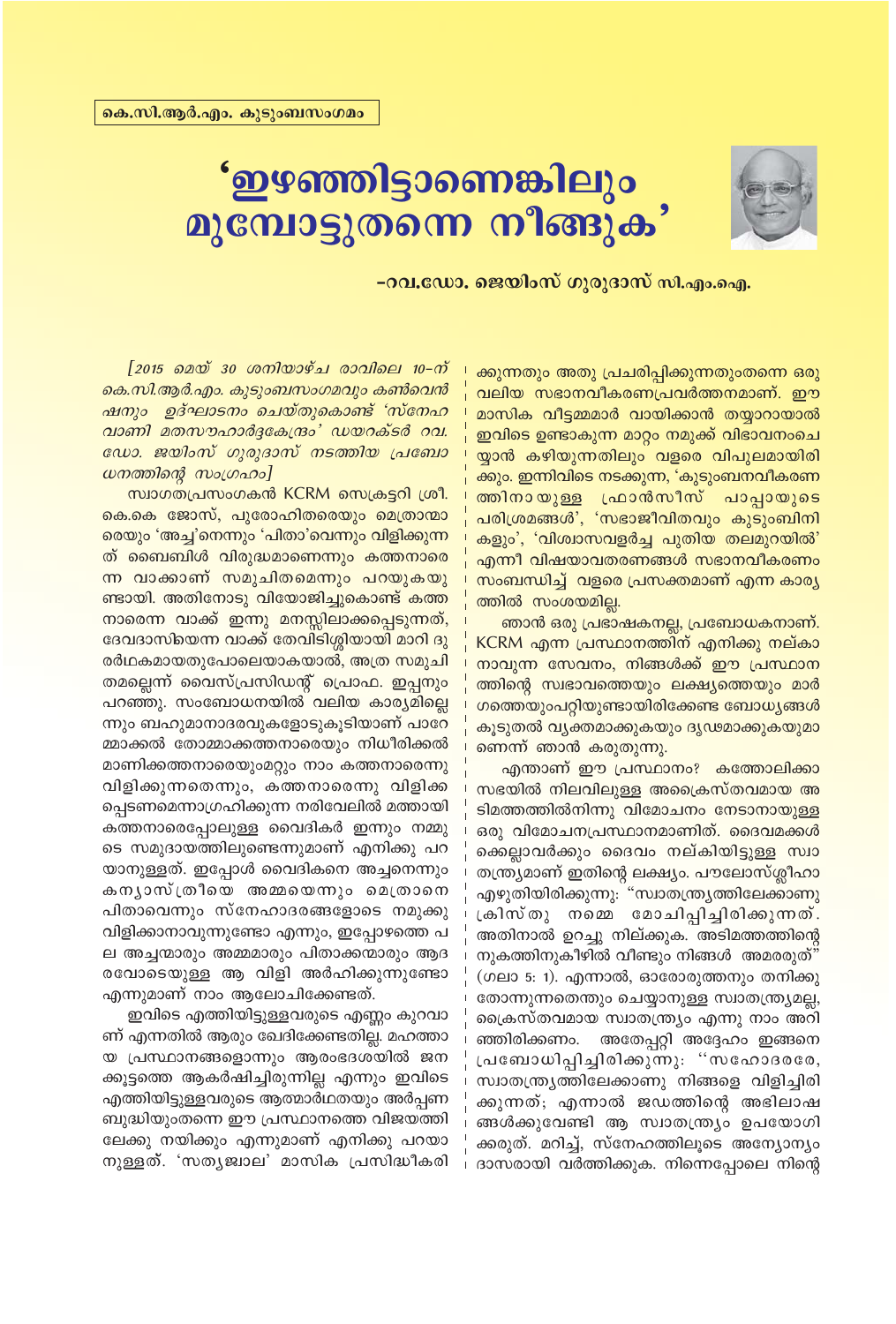

# ് **ഇഴഞ്ഞിട്ടാണെങ്കിലും**<br>മുമ്പോട്ടുതന്നെ നീങ്ങുക

<mark>−റവ.ഡോ. ജെയിം</mark>സ് ഗുരുദാസ് സി.എം.ഐ.

*[2015 മെയ് 30 ശനിയാഴ്ച രാവിലെ 10-ന് കെ.സി.ആർ.എം. കൂടുംബസംഗമവും കൺവെൻ ഷനും ഉദ്ഘാടനം ചെയ്തുകൊണ്ട് 'സ്നേഹ hmWn aXkulm¿±tI{μw' UbdIvS¿ dh. ഡോ. ജയിംസ് ഗുരുദാസ് നടത്തിയ പ്രബോ*  $\omega$ നത്തിന്റെ സംഗ്രഹം]

സ്വാഗതപ്രസംഗകൻ KCRM സെക്രട്ടറി ശ്രീ. കെ.കെ ജോസ്, പുരോഹിതരെയും മെത്രാന്മാ രെയും 'അച്ച'നെന്നും 'പിതാ'വെന്നും വിളിക്കുന്ന ത് ബൈബിൾ വിരുദ്ധമാണെന്നും കത്തനാരെ <mark>ന്ന വാക്കാണ് സമുചിതമെന്നും പറയുകയു</mark>  $\overline{m}$ ഞ്ഞിനോടു വിയോജിച്ചുകൊണ്ട് കത്ത നാരെന്ന വാക്ക് ഇന്നു മനസ്സിലാക്കപ്പെടുന്നത്, ദേവദാസിയെന്ന വാക്ക് തേവിടിശ്ശിയായി മാറി ദു <u>രർഥകമായതുപോലെയാകയാൽ, അത്ര സമുചി</u> തമല്ലെന്ന് വൈസ്പ്രസിഡന്റ് പ്രൊഫ. ഇപ്പനും പറഞ്ഞു. സംബോധനയിൽ വലിയ കാര്യമില്ലെ ന്നും ബഹുമാനാദരവുകളോടുകൂടിയാണ് പാറേ മ്മാക്കൽ തോമ്മാക്കത്തനാരെയും നിധീരിക്കൽ മാണിക്കത്തനാരെയുംമറ്റും നാം കത്തനാരെന്നു വിളിക്കുന്നതെന്നും, കത്തനാരെന്നു വിളിക്ക പ്പെടണമെന്നാഗ്രഹിക്കുന്ന നരിവേലിൽ മത്തായി കത്തനാരെപ്പോലുള്ള വൈദികർ ഇന്നും നമ്മു ടെ സമുദായത്തിലുണ്ടെന്നുമാണ് എനിക്കു പറ യാനുള്ളത്. ഇപ്പോൾ വൈദികനെ അച്ചനെന്നും കനൃാസ്ത്രീയെ അമ്മയെന്നും മെത്രാനെ പിതാവെന്നും സ്നേഹാദരങ്ങളോടെ നമുക്കു വിളിക്കാനാവുന്നുണ്ടോ എന്നും, ഇപ്പോഴത്തെ പ ല അച്ചന്മാരും അമ്മമാരും പിതാക്കന്മാരും ആദ രവോടെയുള്ള ആ വിളി അർഹിക്കുന്നുണ്ടോ എന്നുമാണ് നാം ആലോചിക്കേണ്ടത്.

ഇവിടെ എത്തിയിട്ടുള്ളവരുടെ എണ്ണം കുറവാ ണ് എന്നതിൽ ആരും ഖേദിക്കേണ്ടതില്ല. മഹത്താ യ പ്രസ്ഥാനങ്ങളൊന്നും ആരംഭദശയിൽ ജന ക്കൂട്ടത്തെ ആകർഷിച്ചിരുന്നില്ല എന്നും ഇവിടെ എത്തിയിട്ടുള്ളവരുടെ ആത്മാർഥതയും അർപ്പണ ബുദ്ധിയുംതന്നെ ഈ പ്രസ്ഥാനത്തെ വിജയത്തി ലേക്കു നയിക്കും എന്നുമാണ് എനിക്കു പറയാ നുള്ളത്. 'സതൃജ്വാല' മാസിക പ്രസിദ്ധീകരി ക്കുന്നതും അതു പ്രചരിപ്പിക്കുന്നതുംതന്നെ ഒരു വലിയ സഭാനവീകരണപ്രവർത്തനമാണ്. ഈ മാസിക വീട്ടമ്മമാർ വായിക്കാൻ തയ്യാറായാൽ ഇവിടെ ഉണ്ടാകുന്ന മാറ്റം നമുക്ക് വിഭാവനംചെ യ്യാൻ കഴിയുന്നതിലും വളരെ വിപുലമായിരി ക്കും. ഇന്നിവിടെ നടക്കുന്ന, 'കുടുംബനവീകരണ ത്തിനായുള്ള ഫ്രാൻസീസ് പാപ്പായുടെ പരിശ്രമങ്ങൾ', 'സഭാജീവിതവും കുടുംബിനി കളും', 'വിശ്വാസവളർച്ച പുതിയ തലമുറയിൽ' എന്നീ വിഷയാവതരണങ്ങൾ സഭാനവീകരണം 'സംബന്ധിച്ച് വളരെ പ്രസക്തമാണ് എന്ന കാരൃ ത്തിൽ സംശയമില്ല.

ഞാൻ ഒരു പ്രഭാഷകനല്ല, പ്രബോധകനാണ്. KCRM എന്ന പ്രസ്ഥാനത്തിന് എനിക്കു നല്കാ  $\overline{0}$ നാവുന്ന സേവനം, നിങ്ങൾക്ക് ഈ പ്രസ്ഥാന ത്തിന്റെ സ്വഭാവത്തെയും ലക്ഷ്യത്തെയും മാർ ശത്തെയുംപറ്റിയുണ്ടായിരിക്കേണ്ട ബോധ്യങ്ങൾ കൂടുതൽ വൃക്തമാക്കുകയും ദൃഢമാക്കുകയുമാ <del>നെന്ന് ഞാൻ കരുതുന്നു.</del>

എന്താണ് ഈ പ്രസ്ഥാനം? കത്തോലിക്കാ സഭയിൽ നിലവിലുള്ള അക്രൈസ്തവമായ അ ടിമത്തത്തിൽനിന്നു വിമോചനം നേടാനായുള്ള ഒരു വിമോചനപ്രസ്ഥാനമാണിത്. ദൈ<mark>വ</mark>മക്കൾ ക്കെല്ലാവർക്കും ദൈവം നല്കിയി<u>ട്ടുള്ള</u> സ്<del>വാ</del> തന്ത്ര്യമാണ് ഇതിന്റെ ലക്ഷ്യം. പൗലോസ്ശ്ലീ<mark>ഹാ</mark> എഴുതിയിരിക്കുന്നു: "സ്വാതന്ത്രൃത്തിലേക്കാണു  $\lambda$ കിസ്തു നമ്മെ മോചിപ്പിച്ചിരിക്കുന്നത്. അതിനാൽ ഉറച്ചു നില്ക്കുക. അടിമത്തത്തിന്റെ  $\mathfrak m$ കത്തിനുകീഴിൽ വീണ്ടും നിങ്ങൾ അമരരുത് $^n$ (ഗലാ 5: 1). എന്നാൽ, ഓരോരുത്തനും തനിക്കു തോന്നുന്നതെന്തും ചെയ്യാനുള്ള സ്വാതന്ത്ര്യമല്ല, പ്രൈസ്തവമായ സ്വാതന്ത്ര്യം എന്നു നാം അറി ഞ്ഞിരിക്കണം. അതേപ്പറ്റി അദ്ദേഹം ഇങ്ങനെ  $[alg]$ ചബോധിപ്പിച്ചിരിക്കുന്നു: "സഹോദരരേ, സ്വാതന്ത്ര്യത്തിലേക്കാണു നിങ്ങളെ വിളിച്ചിരി ക്കുന്നത്; എന്നാൽ ജഡത്തിന്റെ അഭിലാഷ ങ്ങൾക്കുവേണ്ടി ആ സ്വാതന്ത്ര്യം ഉപയോഗി ക്കരുത്. മറിച്ച്, സ്നേഹത്തിലുടെ അന്യോന്യ<u>ം</u> ദാസരായി വർത്തിക്കുക. നിന്നെപ്പോലെ നിന്റെ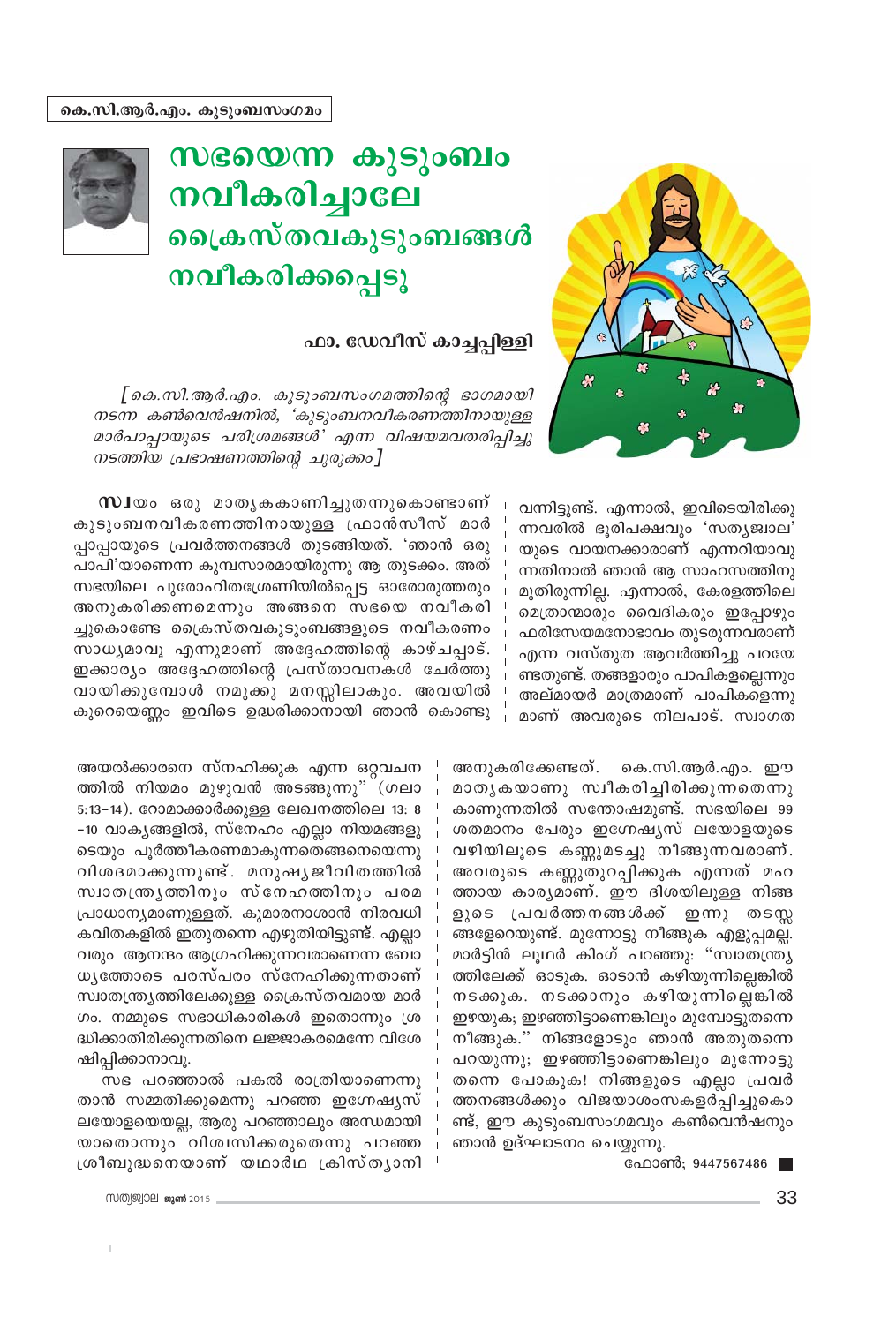

## സഭയെന്ന കുടുംബം നവീകരിച്ചാലേ ഐകസ്തവകൂടുംബങ്ങൾ നവീകരിക്കപ്പെടു



## ഫാ. ഡേവീസ് കാച്ചപ്പിള്ളി

[ കെ.സി.ആർ.എം. കുടുംബസംഗമത്തിന്റെ ഭാഗമായി നടന്ന കൺവെൻഷനിൽ, 'കുടുംബനവീകരണത്തിനായുള്ള മാർപാപ്പായുടെ പരിശ്രമങ്ങൾ' എന്ന വിഷയമവതരിപ്പിച്ചു നടത്തിയ പ്രഭാഷണത്തിന്റെ ചുരുക്കം]

> വന്നിട്ടുണ്ട്. എന്നാൽ, ഇവിടെയിരിക്കു ന്നവരിൽ ഭൂരിപക്ഷവും 'സത്യജ്വാല' യുടെ വായനക്കാരാണ് എന്നറിയാവു ന്നതിനാൽ ഞാൻ ആ സാഹസത്തിനു മുതിരുന്നില്ല. എന്നാൽ, കേരളത്തിലെ മെത്രാന്മാരും വൈദികരും ഇപ്പോഴും ഫരിസേയമനോഭാവം തുടരുന്നവരാണ് എന്ന വസ്തുത ആവർത്തിച്ചു പറയേ ണ്ടതുണ്ട്. തങ്ങളാരും പാപികളല്ലെന്നും അല്മായർ മാത്രമാണ് പാപികളെന്നു മാണ് അവരുടെ നിലപാട്. സ്വാഗത

അനുകരിക്കേണ്ടത്. കെ.സി.ആർ.എം. ഈ മാതൃകയാണു സ്വീകരിച്ചിരിക്കുന്നതെന്നു കാണുന്നതിൽ സന്തോഷമുണ്ട്. സഭയിലെ 99 ശതമാനം പേരും ഇഗ്നേഷ്യസ് ലയോളയുടെ വഴിയിലൂടെ കണ്ണുമടച്ചു നീങ്ങുന്നവരാണ്. അവരുടെ കണ്ണുതുറപ്പിക്കുക എന്നത് മഹ ത്തായ കാര്യമാണ്. ഈ ദിശയിലുള്ള നിങ്ങ ളുടെ പ്രവർത്തനങ്ങൾക്ക് ഇന്നു തടസ്ല ങ്ങളേറെയുണ്ട്. മുന്നോട്ടു നീങ്ങുക എളുപ്പമല്ല. മാർട്ടിൻ ലുഥർ കിംഗ് പറഞ്ഞു: "സ്വാതന്ത്ര്യ ത്തിലേക്ക് ഓടുക. ഓടാൻ കഴിയുന്നില്ലെങ്കിൽ നടക്കുക. നടക്കാനും കഴിയുന്നില്ലെങ്കിൽ ഇഴയുക; ഇഴഞ്ഞിട്ടാണെങ്കിലും മുമ്പോട്ടുതന്നെ നീങ്ങുക." നിങ്ങളോടും ഞാൻ അതുതന്നെ പറയുന്നു; ഇഴഞ്ഞിട്ടാണെങ്കിലും മുന്നോട്ടു തന്നെ പോകുക! നിങ്ങളുടെ എല്ലാ പ്രവർ ത്തനങ്ങൾക്കും വിജയാശംസകളർപ്പിച്ചുകൊ ണ്ട്, ഈ കുടുംബസംഗമവും കൺവെൻഷനും ഞാൻ ഉദ്ഘാടനം ചെയ്യുന്നു.

ഫോൺ; 9447567486 |

**സി** യം ഒരു മാതൃകകാണിച്ചുതന്നുകൊണ്ടാണ് കുടുംബനവീകരണത്തിനായുള്ള ഫ്രാൻസീസ് മാർ പ്പാപ്പായുടെ പ്രവർത്തനങ്ങൾ തുടങ്ങിയത്. 'ഞാൻ ഒരു പാപി'യാണെന്ന കുമ്പസാരമായിരുന്നു ആ തുടക്കം. അത് സഭയിലെ പുരോഹിതശ്രേണിയിൽപ്പെട്ട ഓരോരുത്തരും അനുകരിക്കണമെന്നും അങ്ങനെ സഭയെ നവീകരി ച്ചുകൊണ്ടേ ക്രൈസ്തവകുടുംബങ്ങളുടെ നവീകരണം സാധ്യമാവൂ എന്നുമാണ് അദ്ദേഹത്തിന്റെ കാഴ്ചപ്പാട്. ഇക്കാര്യം അദ്ദേഹത്തിന്റെ പ്രസ്താവനകൾ ചേർത്തു വായിക്കുമ്പോൾ നമുക്കു മനസ്സിലാകും. അവയിൽ കുറെയെണ്ണം ഇവിടെ ഉദ്ധരിക്കാനായി ഞാൻ കൊണ്ടു

അയൽക്കാരനെ സ്നഹിക്കുക എന്ന ഒറ്റവചന ത്തിൽ നിയമം മുഴുവൻ അടങ്ങുന്നു" (ഗലാ 5:13-14). റോമാക്കാർക്കുള്ള ലേഖനത്തിലെ 13: 8 -10 വാകൃങ്ങളിൽ, സ്നേഹം എല്ലാ നിയമങ്ങളു ടെയും പൂർത്തീകരണമാകുന്നതെങ്ങനെയെന്നു വിശദമാക്കുന്നുണ്ട്. മനുഷൃജീവിതത്തിൽ സ്വാതന്ത്രൃത്തിനും സ്നേഹത്തിനും പരമ പ്രാധാന്യമാണുള്ളത്. കുമാരനാശാൻ നിരവധി കവിതകളിൽ ഇതുതന്നെ എഴുതിയിട്ടുണ്ട്. എല്ലാ വരും ആനന്ദം ആഗ്രഹിക്കുന്നവരാണെന്ന ബോ ധൃത്തോടെ പരസ്പരം സ്നേഹിക്കുന്നതാണ് സ്വാതന്ത്ര്യത്തിലേക്കുള്ള ക്രൈസ്തവമായ മാർ ഗം. നമ്മുടെ സഭാധികാരികൾ ഇതൊന്നും ശ്ര ദ്ധിക്കാതിരിക്കുന്നതിനെ ലജ്ജാകരമെന്നേ വിശേ ഷിപ്പിക്കാനാവൂ.

സഭ പറഞ്ഞാൽ പകൽ രാത്രിയാണെന്നു താൻ സമ്മതിക്കുമെന്നു പറഞ്ഞ ഇഗ്നേഷ്യസ് ലയോളയെയല്ല, ആരു പറഞ്ഞാലും അന്ധമായി യാതൊന്നും വിശ്വസിക്കരുതെന്നു പറഞ്ഞ ശ്രീബുദ്ധനെയാണ് യഥാർഥ ക്രിസ്തൃാനി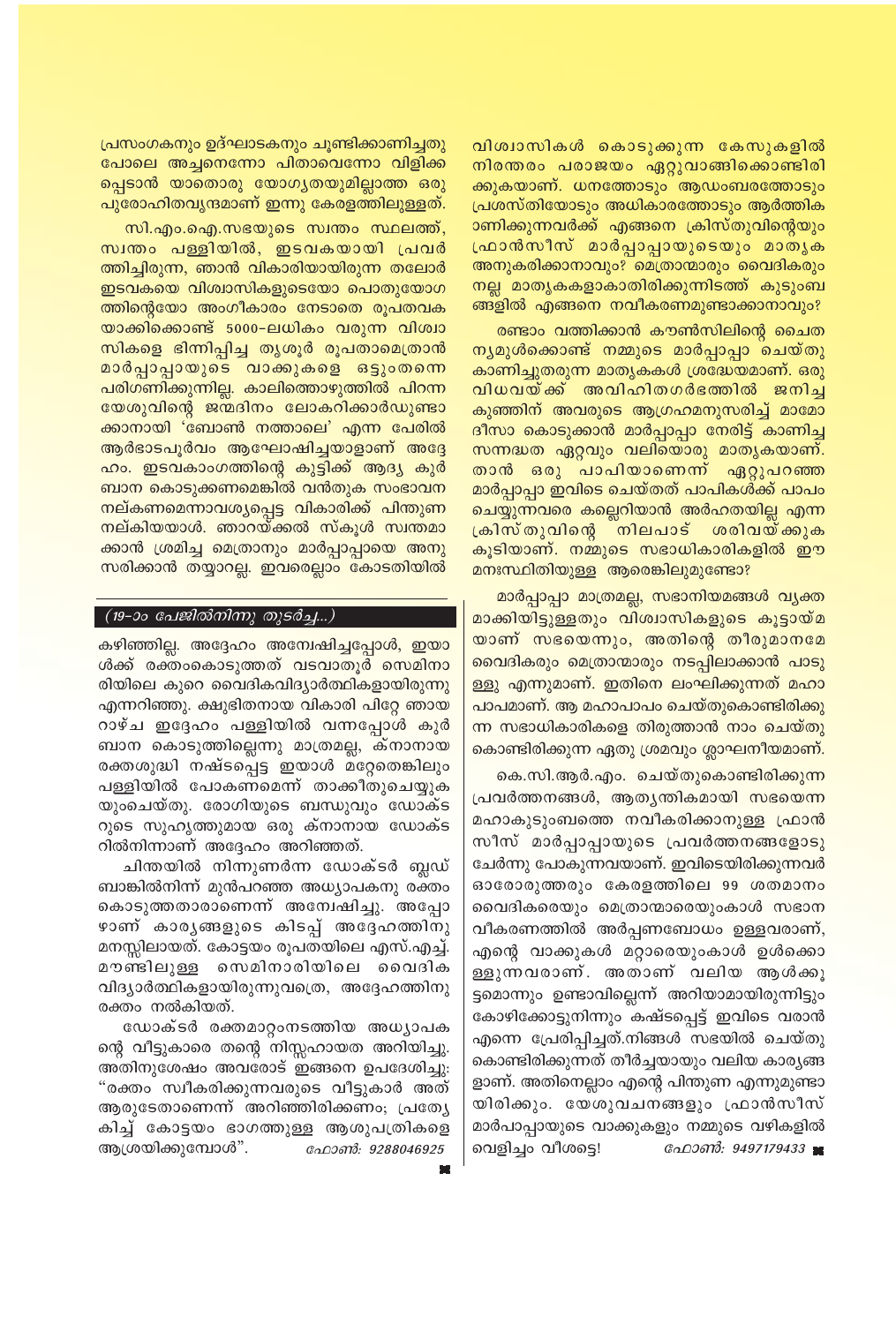വിശ്വാസികൾ കൊടുക്കുന്ന കേസുകളിൽ നിരന്തരം പരാജയം ഏറ്റുവാങ്ങിക്കൊണ്ടിരി ക്കുകയാണ്. ധനത്തോടും ആഡംബരത്തോടും പ്രശസ്തിയോടും അധികാരത്തോടും ആർത്തിക ാണിക്കുന്നവർക്ക് എങ്ങനെ ക്രിസ്തുവിന്റെയും ഫ്രാൻസീസ് മാർപ്പാപ്പായുടെയും മാതൃക അനുകരിക്കാനാവും? മെത്രാന്മാരും വൈദികരും നല്ല മാതൃകകളാകാതിരിക്കുന്നിടത്ത് കുടുംബ ങ്ങളിൽ എങ്ങനെ നവീകരണമുണ്ടാക്കാനാവും?

രണ്ടാം വത്തിക്കാൻ കൗൺസിലിന്റെ ചൈത നൃമുൾക്കൊണ്ട് നമ്മുടെ മാർപ്പാപ്പാ ചെയ്തു കാണിച്ചുതരുന്ന മാതൃകകൾ ശ്രദ്ധേയമാണ്. ഒരു വിധവയ്ക്ക അവിഹിതഗർഭത്തിൽ ജനിച്ച കുഞ്ഞിന് അവരുടെ ആഗ്രഹമനുസരിച്ച് മാമോ ദീസാ കൊടുക്കാൻ മാർപ്പാപ്പാ നേരിട്ട് കാണിച്ച സന്നദ്ധത ഏറ്റവും വലിയൊരു മാതൃകയാണ്. താൻ ഒരു പാപിയാണെന്ന് ഏറ്റുപറഞ്ഞ മാർപ്പാപ്പാ ഇവിടെ ചെയ്തത് പാപികൾക്ക് പാപം ചെയ്യുന്നവരെ കല്ലെറിയാൻ അർഹതയില്ല എന്ന ക്രിസ്തുവിന്റെ നിലപാട് ശരിവയ്ക്കുക കുടിയാണ്. നമ്മുടെ സഭാധികാരികളിൽ ഈ മനഃസ്ഥിതിയുള്ള ആരെങ്കിലുമുണ്ടോ?

മാർപ്പാപ്പാ മാത്രമല്ല, സഭാനിയമങ്ങൾ വ്യക്ത മാക്കിയിട്ടുള്ളതും വിശ്വാസികളുടെ കൂട്ടായ്മ യാണ് സഭയെന്നും, അതിന്റെ തീരുമാനമേ വൈദികരും മെത്രാന്മാരും നടപ്പിലാക്കാൻ പാടു ള്ളു എന്നുമാണ്. ഇതിനെ ലംഘിക്കുന്നത് മഹാ പാപമാണ്. ആ മഹാപാപം ചെയ്തുകൊണ്ടിരിക്കു ന്ന സഭാധികാരികളെ തിരുത്താൻ നാം ചെയ്തു കൊണ്ടിരിക്കുന്ന ഏതു ശ്രമവും ശ്ലാഘനീയമാണ്.

.കെ.സി.ആർ.എം. ചെയ്തുകൊണ്ടിരിക്കുന്ന പ്രവർത്തനങ്ങൾ, ആതൃന്തികമായി സഭയെന്ന മഹാകുടുംബത്തെ നവീകരിക്കാനുള്ള ഫ്രാൻ സീസ് മാർപ്പാപ്പായുടെ പ്രവർത്തനങ്ങളോടു ചേർന്നു പോകുന്നവയാണ്. ഇവിടെയിരിക്കുന്നവർ ഓരോരുത്തരും കേരളത്തിലെ 99 ശതമാനം വൈദികരെയും മെത്രാന്മാരെയുംകാൾ സഭാന വീകരണത്തിൽ അർപ്പണബോധം ഉള്ളവരാണ്, എന്റെ വാക്കുകൾ മറ്റാരെയുംകാൾ ഉൾക്കൊ ള്ളുന്നവരാണ്. അതാണ് വലിയ ആൾക്കൂ ട്ടമൊന്നും ഉണ്ടാവില്ലെന്ന് അറിയാമായിരുന്നിട്ടും കോഴിക്കോട്ടുനിന്നും കഷ്ടപ്പെട്ട് ഇവിടെ വരാൻ എന്നെ പ്രേരിപ്പിച്ചത്.നിങ്ങൾ സഭയിൽ ചെയ്തു കൊണ്ടിരിക്കുന്നത് തീർച്ചയായും വലിയ കാര്യങ്ങ ളാണ്. അതിനെല്ലാം എന്റെ പിന്തുണ എന്നുമുണ്ടാ യിരിക്കും. യേശുവചനങ്ങളും ഫ്രാൻസീസ് മാർപാപ്പായുടെ വാക്കുകളും നമ്മുടെ വഴികളിൽ ഫോൺ: 9497179433 ∎ വെളിച്ചം വീശട്ടെ!

പ്രസംഗകനും ഉദ്ഘാടകനും ചൂണ്ടിക്കാണിച്ചതു പോലെ അച്ചനെന്നോ പിതാവെന്നോ വിളിക്ക പ്പെടാൻ യാതൊരു യോഗ്യതയുമില്ലാത്ത ഒരു പുരോഹിതവൃന്ദമാണ് ഇന്നു കേരളത്തിലുള്ളത്.

സി.എം.ഐ.സഭയുടെ സ്വന്തം സ്ഥലത്ത്, സ്വന്തം പള്ളിയിൽ, ഇടവകയായി പ്രവർ ത്തിച്ചിരുന്ന, ഞാൻ വികാരിയായിരുന്ന തലോർ ഇടവകയെ വിശ്വാസികളുടെയോ പൊതുയോഗ ത്തിന്റെയോ അംഗീകാരം നേടാതെ രൂപതവക യാക്കിക്കൊണ്ട് 5000–ലധികം വരുന്ന വിശ്വാ സികളെ ഭിന്നിപ്പിച്ച തൃശൂർ രൂപതാമെത്രാൻ മാർപ്പാപ്പായുടെ വാക്കുകളെ ഒട്ടുംതന്നെ പരിഗണിക്കുന്നില്ല. കാലിത്തൊഴുത്തിൽ പിറന്ന യേശുവിന്റെ ജന്മദിനം ലോകറിക്കാർഡുണ്ടാ ക്കാനായി 'ബോൺ നത്താലെ' എന്ന പേരിൽ ആർഭാടപൂർവം ആഘോഷിച്ചയാളാണ് അദ്ദേ ഹം. ഇടവകാംഗത്തിന്റെ കുട്ടിക്ക് ആദ്യ കുർ ബാന കൊടുക്കണമെങ്കിൽ വൻതുക സംഭാവന നല്കണമെന്നാവശ്യപ്പെട്ട വികാരിക്ക് പിന്തുണ നല്കിയയാൾ. ഞാറയ്ക്കൽ സ്കൂൾ സ്ഥതമാ <mark>ക്കാൻ ശ്രമിച്ച മെത്രാനും മാർപ്പാപ്പായെ അനു</mark> സരിക്കാൻ തയ്യാറല്ല. ഇവരെല്ലാം കോടതിയിൽ

#### (19-ാം പേജിൽനിന്നു തുടർച്ച...)

കഴിഞ്ഞില്ല. അദ്ദേഹം അന്വേഷിച്ചപ്പോൾ, ഇയാ ൾക്ക് രക്തംകൊടുത്തത് വടവാതുർ സെമിനാ രിയിലെ കുറെ വൈദികവിദ്യാർത്ഥികളായിരുന്നു എന്നറിഞ്ഞു. ക്ഷുഭിതനായ വികാരി പിറ്റേ ഞായ റാഴ്ച ഇദ്ദേഹം പള്ളിയിൽ വന്നപ്പോൾ കുർ ബാന കൊടുത്തില്ലെന്നു മാത്രമല്ല, ക്നാനായ രക്തശുദ്ധി നഷ്ടപ്പെട്ട ഇയാൾ മറ്റേതെങ്കിലും പള്ളിയിൽ പോകണമെന്ന് താക്കീതുചെയ്യുക യുംചെയ്തു. രോഗിയുടെ ബന്ധുവും ഡോക്ട റുടെ സുഹൃത്തുമായ ഒരു ക്നാനായ ഡോക്ട റിൽനിന്നാണ് അദ്ദേഹം അറിഞ്ഞത്.

ചിന്തയിൽ നിന്നുണർന്ന ഡോക്ടർ ബ്ലഡ് ബാങ്കിൽനിന്ന് മുൻപറഞ്ഞ അധ്യാപകനു രക്തം കൊടുത്തതാരാണെന്ന് അന്വേഷിച്ചു. അപ്പോ ഴാണ് കാരൃങ്ങളുടെ കിടപ്പ് അദ്ദേഹത്തിനു മനസ്സിലായത്. കോട്ടയം രൂപതയിലെ എസ്.എച്ച്. മൗണ്ടിലുള്ള സെമിനാരിയിലെ വൈദിക വിദ്യാർത്ഥികളായിരുന്നുവത്രെ, അദ്ദേഹത്തിനു രക്തം നൽകിയത്.

ഡോക്ടർ രക്തമാറ്റംനടത്തിയ അധ്യാപക ന്റെ വീട്ടുകാരെ തന്റെ നിസ്സഹായത അറിയിച്ചു. അതിനുശേഷം അവരോട് ഇങ്ങനെ ഉപദേശിച്ചു: "രക്തം സ്വീകരിക്കുന്നവരുടെ വീട്ടുകാർ അത് ആരുടേതാണെന്ന് അറിഞ്ഞിരിക്കണം; പ്രത്യേ കിച്ച് കോട്ടയം ഭാഗത്തുള്ള ആശുപത്രികളെ ആശ്രയിക്കുമ്പോൾ". ഫോൺ: 9288046925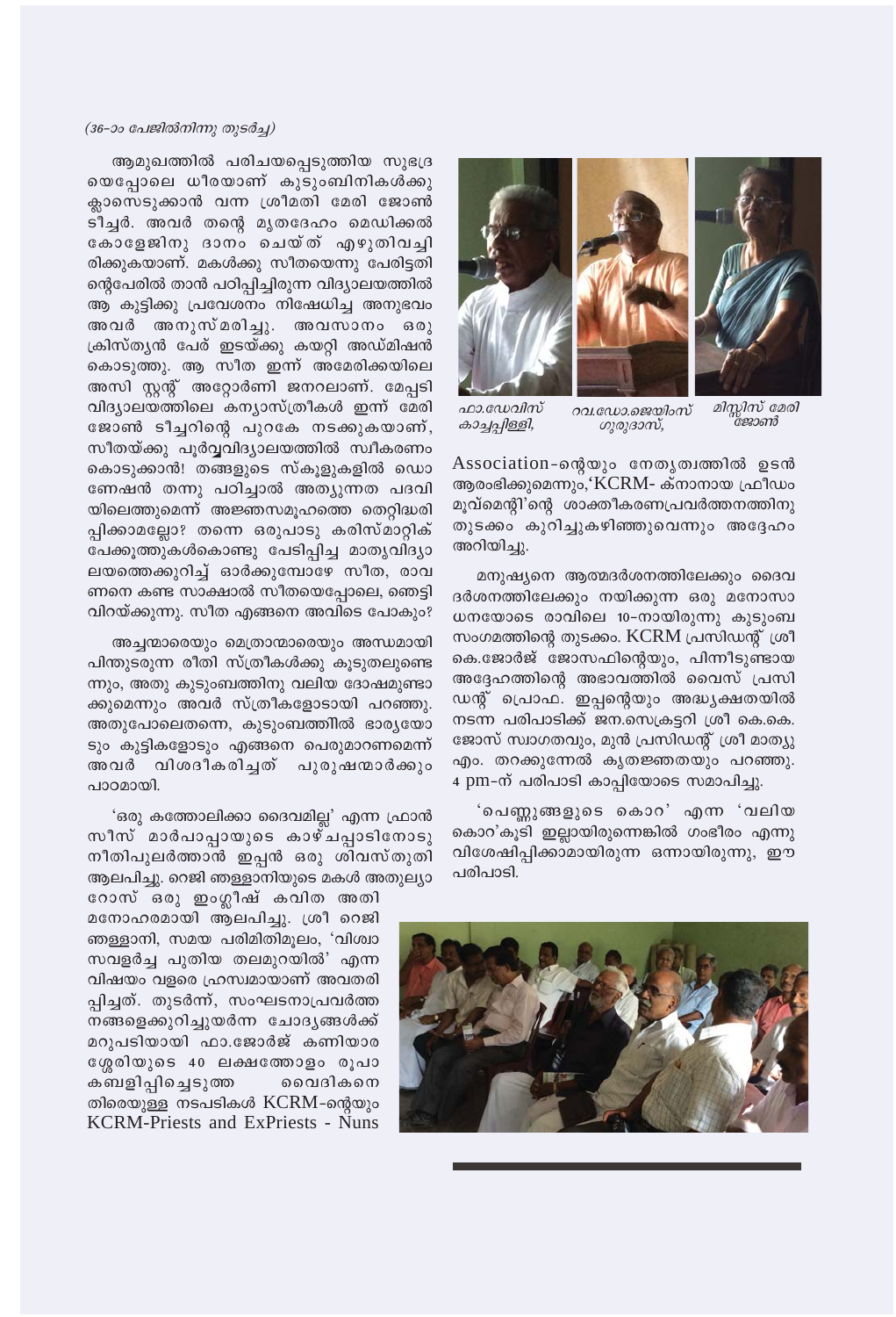

മിസ്സിസ് മേരി ๊ะหวดาชิ

റവ.ഡോ.ജെയിംസ് ഗുരുദാസ്,

ഫാ.ഡേവിസ് കാച്ചപ്പിള്ളി,

Association-ഐയും നേതൃത്വത്തിൽ ഉടൻ ആരംഭിക്കുമെന്നും,'KCRM- ക്നാനായ ഫ്രീഡം മൂവ്മെന്റി'ന്റെ ശാക്തീകരണപ്രവർത്തനത്തിനു തുടക്കം കുറിച്ചുകഴിഞ്ഞുവെന്നും അദ്ദേഹം അറിയിച്ചു.

മനുഷ്യനെ ആത്മദർശനത്തിലേക്കും ദൈവ ദർശനത്തിലേക്കും നയിക്കുന്ന ഒരു മനോസാ ധനയോടെ രാവിലെ 10–നായിരുന്നു കുടുംബ സംഗമത്തിന്റെ തുടക്കം. KCRM പ്രസിഡന്റ് ശ്രീ കെ.ജോർജ് ജോസഫിന്റെയും, പിന്നീടുണ്ടായ അദ്ദേഹത്തിന്റെ അഭാവത്തിൽ വൈസ് പ്രസി ഡന്റ് പ്രൊഫ. ഇപ്പന്റെയും അദ്ധ്യക്ഷതയിൽ നടന്ന പരിപാടിക്ക് ജന.സെക്രട്ടറി ശ്രീ കെ.കെ. ജോസ് സ്വാഗതവും, മുൻ പ്രസിഡന്റ് ശ്രീ മാത്യു എം. തറക്കുന്നേൽ കൃതജ്ഞതയും പറഞ്ഞു. 4 pm-ന് പരിപാടി കാപ്പിയോടെ സമാപിച്ചു.

'പെണ്ണുങ്ങളുടെ കൊറ' എന്ന 'വലിയ കൊറ'കൂടി ഇല്ലായിരുന്നെങ്കിൽ ഗംഭീരം എന്നു വിശേഷിപ്പിക്കാമായിരുന്ന ഒന്നായിരുന്നു, ഈ പരിപാടി.



#### (36-ാം പേജിൽനിന്നു തുടർച്ച)

ആമുഖത്തിൽ പരിചയപ്പെടുത്തിയ സുഭദ്ര യെപ്പോലെ ധീരയാണ് കുടുംബിനികൾക്കു ക്ലാസെടുക്കാൻ വന്ന ശ്രീമതി മേരി ജോൺ ടീച്ചർ. അവർ തന്റെ മൃതദേഹം മെഡിക്കൽ കോളേജിനു ദാനം ചെയ്ത് എഴുതിവച്ചി രിക്കുകയാണ്. മകൾക്കു സീതയെന്നു പേരിട്ടതി ന്റെപേരിൽ താൻ പഠിപ്പിച്ചിരുന്ന വിദ്യാലയത്തിൽ ആ കുട്ടിക്കു പ്രവേശനം നിഷേധിച്ച അനുഭവം അവർ അനുസ്മരിച്ചു. അവസാനം ഒരു ക്രിസ്തൃൻ പേര് ഇടയ്ക്കു കയറ്റി അഡ്മിഷൻ കൊടുത്തു. ആ സീത ഇന്ന് അമേരിക്കയിലെ അസി സ്റ്റന്റ് അറ്റോർണി ജനറലാണ്. മേപ്പടി വിദ്യാലയത്തിലെ കന്യാസ്ത്രീകൾ ഇന്ന് മേരി ജോൺ ടീച്ചറിന്റെ പുറകേ നടക്കുകയാണ്, സീതയ്ക്കു പൂർവ്വവിദ്യാലയത്തിൽ സ്വീകരണം കൊടുക്കാൻ! തങ്ങളുടെ സ്കൂളുകളിൽ ഡൊ ണേഷൻ തന്നു പഠിച്ചാൽ അത്യുന്നത പദവി യിലെത്തുമെന്ന് അജ്ഞസമൂഹത്തെ തെറ്റിദ്ധരി പ്പിക്കാമല്ലോ? തന്നെ ഒരുപാടു കരിസ്മാറ്റിക് പേക്കുത്തുകൾകൊണ്ടു പേടിപ്പിച്ച മാതൃവിദ്യാ ലയത്തെക്കുറിച്ച് ഓർക്കുമ്പോഴേ സീത, രാവ ണനെ കണ്ട സാക്ഷാൽ സീതയെപ്പോലെ, ഞെട്ടി വിറയ്ക്കുന്നു. സീത എങ്ങനെ അവിടെ പോകും?

അച്ചന്മാരെയും മെത്രാന്മാരെയും അന്ധമായി പിന്തുടരുന്ന രീതി സ്ത്രീകൾക്കു കൂടുതലുണ്ടെ ന്നും, അതു കുടുംബത്തിനു വലിയ ദോഷമുണ്ടാ ക്കുമെന്നും അവർ സ്ത്രീകളോടായി പറഞ്ഞു. അതുപോലെതന്നെ, കുടുംബത്തിൽ ഭാര്യയോ ടും കുട്ടികളോടും എങ്ങനെ പെരുമാറണമെന്ന് അവർ വിശദീകരിച്ചത് പുരുഷന്മാർക്കും പാഠമായി.

'ഒരു കത്തോലിക്കാ ദൈവമില്ല' എന്ന ഫ്രാൻ സീസ് മാർപാപ്പായുടെ കാഴ്ചപ്പാടിനോടു നീതിപുലർത്താൻ ഇപ്പൻ ഒരു ശിവസ്തുതി ആലപിച്ചു. റെജി ഞള്ളാനിയുടെ മകൾ അതുല്യാ

റോസ് ഒരു ഇംഗ്ലീഷ് കവിത അതി മനോഹരമായി ആലപിച്ചു. ശ്രീ റെജി ഞള്ളാനി, സമയ പരിമിതിമൂലം, 'വിശ്വാ സവളർച്ച പുതിയ തലമുറയിൽ' എന്ന വിഷയം വളരെ ഹ്രസ്വമായാണ് അവതരി പ്പിച്ചത്. തുടർന്ന്, സംഘടനാപ്രവർത്ത നങ്ങളെക്കുറിച്ചുയർന്ന ചോദൃങ്ങൾക്ക് മറുപടിയായി ഫാ.ജോർജ് കണിയാര ശ്ശേരിയുടെ 40 ലക്ഷത്തോളം രൂപാ കബളിപ്പിച്ചെടുത്ത വൈദികനെ തിരെയുള്ള നടപടികൾ KCRM-ന്റെയും **KCRM-Priests and ExPriests - Nuns**